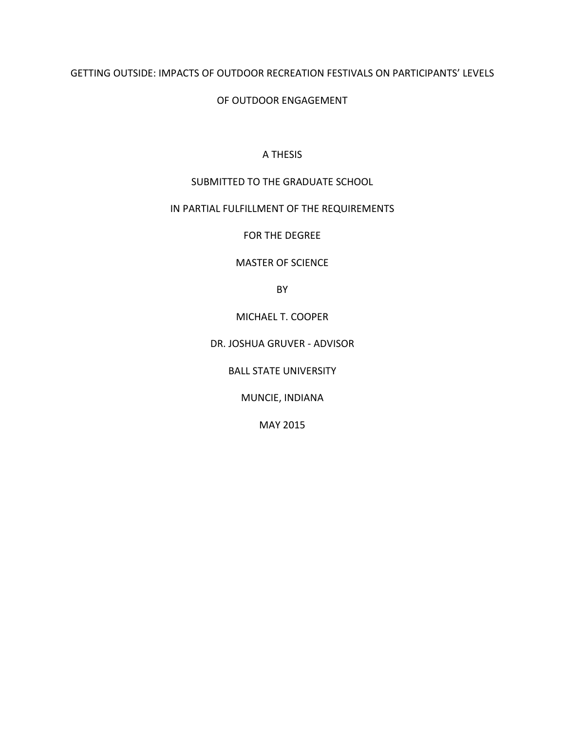# GETTING OUTSIDE: IMPACTS OF OUTDOOR RECREATION FESTIVALS ON PARTICIPANTS' LEVELS

# OF OUTDOOR ENGAGEMENT

# A THESIS

# SUBMITTED TO THE GRADUATE SCHOOL

# IN PARTIAL FULFILLMENT OF THE REQUIREMENTS

FOR THE DEGREE

MASTER OF SCIENCE

BY

MICHAEL T. COOPER

DR. JOSHUA GRUVER - ADVISOR

BALL STATE UNIVERSITY

MUNCIE, INDIANA

MAY 2015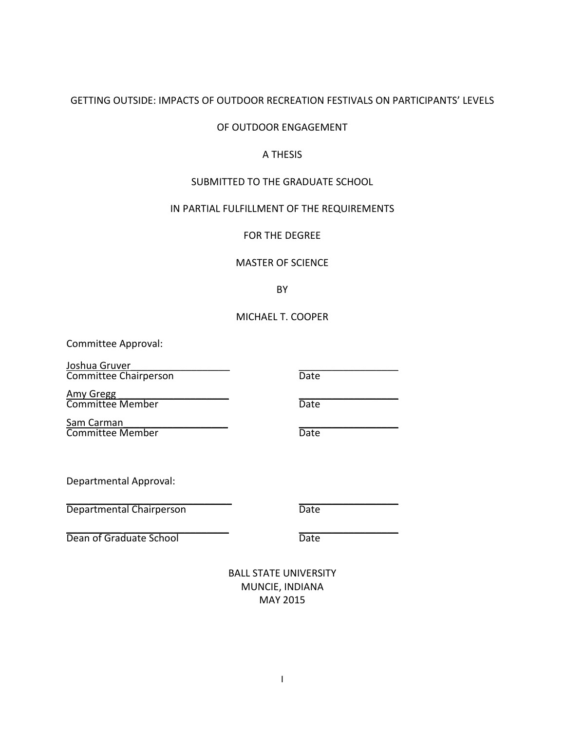## GETTING OUTSIDE: IMPACTS OF OUTDOOR RECREATION FESTIVALS ON PARTICIPANTS' LEVELS

## OF OUTDOOR ENGAGEMENT

# A THESIS

## SUBMITTED TO THE GRADUATE SCHOOL

## IN PARTIAL FULFILLMENT OF THE REQUIREMENTS

FOR THE DEGREE

## MASTER OF SCIENCE

BY

# MICHAEL T. COOPER

Committee Approval:

Joshua Gruver<br>Committee Chairperson

Amy Gregg \_\_\_\_\_\_\_\_\_\_\_\_\_\_\_\_\_\_\_\_ Committee Member

Sam Carman\_\_\_\_\_\_\_\_\_\_\_\_\_\_\_\_\_\_\_ Committee Member

Departmental Approval:

 $\overline{\phantom{a}}$  , which is a set of the set of the set of the set of the set of the set of the set of the set of the set of the set of the set of the set of the set of the set of the set of the set of the set of the set of th Departmental Chairperson

 $\overline{\phantom{a}}$  , where  $\overline{\phantom{a}}$  , where  $\overline{\phantom{a}}$  , where  $\overline{\phantom{a}}$  ,  $\overline{\phantom{a}}$  ,  $\overline{\phantom{a}}$  ,  $\overline{\phantom{a}}$  ,  $\overline{\phantom{a}}$  ,  $\overline{\phantom{a}}$  ,  $\overline{\phantom{a}}$  ,  $\overline{\phantom{a}}$  ,  $\overline{\phantom{a}}$  ,  $\overline{\phantom{a}}$  ,  $\overline{\phantom{a}}$  ,  $\overline{\phantom$ Dean of Graduate School

 $\frac{1}{2}$  ,  $\frac{1}{2}$  ,  $\frac{1}{2}$  ,  $\frac{1}{2}$  ,  $\frac{1}{2}$  ,  $\frac{1}{2}$  ,  $\frac{1}{2}$  ,  $\frac{1}{2}$  ,  $\frac{1}{2}$  ,  $\frac{1}{2}$ Date

Date

Date

Date

 $\frac{1}{2}$  ,  $\frac{1}{2}$  ,  $\frac{1}{2}$  ,  $\frac{1}{2}$  ,  $\frac{1}{2}$  ,  $\frac{1}{2}$  ,  $\frac{1}{2}$  ,  $\frac{1}{2}$  ,  $\frac{1}{2}$  ,  $\frac{1}{2}$ 

 $\frac{1}{2}$  ,  $\frac{1}{2}$  ,  $\frac{1}{2}$  ,  $\frac{1}{2}$  ,  $\frac{1}{2}$  ,  $\frac{1}{2}$  ,  $\frac{1}{2}$  ,  $\frac{1}{2}$  ,  $\frac{1}{2}$  ,  $\frac{1}{2}$ 

 $\frac{1}{2}$  ,  $\frac{1}{2}$  ,  $\frac{1}{2}$  ,  $\frac{1}{2}$  ,  $\frac{1}{2}$  ,  $\frac{1}{2}$  ,  $\frac{1}{2}$  ,  $\frac{1}{2}$  ,  $\frac{1}{2}$  ,  $\frac{1}{2}$ 

 $\frac{1}{2}$  ,  $\frac{1}{2}$  ,  $\frac{1}{2}$  ,  $\frac{1}{2}$  ,  $\frac{1}{2}$  ,  $\frac{1}{2}$  ,  $\frac{1}{2}$  ,  $\frac{1}{2}$  ,  $\frac{1}{2}$  ,  $\frac{1}{2}$ Date

BALL STATE UNIVERSITY MUNCIE, INDIANA MAY 2015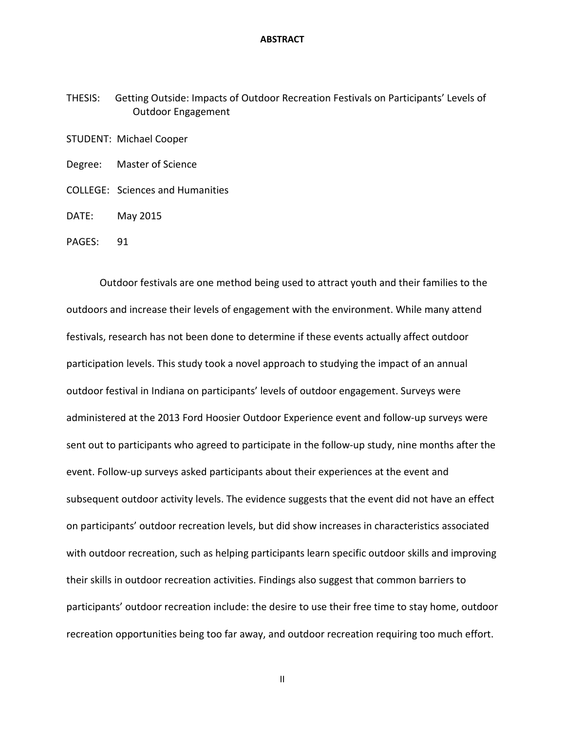#### **ABSTRACT**

THESIS: Getting Outside: Impacts of Outdoor Recreation Festivals on Participants' Levels of Outdoor Engagement

STUDENT: Michael Cooper

Degree: Master of Science

COLLEGE: Sciences and Humanities

DATE: May 2015

PAGES: 91

Outdoor festivals are one method being used to attract youth and their families to the outdoors and increase their levels of engagement with the environment. While many attend festivals, research has not been done to determine if these events actually affect outdoor participation levels. This study took a novel approach to studying the impact of an annual outdoor festival in Indiana on participants' levels of outdoor engagement. Surveys were administered at the 2013 Ford Hoosier Outdoor Experience event and follow-up surveys were sent out to participants who agreed to participate in the follow-up study, nine months after the event. Follow-up surveys asked participants about their experiences at the event and subsequent outdoor activity levels. The evidence suggests that the event did not have an effect on participants' outdoor recreation levels, but did show increases in characteristics associated with outdoor recreation, such as helping participants learn specific outdoor skills and improving their skills in outdoor recreation activities. Findings also suggest that common barriers to participants' outdoor recreation include: the desire to use their free time to stay home, outdoor recreation opportunities being too far away, and outdoor recreation requiring too much effort.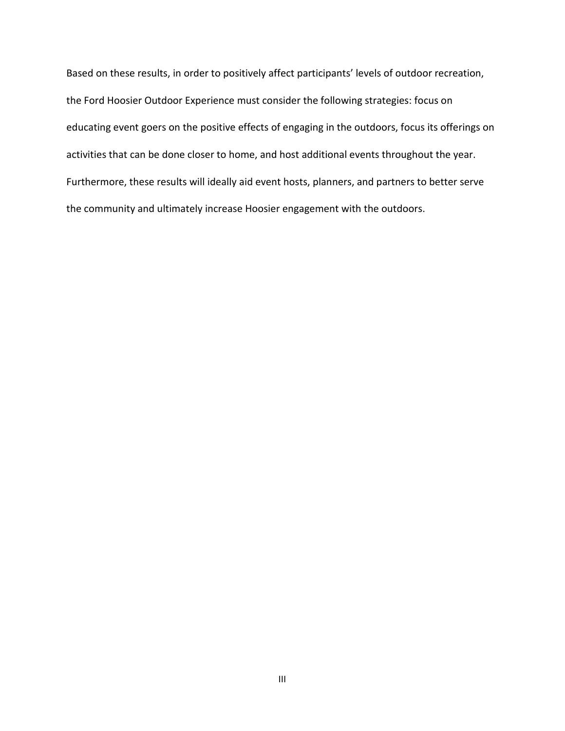Based on these results, in order to positively affect participants' levels of outdoor recreation, the Ford Hoosier Outdoor Experience must consider the following strategies: focus on educating event goers on the positive effects of engaging in the outdoors, focus its offerings on activities that can be done closer to home, and host additional events throughout the year. Furthermore, these results will ideally aid event hosts, planners, and partners to better serve the community and ultimately increase Hoosier engagement with the outdoors.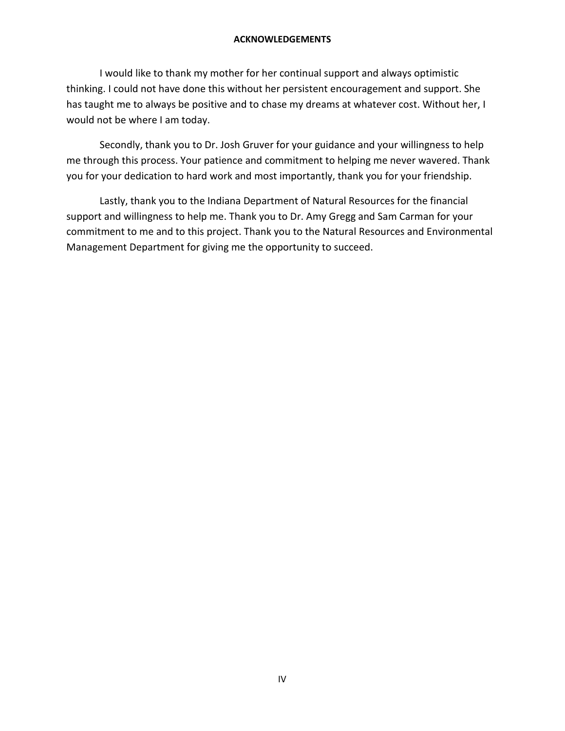### **ACKNOWLEDGEMENTS**

I would like to thank my mother for her continual support and always optimistic thinking. I could not have done this without her persistent encouragement and support. She has taught me to always be positive and to chase my dreams at whatever cost. Without her, I would not be where I am today.

Secondly, thank you to Dr. Josh Gruver for your guidance and your willingness to help me through this process. Your patience and commitment to helping me never wavered. Thank you for your dedication to hard work and most importantly, thank you for your friendship.

Lastly, thank you to the Indiana Department of Natural Resources for the financial support and willingness to help me. Thank you to Dr. Amy Gregg and Sam Carman for your commitment to me and to this project. Thank you to the Natural Resources and Environmental Management Department for giving me the opportunity to succeed.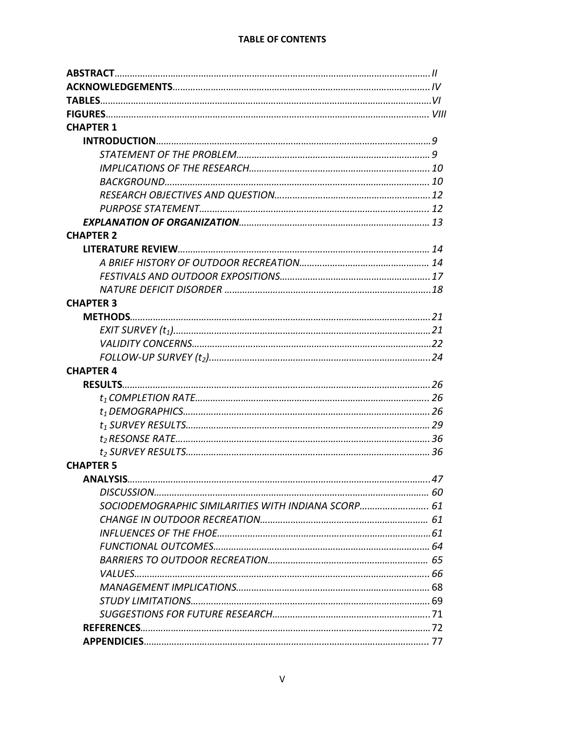# **TABLE OF CONTENTS**

| <b>CHAPTER 1</b>                                    |  |
|-----------------------------------------------------|--|
|                                                     |  |
|                                                     |  |
|                                                     |  |
|                                                     |  |
|                                                     |  |
|                                                     |  |
|                                                     |  |
| <b>CHAPTER 2</b>                                    |  |
|                                                     |  |
|                                                     |  |
|                                                     |  |
|                                                     |  |
| <b>CHAPTER 3</b>                                    |  |
|                                                     |  |
|                                                     |  |
|                                                     |  |
|                                                     |  |
| <b>CHAPTER 4</b>                                    |  |
|                                                     |  |
|                                                     |  |
|                                                     |  |
|                                                     |  |
|                                                     |  |
|                                                     |  |
| <b>CHAPTER 5</b>                                    |  |
| <b>ANALYSIS</b><br>. 47                             |  |
|                                                     |  |
| SOCIODEMOGRAPHIC SIMILARITIES WITH INDIANA SCORP 61 |  |
|                                                     |  |
|                                                     |  |
|                                                     |  |
|                                                     |  |
|                                                     |  |
|                                                     |  |
|                                                     |  |
|                                                     |  |
|                                                     |  |
|                                                     |  |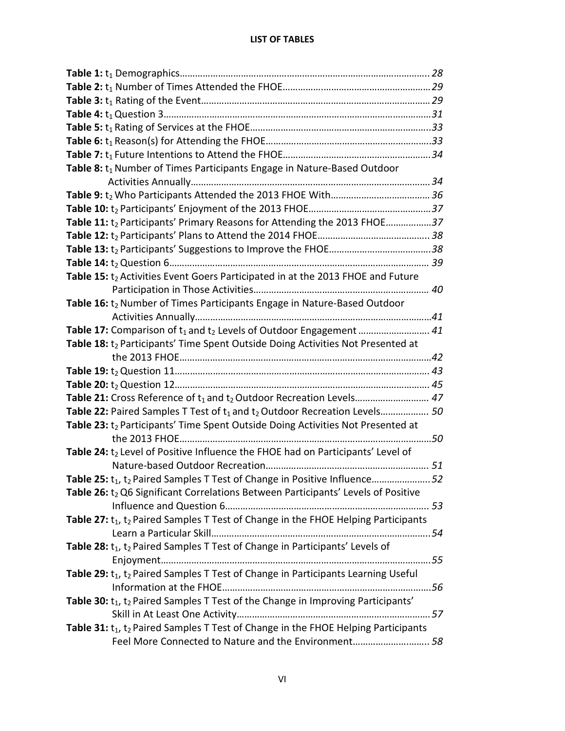# **LIST OF TABLES**

| Table 8: t <sub>1</sub> Number of Times Participants Engage in Nature-Based Outdoor                                                                                |  |
|--------------------------------------------------------------------------------------------------------------------------------------------------------------------|--|
|                                                                                                                                                                    |  |
|                                                                                                                                                                    |  |
|                                                                                                                                                                    |  |
| Table 11: t2 Participants' Primary Reasons for Attending the 2013 FHOE37                                                                                           |  |
|                                                                                                                                                                    |  |
|                                                                                                                                                                    |  |
|                                                                                                                                                                    |  |
| Table 15: t2 Activities Event Goers Participated in at the 2013 FHOE and Future                                                                                    |  |
|                                                                                                                                                                    |  |
| Table 16: t <sub>2</sub> Number of Times Participants Engage in Nature-Based Outdoor                                                                               |  |
|                                                                                                                                                                    |  |
| Table 17: Comparison of $t_1$ and $t_2$ Levels of Outdoor Engagement  41                                                                                           |  |
| Table 18: t2 Participants' Time Spent Outside Doing Activities Not Presented at                                                                                    |  |
|                                                                                                                                                                    |  |
|                                                                                                                                                                    |  |
|                                                                                                                                                                    |  |
|                                                                                                                                                                    |  |
| Table 21: Cross Reference of t <sub>1</sub> and t <sub>2</sub> Outdoor Recreation Levels 47                                                                        |  |
| Table 22: Paired Samples T Test of t <sub>1</sub> and t <sub>2</sub> Outdoor Recreation Levels 50                                                                  |  |
| Table 23: t <sub>2</sub> Participants' Time Spent Outside Doing Activities Not Presented at                                                                        |  |
|                                                                                                                                                                    |  |
| Table 24: t2 Level of Positive Influence the FHOE had on Participants' Level of                                                                                    |  |
|                                                                                                                                                                    |  |
| Table 25: t <sub>1</sub> , t <sub>2</sub> Paired Samples T Test of Change in Positive Influence.<br>. 52                                                           |  |
| Table 26: t2 Q6 Significant Correlations Between Participants' Levels of Positive                                                                                  |  |
|                                                                                                                                                                    |  |
| Table 27: t <sub>1</sub> , t <sub>2</sub> Paired Samples T Test of Change in the FHOE Helping Participants                                                         |  |
|                                                                                                                                                                    |  |
| Table 28: t <sub>1</sub> , t <sub>2</sub> Paired Samples T Test of Change in Participants' Levels of                                                               |  |
|                                                                                                                                                                    |  |
| Table 29: t <sub>1</sub> , t <sub>2</sub> Paired Samples T Test of Change in Participants Learning Useful                                                          |  |
|                                                                                                                                                                    |  |
| Table 30: t <sub>1</sub> , t <sub>2</sub> Paired Samples T Test of the Change in Improving Participants'                                                           |  |
|                                                                                                                                                                    |  |
| Table 31: t <sub>1</sub> , t <sub>2</sub> Paired Samples T Test of Change in the FHOE Helping Participants<br>Feel More Connected to Nature and the Environment 58 |  |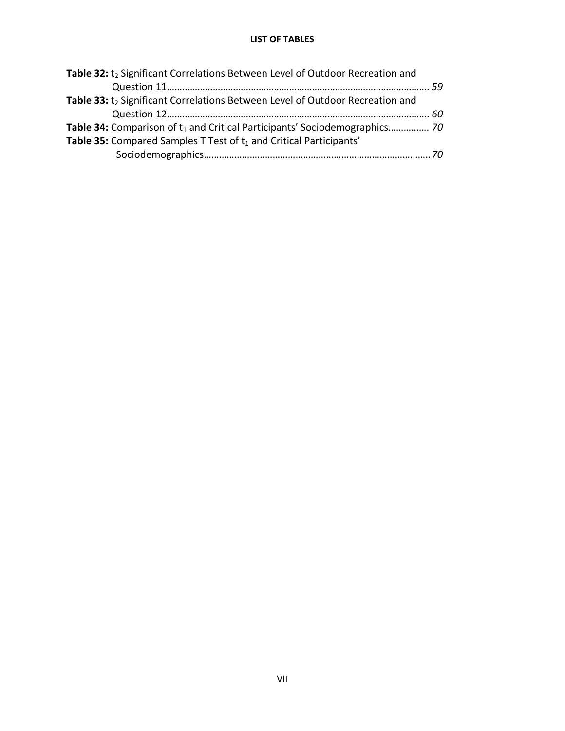# **LIST OF TABLES**

| Table 32: t <sub>2</sub> Significant Correlations Between Level of Outdoor Recreation and |  |
|-------------------------------------------------------------------------------------------|--|
|                                                                                           |  |
| Table 33: t <sub>2</sub> Significant Correlations Between Level of Outdoor Recreation and |  |
|                                                                                           |  |
| Table 34: Comparison of t <sub>1</sub> and Critical Participants' Sociodemographics 70    |  |
| Table 35: Compared Samples T Test of t <sub>1</sub> and Critical Participants'            |  |
|                                                                                           |  |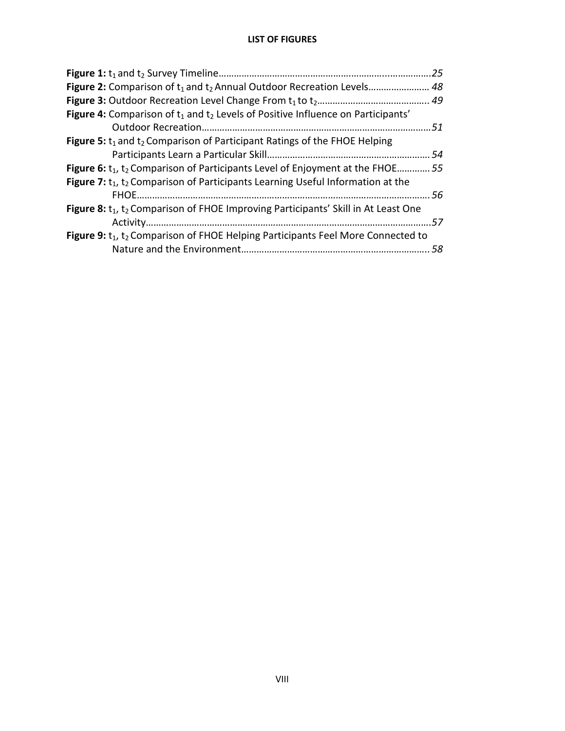## **LIST OF FIGURES**

|                                                                                                                   | .25 |
|-------------------------------------------------------------------------------------------------------------------|-----|
| <b>Figure 2:</b> Comparison of $t_1$ and $t_2$ Annual Outdoor Recreation Levels 48                                |     |
|                                                                                                                   |     |
| <b>Figure 4:</b> Comparison of $t_1$ and $t_2$ Levels of Positive Influence on Participants'                      |     |
|                                                                                                                   |     |
| <b>Figure 5:</b> $t_1$ and $t_2$ Comparison of Participant Ratings of the FHOE Helping                            |     |
|                                                                                                                   |     |
| <b>Figure 6:</b> $t_1$ , $t_2$ Comparison of Participants Level of Enjoyment at the FHOE 55                       |     |
| <b>Figure 7:</b> $t_1$ , $t_2$ Comparison of Participants Learning Useful Information at the                      |     |
|                                                                                                                   |     |
| <b>Figure 8:</b> t <sub>1</sub> , t <sub>2</sub> Comparison of FHOE Improving Participants' Skill in At Least One |     |
|                                                                                                                   |     |
| Figure 9: t <sub>1</sub> , t <sub>2</sub> Comparison of FHOE Helping Participants Feel More Connected to          |     |
|                                                                                                                   | 58. |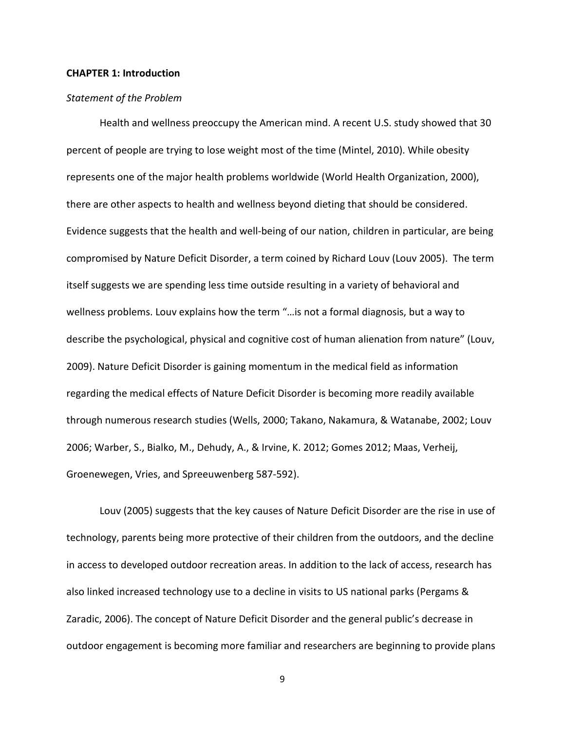#### **CHAPTER 1: Introduction**

### *Statement of the Problem*

Health and wellness preoccupy the American mind. A recent U.S. study showed that 30 percent of people are trying to lose weight most of the time (Mintel, 2010). While obesity represents one of the major health problems worldwide (World Health Organization, 2000), there are other aspects to health and wellness beyond dieting that should be considered. Evidence suggests that the health and well-being of our nation, children in particular, are being compromised by Nature Deficit Disorder, a term coined by Richard Louv (Louv 2005). The term itself suggests we are spending less time outside resulting in a variety of behavioral and wellness problems. Louv explains how the term "…is not a formal diagnosis, but a way to describe the psychological, physical and cognitive cost of human alienation from nature" (Louv, 2009). Nature Deficit Disorder is gaining momentum in the medical field as information regarding the medical effects of Nature Deficit Disorder is becoming more readily available through numerous research studies (Wells, 2000; Takano, Nakamura, & Watanabe, 2002; Louv 2006; Warber, S., Bialko, M., Dehudy, A., & Irvine, K. 2012; Gomes 2012; Maas, Verheij, Groenewegen, Vries, and Spreeuwenberg 587-592).

Louv (2005) suggests that the key causes of Nature Deficit Disorder are the rise in use of technology, parents being more protective of their children from the outdoors, and the decline in access to developed outdoor recreation areas. In addition to the lack of access, research has also linked increased technology use to a decline in visits to US national parks (Pergams & Zaradic, 2006). The concept of Nature Deficit Disorder and the general public's decrease in outdoor engagement is becoming more familiar and researchers are beginning to provide plans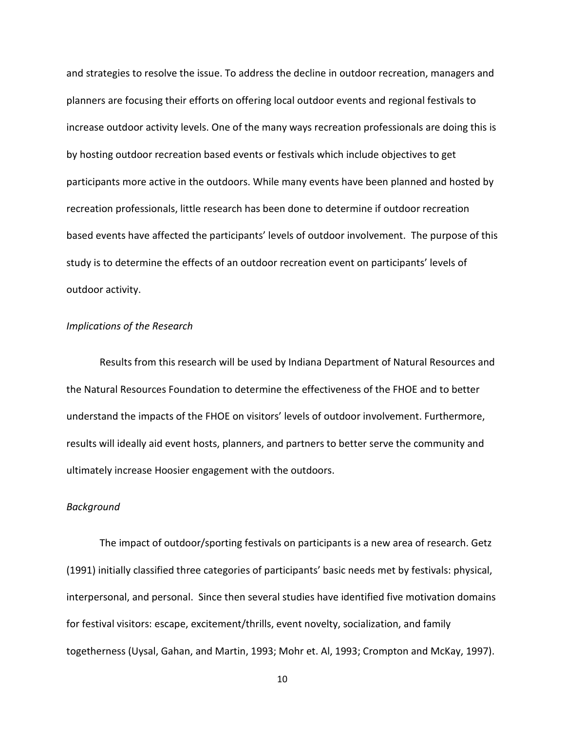and strategies to resolve the issue. To address the decline in outdoor recreation, managers and planners are focusing their efforts on offering local outdoor events and regional festivals to increase outdoor activity levels. One of the many ways recreation professionals are doing this is by hosting outdoor recreation based events or festivals which include objectives to get participants more active in the outdoors. While many events have been planned and hosted by recreation professionals, little research has been done to determine if outdoor recreation based events have affected the participants' levels of outdoor involvement. The purpose of this study is to determine the effects of an outdoor recreation event on participants' levels of outdoor activity.

## *Implications of the Research*

Results from this research will be used by Indiana Department of Natural Resources and the Natural Resources Foundation to determine the effectiveness of the FHOE and to better understand the impacts of the FHOE on visitors' levels of outdoor involvement. Furthermore, results will ideally aid event hosts, planners, and partners to better serve the community and ultimately increase Hoosier engagement with the outdoors.

#### *Background*

The impact of outdoor/sporting festivals on participants is a new area of research. Getz (1991) initially classified three categories of participants' basic needs met by festivals: physical, interpersonal, and personal. Since then several studies have identified five motivation domains for festival visitors: escape, excitement/thrills, event novelty, socialization, and family togetherness (Uysal, Gahan, and Martin, 1993; Mohr et. Al, 1993; Crompton and McKay, 1997).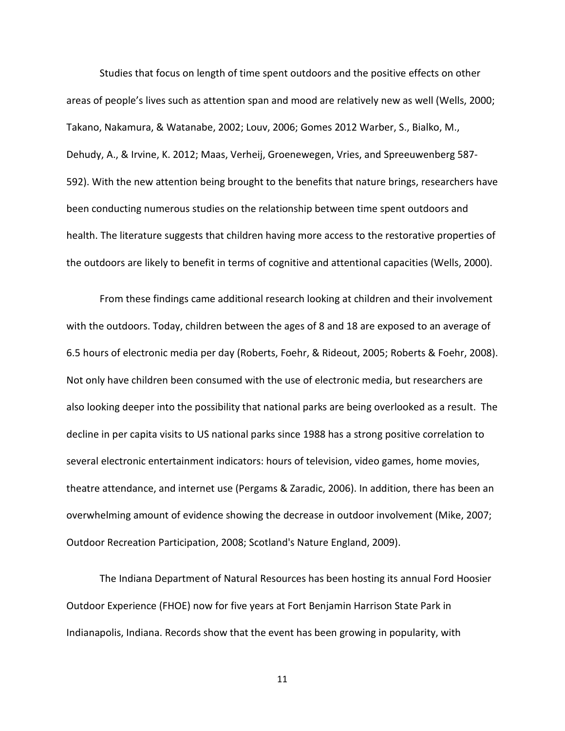Studies that focus on length of time spent outdoors and the positive effects on other areas of people's lives such as attention span and mood are relatively new as well (Wells, 2000; Takano, Nakamura, & Watanabe, 2002; Louv, 2006; Gomes 2012 Warber, S., Bialko, M., Dehudy, A., & Irvine, K. 2012; Maas, Verheij, Groenewegen, Vries, and Spreeuwenberg 587- 592). With the new attention being brought to the benefits that nature brings, researchers have been conducting numerous studies on the relationship between time spent outdoors and health. The literature suggests that children having more access to the restorative properties of the outdoors are likely to benefit in terms of cognitive and attentional capacities (Wells, 2000).

From these findings came additional research looking at children and their involvement with the outdoors. Today, children between the ages of 8 and 18 are exposed to an average of 6.5 hours of electronic media per day (Roberts, Foehr, & Rideout, 2005; Roberts & Foehr, 2008). Not only have children been consumed with the use of electronic media, but researchers are also looking deeper into the possibility that national parks are being overlooked as a result. The decline in per capita visits to US national parks since 1988 has a strong positive correlation to several electronic entertainment indicators: hours of television, video games, home movies, theatre attendance, and internet use (Pergams & Zaradic, 2006). In addition, there has been an overwhelming amount of evidence showing the decrease in outdoor involvement (Mike, 2007; Outdoor Recreation Participation, 2008; Scotland's Nature England, 2009).

The Indiana Department of Natural Resources has been hosting its annual Ford Hoosier Outdoor Experience (FHOE) now for five years at Fort Benjamin Harrison State Park in Indianapolis, Indiana. Records show that the event has been growing in popularity, with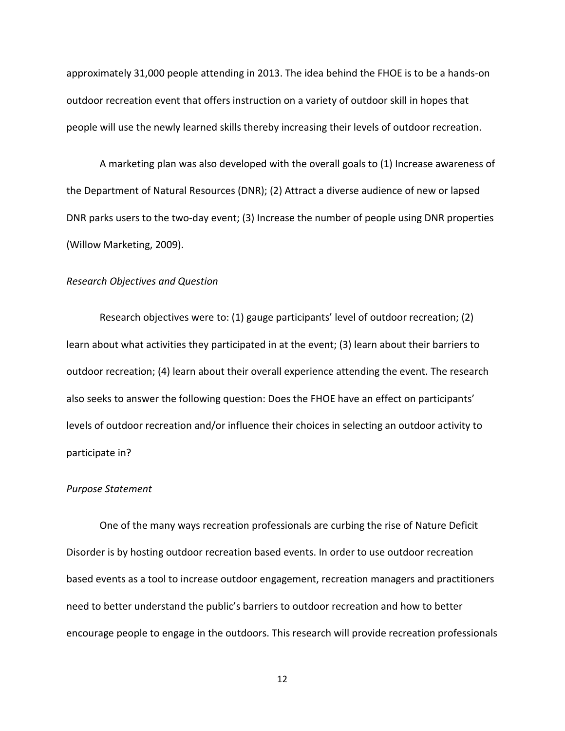approximately 31,000 people attending in 2013. The idea behind the FHOE is to be a hands-on outdoor recreation event that offers instruction on a variety of outdoor skill in hopes that people will use the newly learned skills thereby increasing their levels of outdoor recreation.

A marketing plan was also developed with the overall goals to (1) Increase awareness of the Department of Natural Resources (DNR); (2) Attract a diverse audience of new or lapsed DNR parks users to the two-day event; (3) Increase the number of people using DNR properties (Willow Marketing, 2009).

### *Research Objectives and Question*

Research objectives were to: (1) gauge participants' level of outdoor recreation; (2) learn about what activities they participated in at the event; (3) learn about their barriers to outdoor recreation; (4) learn about their overall experience attending the event. The research also seeks to answer the following question: Does the FHOE have an effect on participants' levels of outdoor recreation and/or influence their choices in selecting an outdoor activity to participate in?

#### *Purpose Statement*

One of the many ways recreation professionals are curbing the rise of Nature Deficit Disorder is by hosting outdoor recreation based events. In order to use outdoor recreation based events as a tool to increase outdoor engagement, recreation managers and practitioners need to better understand the public's barriers to outdoor recreation and how to better encourage people to engage in the outdoors. This research will provide recreation professionals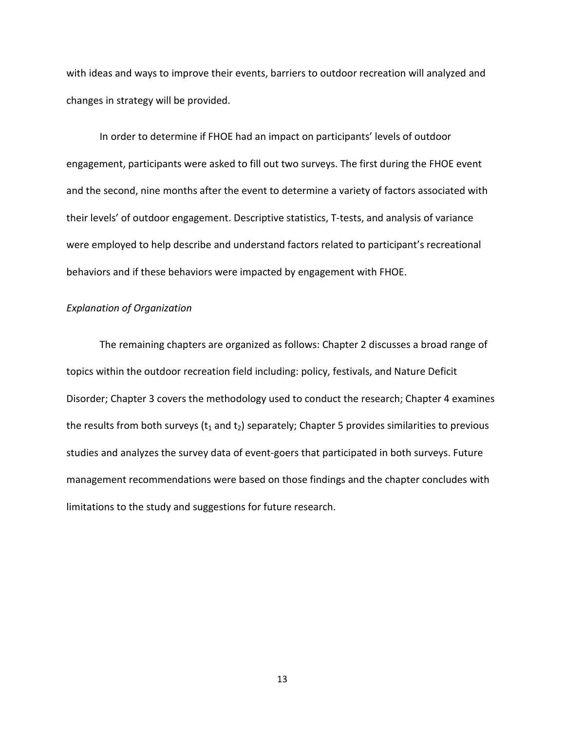with ideas and ways to improve their events, barriers to outdoor recreation will analyzed and changes in strategy will be provided.

In order to determine if FHOE had an impact on participants' levels of outdoor engagement, participants were asked to fill out two surveys. The first during the FHOE event and the second, nine months after the event to determine a variety of factors associated with their levels' of outdoor engagement. Descriptive statistics, T-tests, and analysis of variance were employed to help describe and understand factors related to participant's recreational behaviors and if these behaviors were impacted by engagement with FHOE.

### *Explanation of Organization*

The remaining chapters are organized as follows: Chapter 2 discusses a broad range of topics within the outdoor recreation field including: policy, festivals, and Nature Deficit Disorder; Chapter 3 covers the methodology used to conduct the research; Chapter 4 examines the results from both surveys ( $t_1$  and  $t_2$ ) separately; Chapter 5 provides similarities to previous studies and analyzes the survey data of event-goers that participated in both surveys. Future management recommendations were based on those findings and the chapter concludes with limitations to the study and suggestions for future research.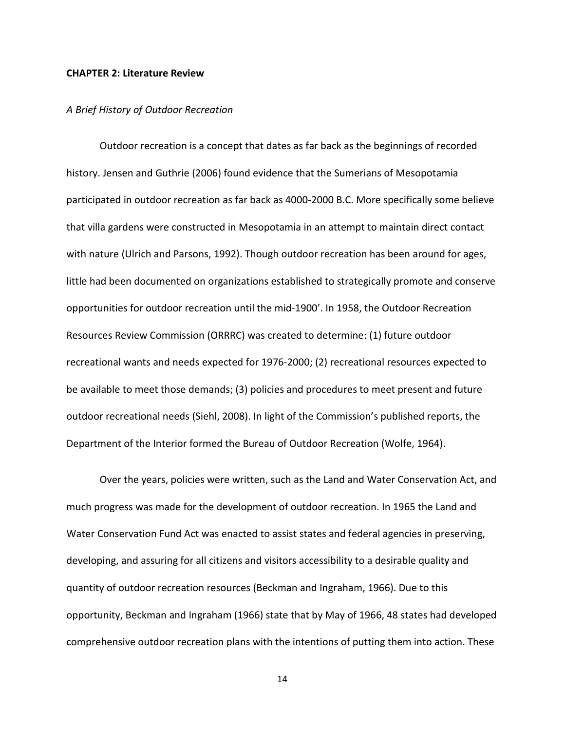#### **CHAPTER 2: Literature Review**

#### *A Brief History of Outdoor Recreation*

Outdoor recreation is a concept that dates as far back as the beginnings of recorded history. Jensen and Guthrie (2006) found evidence that the Sumerians of Mesopotamia participated in outdoor recreation as far back as 4000-2000 B.C. More specifically some believe that villa gardens were constructed in Mesopotamia in an attempt to maintain direct contact with nature (Ulrich and Parsons, 1992). Though outdoor recreation has been around for ages, little had been documented on organizations established to strategically promote and conserve opportunities for outdoor recreation until the mid-1900'. In 1958, the Outdoor Recreation Resources Review Commission (ORRRC) was created to determine: (1) future outdoor recreational wants and needs expected for 1976-2000; (2) recreational resources expected to be available to meet those demands; (3) policies and procedures to meet present and future outdoor recreational needs (Siehl, 2008). In light of the Commission's published reports, the Department of the Interior formed the Bureau of Outdoor Recreation (Wolfe, 1964).

Over the years, policies were written, such as the Land and Water Conservation Act, and much progress was made for the development of outdoor recreation. In 1965 the Land and Water Conservation Fund Act was enacted to assist states and federal agencies in preserving, developing, and assuring for all citizens and visitors accessibility to a desirable quality and quantity of outdoor recreation resources (Beckman and Ingraham, 1966). Due to this opportunity, Beckman and Ingraham (1966) state that by May of 1966, 48 states had developed comprehensive outdoor recreation plans with the intentions of putting them into action. These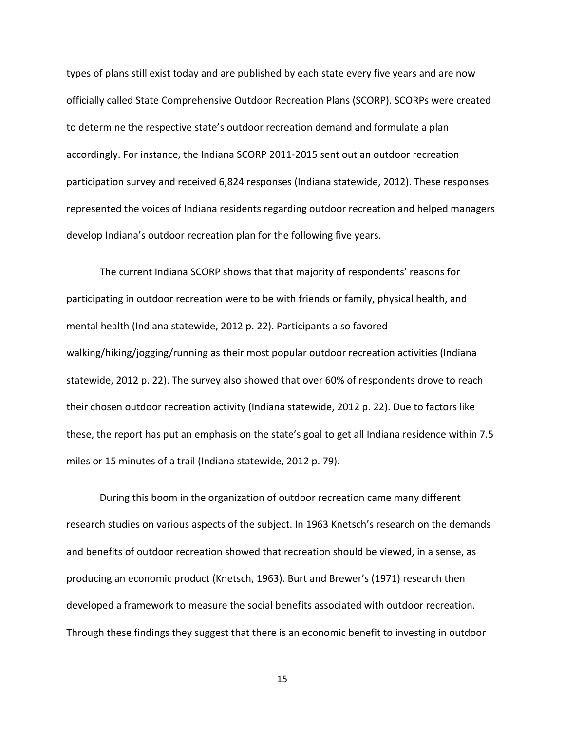types of plans still exist today and are published by each state every five years and are now officially called State Comprehensive Outdoor Recreation Plans (SCORP). SCORPs were created to determine the respective state's outdoor recreation demand and formulate a plan accordingly. For instance, the Indiana SCORP 2011-2015 sent out an outdoor recreation participation survey and received 6,824 responses (Indiana statewide, 2012). These responses represented the voices of Indiana residents regarding outdoor recreation and helped managers develop Indiana's outdoor recreation plan for the following five years.

The current Indiana SCORP shows that that majority of respondents' reasons for participating in outdoor recreation were to be with friends or family, physical health, and mental health (Indiana statewide, 2012 p. 22). Participants also favored walking/hiking/jogging/running as their most popular outdoor recreation activities (Indiana statewide, 2012 p. 22). The survey also showed that over 60% of respondents drove to reach their chosen outdoor recreation activity (Indiana statewide, 2012 p. 22). Due to factors like these, the report has put an emphasis on the state's goal to get all Indiana residence within 7.5 miles or 15 minutes of a trail (Indiana statewide, 2012 p. 79).

During this boom in the organization of outdoor recreation came many different research studies on various aspects of the subject. In 1963 Knetsch's research on the demands and benefits of outdoor recreation showed that recreation should be viewed, in a sense, as producing an economic product (Knetsch, 1963). Burt and Brewer's (1971) research then developed a framework to measure the social benefits associated with outdoor recreation. Through these findings they suggest that there is an economic benefit to investing in outdoor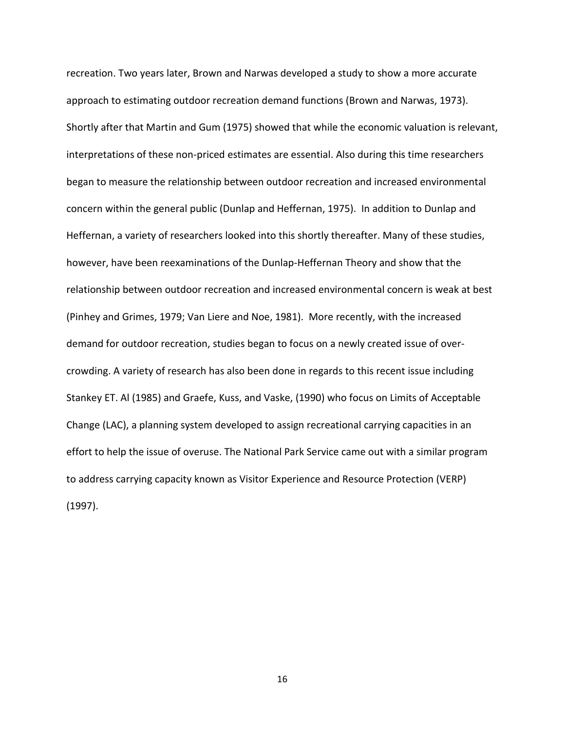recreation. Two years later, Brown and Narwas developed a study to show a more accurate approach to estimating outdoor recreation demand functions (Brown and Narwas, 1973). Shortly after that Martin and Gum (1975) showed that while the economic valuation is relevant, interpretations of these non-priced estimates are essential. Also during this time researchers began to measure the relationship between outdoor recreation and increased environmental concern within the general public (Dunlap and Heffernan, 1975). In addition to Dunlap and Heffernan, a variety of researchers looked into this shortly thereafter. Many of these studies, however, have been reexaminations of the Dunlap-Heffernan Theory and show that the relationship between outdoor recreation and increased environmental concern is weak at best (Pinhey and Grimes, 1979; Van Liere and Noe, 1981). More recently, with the increased demand for outdoor recreation, studies began to focus on a newly created issue of overcrowding. A variety of research has also been done in regards to this recent issue including Stankey ET. Al (1985) and Graefe, Kuss, and Vaske, (1990) who focus on Limits of Acceptable Change (LAC), a planning system developed to assign recreational carrying capacities in an effort to help the issue of overuse. The National Park Service came out with a similar program to address carrying capacity known as Visitor Experience and Resource Protection (VERP) (1997).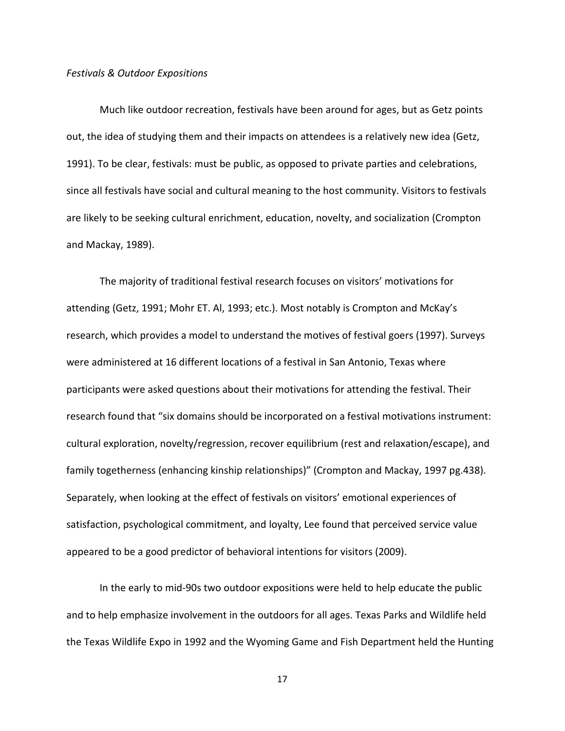#### *Festivals & Outdoor Expositions*

Much like outdoor recreation, festivals have been around for ages, but as Getz points out, the idea of studying them and their impacts on attendees is a relatively new idea (Getz, 1991). To be clear, festivals: must be public, as opposed to private parties and celebrations, since all festivals have social and cultural meaning to the host community. Visitors to festivals are likely to be seeking cultural enrichment, education, novelty, and socialization (Crompton and Mackay, 1989).

The majority of traditional festival research focuses on visitors' motivations for attending (Getz, 1991; Mohr ET. Al, 1993; etc.). Most notably is Crompton and McKay's research, which provides a model to understand the motives of festival goers (1997). Surveys were administered at 16 different locations of a festival in San Antonio, Texas where participants were asked questions about their motivations for attending the festival. Their research found that "six domains should be incorporated on a festival motivations instrument: cultural exploration, novelty/regression, recover equilibrium (rest and relaxation/escape), and family togetherness (enhancing kinship relationships)" (Crompton and Mackay, 1997 pg.438). Separately, when looking at the effect of festivals on visitors' emotional experiences of satisfaction, psychological commitment, and loyalty, Lee found that perceived service value appeared to be a good predictor of behavioral intentions for visitors (2009).

In the early to mid-90s two outdoor expositions were held to help educate the public and to help emphasize involvement in the outdoors for all ages. Texas Parks and Wildlife held the Texas Wildlife Expo in 1992 and the Wyoming Game and Fish Department held the Hunting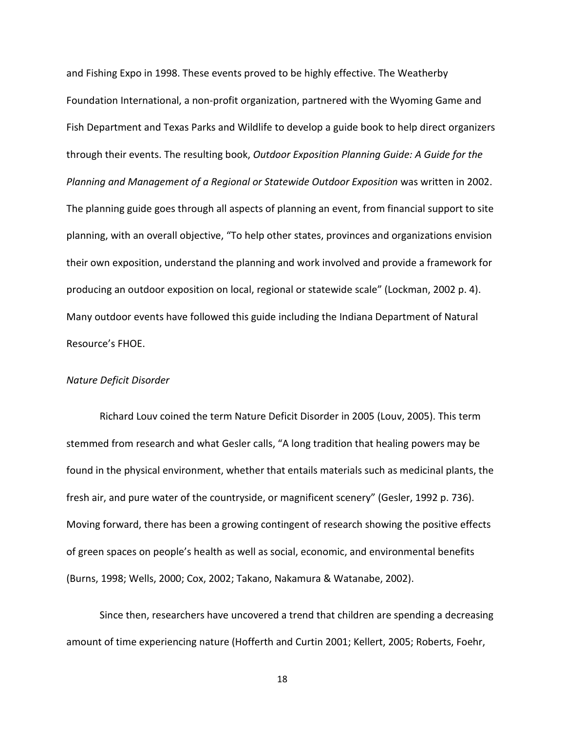and Fishing Expo in 1998. These events proved to be highly effective. The Weatherby Foundation International, a non-profit organization, partnered with the Wyoming Game and Fish Department and Texas Parks and Wildlife to develop a guide book to help direct organizers through their events. The resulting book, *Outdoor Exposition Planning Guide: A Guide for the Planning and Management of a Regional or Statewide Outdoor Exposition* was written in 2002. The planning guide goes through all aspects of planning an event, from financial support to site planning, with an overall objective, "To help other states, provinces and organizations envision their own exposition, understand the planning and work involved and provide a framework for producing an outdoor exposition on local, regional or statewide scale" (Lockman, 2002 p. 4). Many outdoor events have followed this guide including the Indiana Department of Natural Resource's FHOE.

### *Nature Deficit Disorder*

Richard Louv coined the term Nature Deficit Disorder in 2005 (Louv, 2005). This term stemmed from research and what Gesler calls, "A long tradition that healing powers may be found in the physical environment, whether that entails materials such as medicinal plants, the fresh air, and pure water of the countryside, or magnificent scenery" (Gesler, 1992 p. 736). Moving forward, there has been a growing contingent of research showing the positive effects of green spaces on people's health as well as social, economic, and environmental benefits (Burns, 1998; Wells, 2000; Cox, 2002; Takano, Nakamura & Watanabe, 2002).

Since then, researchers have uncovered a trend that children are spending a decreasing amount of time experiencing nature (Hofferth and Curtin 2001; Kellert, 2005; Roberts, Foehr,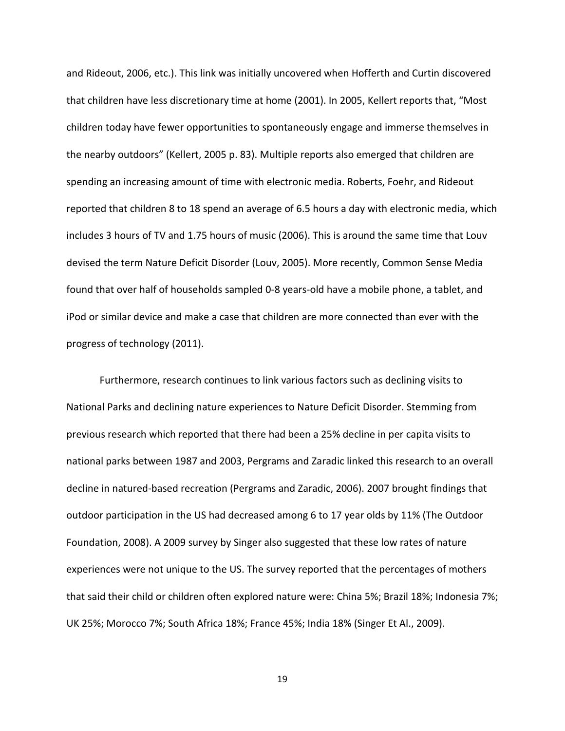and Rideout, 2006, etc.). This link was initially uncovered when Hofferth and Curtin discovered that children have less discretionary time at home (2001). In 2005, Kellert reports that, "Most children today have fewer opportunities to spontaneously engage and immerse themselves in the nearby outdoors" (Kellert, 2005 p. 83). Multiple reports also emerged that children are spending an increasing amount of time with electronic media. Roberts, Foehr, and Rideout reported that children 8 to 18 spend an average of 6.5 hours a day with electronic media, which includes 3 hours of TV and 1.75 hours of music (2006). This is around the same time that Louv devised the term Nature Deficit Disorder (Louv, 2005). More recently, Common Sense Media found that over half of households sampled 0-8 years-old have a mobile phone, a tablet, and iPod or similar device and make a case that children are more connected than ever with the progress of technology (2011).

Furthermore, research continues to link various factors such as declining visits to National Parks and declining nature experiences to Nature Deficit Disorder. Stemming from previous research which reported that there had been a 25% decline in per capita visits to national parks between 1987 and 2003, Pergrams and Zaradic linked this research to an overall decline in natured-based recreation (Pergrams and Zaradic, 2006). 2007 brought findings that outdoor participation in the US had decreased among 6 to 17 year olds by 11% (The Outdoor Foundation, 2008). A 2009 survey by Singer also suggested that these low rates of nature experiences were not unique to the US. The survey reported that the percentages of mothers that said their child or children often explored nature were: China 5%; Brazil 18%; Indonesia 7%; UK 25%; Morocco 7%; South Africa 18%; France 45%; India 18% (Singer Et Al., 2009).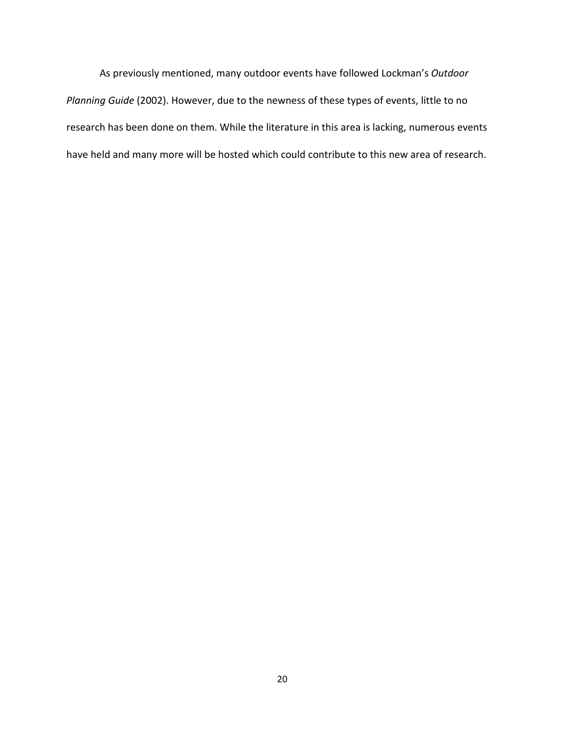As previously mentioned, many outdoor events have followed Lockman's *Outdoor Planning Guide* (2002). However, due to the newness of these types of events, little to no research has been done on them. While the literature in this area is lacking, numerous events have held and many more will be hosted which could contribute to this new area of research.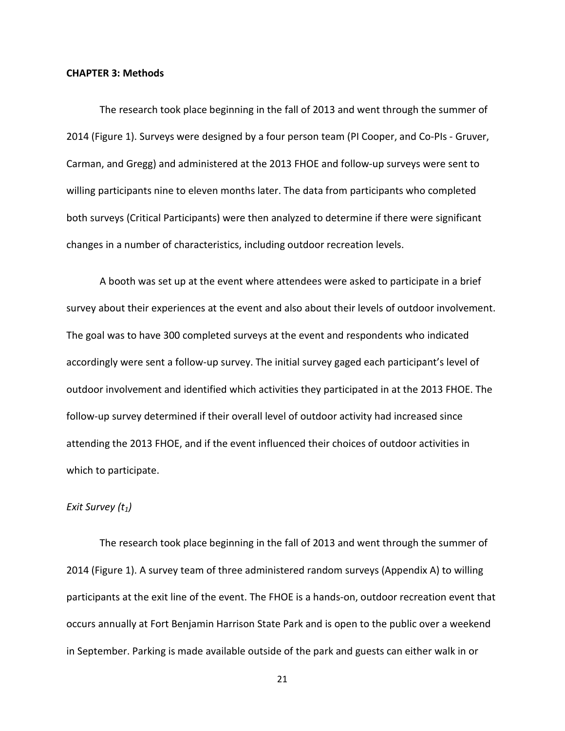### **CHAPTER 3: Methods**

The research took place beginning in the fall of 2013 and went through the summer of 2014 (Figure 1). Surveys were designed by a four person team (PI Cooper, and Co-PIs - Gruver, Carman, and Gregg) and administered at the 2013 FHOE and follow-up surveys were sent to willing participants nine to eleven months later. The data from participants who completed both surveys (Critical Participants) were then analyzed to determine if there were significant changes in a number of characteristics, including outdoor recreation levels.

A booth was set up at the event where attendees were asked to participate in a brief survey about their experiences at the event and also about their levels of outdoor involvement. The goal was to have 300 completed surveys at the event and respondents who indicated accordingly were sent a follow-up survey. The initial survey gaged each participant's level of outdoor involvement and identified which activities they participated in at the 2013 FHOE. The follow-up survey determined if their overall level of outdoor activity had increased since attending the 2013 FHOE, and if the event influenced their choices of outdoor activities in which to participate.

#### *Exit Survey (t<sub>1</sub>)*

The research took place beginning in the fall of 2013 and went through the summer of 2014 (Figure 1). A survey team of three administered random surveys (Appendix A) to willing participants at the exit line of the event. The FHOE is a hands-on, outdoor recreation event that occurs annually at Fort Benjamin Harrison State Park and is open to the public over a weekend in September. Parking is made available outside of the park and guests can either walk in or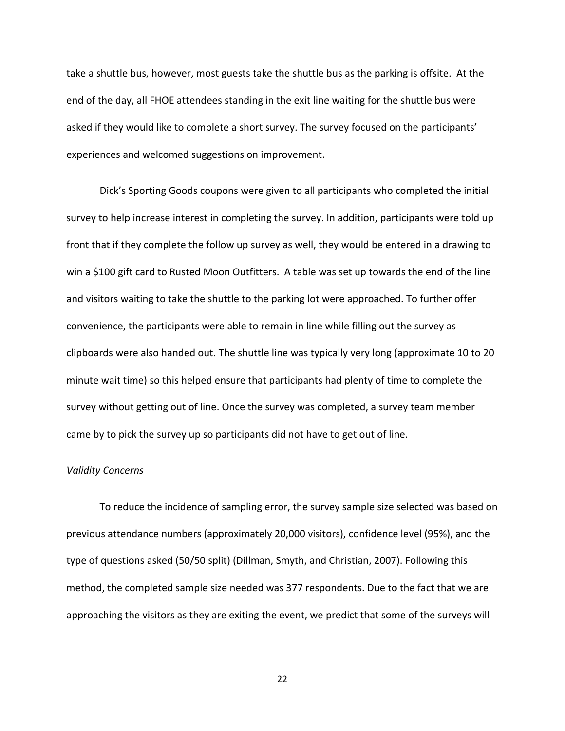take a shuttle bus, however, most guests take the shuttle bus as the parking is offsite. At the end of the day, all FHOE attendees standing in the exit line waiting for the shuttle bus were asked if they would like to complete a short survey. The survey focused on the participants' experiences and welcomed suggestions on improvement.

Dick's Sporting Goods coupons were given to all participants who completed the initial survey to help increase interest in completing the survey. In addition, participants were told up front that if they complete the follow up survey as well, they would be entered in a drawing to win a \$100 gift card to Rusted Moon Outfitters. A table was set up towards the end of the line and visitors waiting to take the shuttle to the parking lot were approached. To further offer convenience, the participants were able to remain in line while filling out the survey as clipboards were also handed out. The shuttle line was typically very long (approximate 10 to 20 minute wait time) so this helped ensure that participants had plenty of time to complete the survey without getting out of line. Once the survey was completed, a survey team member came by to pick the survey up so participants did not have to get out of line.

#### *Validity Concerns*

To reduce the incidence of sampling error, the survey sample size selected was based on previous attendance numbers (approximately 20,000 visitors), confidence level (95%), and the type of questions asked (50/50 split) (Dillman, Smyth, and Christian, 2007). Following this method, the completed sample size needed was 377 respondents. Due to the fact that we are approaching the visitors as they are exiting the event, we predict that some of the surveys will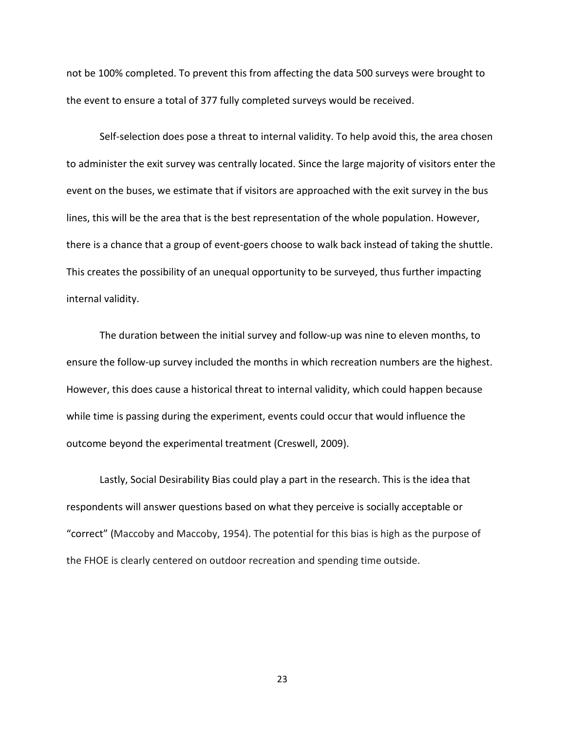not be 100% completed. To prevent this from affecting the data 500 surveys were brought to the event to ensure a total of 377 fully completed surveys would be received.

Self-selection does pose a threat to internal validity. To help avoid this, the area chosen to administer the exit survey was centrally located. Since the large majority of visitors enter the event on the buses, we estimate that if visitors are approached with the exit survey in the bus lines, this will be the area that is the best representation of the whole population. However, there is a chance that a group of event-goers choose to walk back instead of taking the shuttle. This creates the possibility of an unequal opportunity to be surveyed, thus further impacting internal validity.

The duration between the initial survey and follow-up was nine to eleven months, to ensure the follow-up survey included the months in which recreation numbers are the highest. However, this does cause a historical threat to internal validity, which could happen because while time is passing during the experiment, events could occur that would influence the outcome beyond the experimental treatment (Creswell, 2009).

Lastly, Social Desirability Bias could play a part in the research. This is the idea that respondents will answer questions based on what they perceive is socially acceptable or "correct" (Maccoby and Maccoby, 1954). The potential for this bias is high as the purpose of the FHOE is clearly centered on outdoor recreation and spending time outside.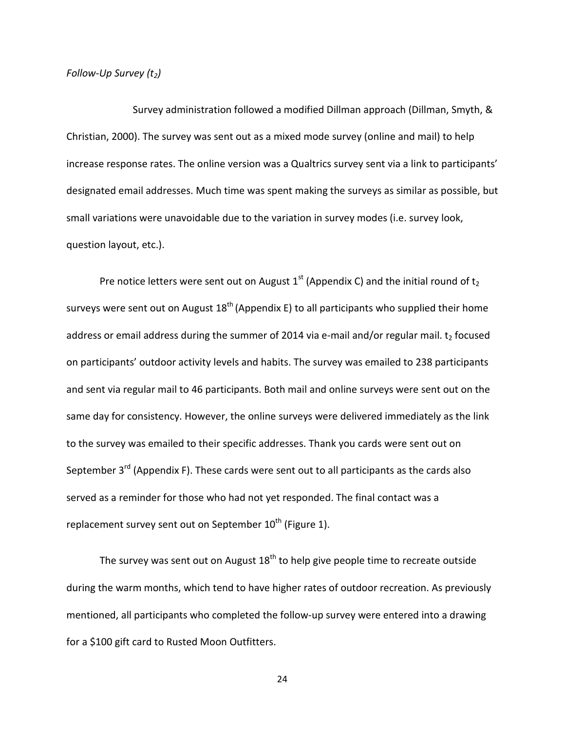### *Follow-Up Survey (t<sub>2</sub>)*

Survey administration followed a modified Dillman approach (Dillman, Smyth, & Christian, 2000). The survey was sent out as a mixed mode survey (online and mail) to help increase response rates. The online version was a Qualtrics survey sent via a link to participants' designated email addresses. Much time was spent making the surveys as similar as possible, but small variations were unavoidable due to the variation in survey modes (i.e. survey look, question layout, etc.).

Pre notice letters were sent out on August  $1<sup>st</sup>$  (Appendix C) and the initial round of t<sub>2</sub> surveys were sent out on August  $18<sup>th</sup>$  (Appendix E) to all participants who supplied their home address or email address during the summer of 2014 via e-mail and/or regular mail.  $t_2$  focused on participants' outdoor activity levels and habits. The survey was emailed to 238 participants and sent via regular mail to 46 participants. Both mail and online surveys were sent out on the same day for consistency. However, the online surveys were delivered immediately as the link to the survey was emailed to their specific addresses. Thank you cards were sent out on September 3<sup>rd</sup> (Appendix F). These cards were sent out to all participants as the cards also served as a reminder for those who had not yet responded. The final contact was a replacement survey sent out on September  $10^{th}$  (Figure 1).

The survey was sent out on August  $18<sup>th</sup>$  to help give people time to recreate outside during the warm months, which tend to have higher rates of outdoor recreation. As previously mentioned, all participants who completed the follow-up survey were entered into a drawing for a \$100 gift card to Rusted Moon Outfitters.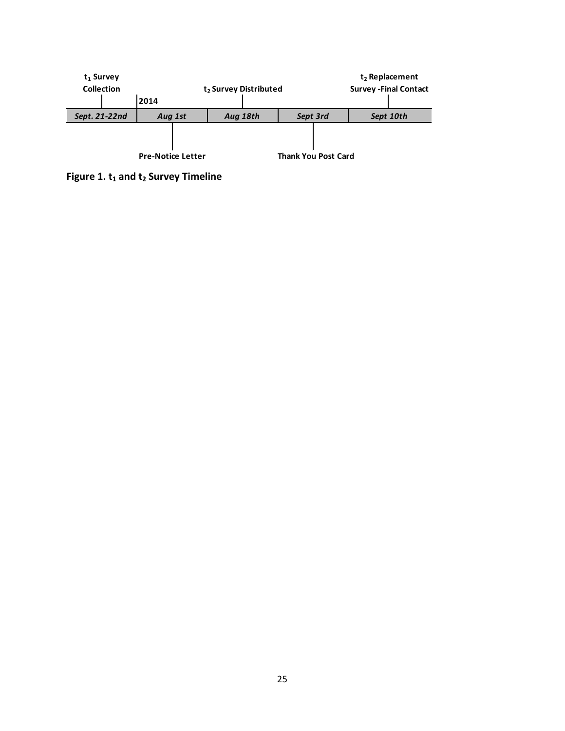

**Figure 1. t<sub>1</sub> and t<sub>2</sub> Survey Timeline**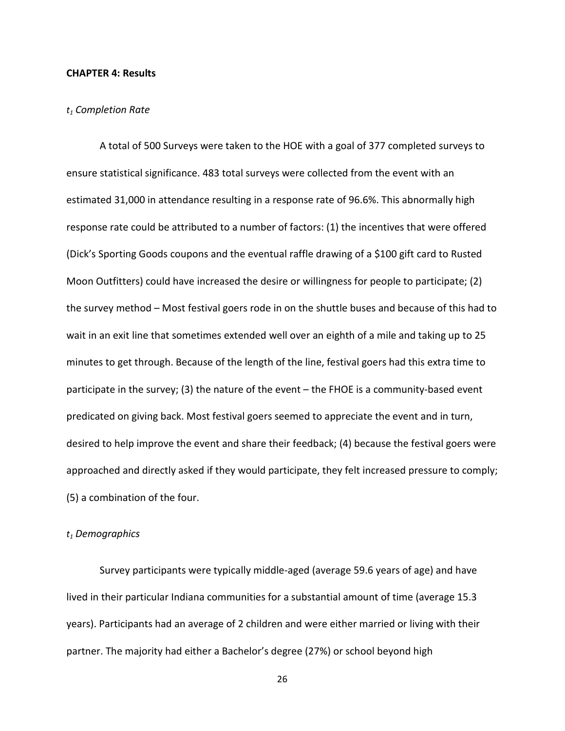#### **CHAPTER 4: Results**

#### *t1 Completion Rate*

A total of 500 Surveys were taken to the HOE with a goal of 377 completed surveys to ensure statistical significance. 483 total surveys were collected from the event with an estimated 31,000 in attendance resulting in a response rate of 96.6%. This abnormally high response rate could be attributed to a number of factors: (1) the incentives that were offered (Dick's Sporting Goods coupons and the eventual raffle drawing of a \$100 gift card to Rusted Moon Outfitters) could have increased the desire or willingness for people to participate; (2) the survey method – Most festival goers rode in on the shuttle buses and because of this had to wait in an exit line that sometimes extended well over an eighth of a mile and taking up to 25 minutes to get through. Because of the length of the line, festival goers had this extra time to participate in the survey; (3) the nature of the event – the FHOE is a community-based event predicated on giving back. Most festival goers seemed to appreciate the event and in turn, desired to help improve the event and share their feedback; (4) because the festival goers were approached and directly asked if they would participate, they felt increased pressure to comply; (5) a combination of the four.

#### *t1 Demographics*

Survey participants were typically middle-aged (average 59.6 years of age) and have lived in their particular Indiana communities for a substantial amount of time (average 15.3 years). Participants had an average of 2 children and were either married or living with their partner. The majority had either a Bachelor's degree (27%) or school beyond high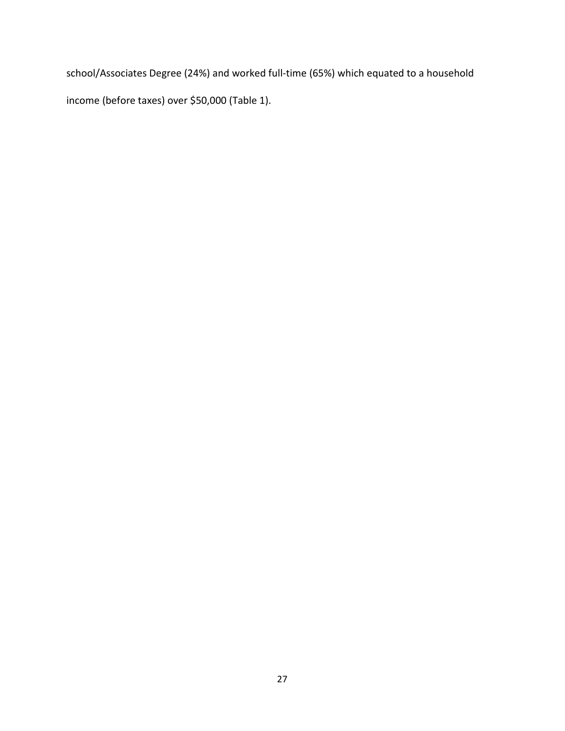school/Associates Degree (24%) and worked full-time (65%) which equated to a household income (before taxes) over \$50,000 (Table 1).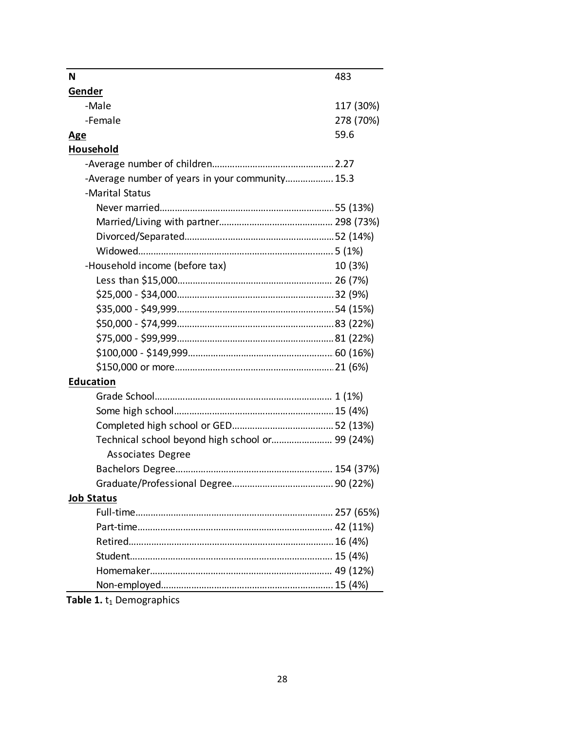| N                                               | 483       |
|-------------------------------------------------|-----------|
| Gender                                          |           |
| -Male                                           | 117 (30%) |
| -Female                                         | 278 (70%) |
|                                                 | 59.6      |
| <u>Age</u><br>Household                         |           |
|                                                 |           |
| -Average number of years in your community 15.3 |           |
| -Marital Status                                 |           |
|                                                 |           |
|                                                 |           |
|                                                 |           |
|                                                 |           |
| -Household income (before tax)                  | 10 (3%)   |
|                                                 |           |
|                                                 |           |
|                                                 |           |
|                                                 |           |
|                                                 |           |
|                                                 |           |
|                                                 |           |
| <b>Education</b>                                |           |
|                                                 |           |
|                                                 |           |
|                                                 |           |
| Technical school beyond high school or 99 (24%) |           |
| <b>Associates Degree</b>                        |           |
|                                                 |           |
|                                                 |           |
| <b>Job Status</b>                               |           |
|                                                 |           |
|                                                 |           |
|                                                 |           |
|                                                 |           |
|                                                 |           |
|                                                 |           |

**Table 1.** t<sub>1</sub> Demographics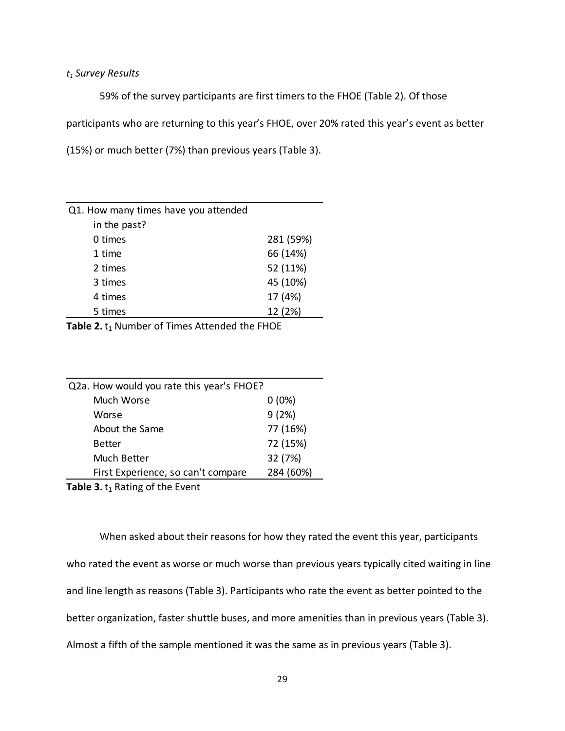## *t1 Survey Results*

59% of the survey participants are first timers to the FHOE (Table 2). Of those

participants who are returning to this year's FHOE, over 20% rated this year's event as better

(15%) or much better (7%) than previous years (Table 3).

| Q1. How many times have you attended |           |
|--------------------------------------|-----------|
| in the past?                         |           |
| 0 times                              | 281 (59%) |
| 1 time                               | 66 (14%)  |
| 2 times                              | 52 (11%)  |
| 3 times                              | 45 (10%)  |
| 4 times                              | 17 (4%)   |
| 5 times                              | 12 (2%)   |
|                                      |           |

Table 2. t<sub>1</sub> Number of Times Attended the FHOE

|        | Q2a. How would you rate this year's FHOE? |           |
|--------|-------------------------------------------|-----------|
|        | Much Worse                                | $0(0\%)$  |
| Worse  |                                           | 9(2%)     |
|        | About the Same                            | 77 (16%)  |
| Better |                                           | 72 (15%)  |
|        | Much Better                               | 32 (7%)   |
|        | First Experience, so can't compare        | 284 (60%) |
|        |                                           |           |

**Table 3.** t<sub>1</sub> Rating of the Event

When asked about their reasons for how they rated the event this year, participants who rated the event as worse or much worse than previous years typically cited waiting in line and line length as reasons (Table 3). Participants who rate the event as better pointed to the better organization, faster shuttle buses, and more amenities than in previous years (Table 3). Almost a fifth of the sample mentioned it was the same as in previous years (Table 3).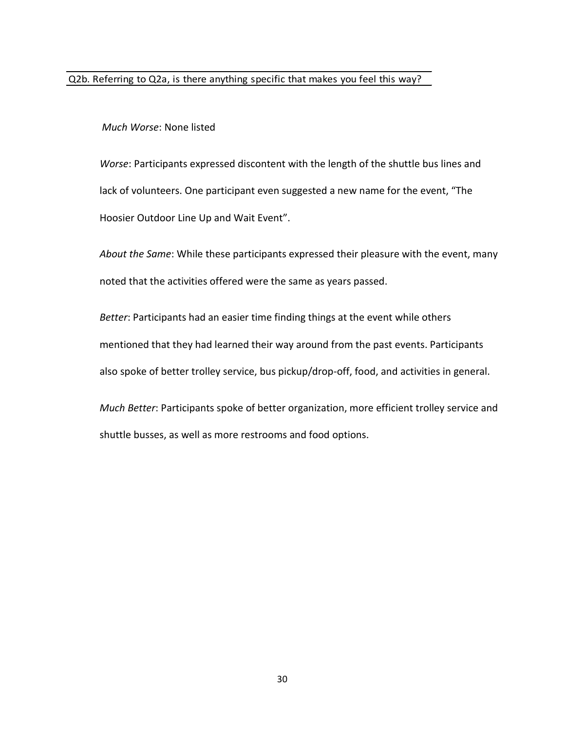## Q2b. Referring to Q2a, is there anything specific that makes you feel this way?

## *Much Worse*: None listed

*Worse*: Participants expressed discontent with the length of the shuttle bus lines and lack of volunteers. One participant even suggested a new name for the event, "The Hoosier Outdoor Line Up and Wait Event".

*About the Same*: While these participants expressed their pleasure with the event, many noted that the activities offered were the same as years passed.

*Better*: Participants had an easier time finding things at the event while others mentioned that they had learned their way around from the past events. Participants also spoke of better trolley service, bus pickup/drop-off, food, and activities in general.

*Much Better*: Participants spoke of better organization, more efficient trolley service and shuttle busses, as well as more restrooms and food options.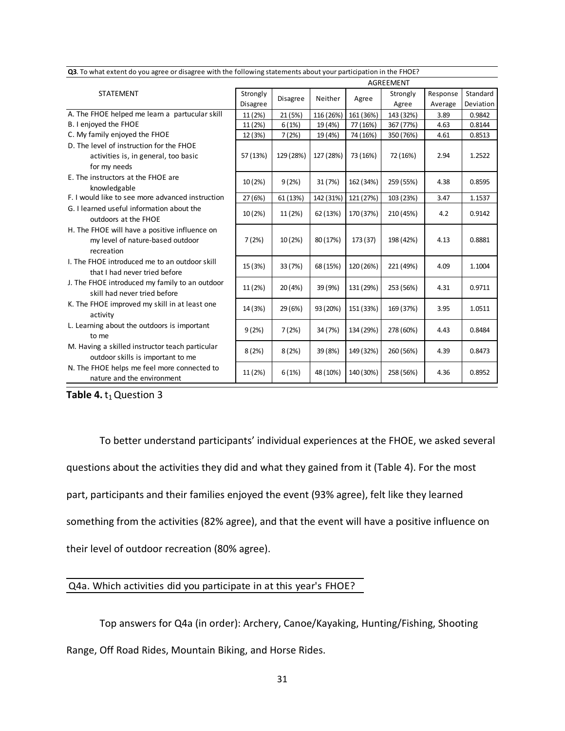| Q3. To what extent do you agree or disagree with the following statements about your participation in the FHOE? |                  |           |           |           |           |          |           |  |
|-----------------------------------------------------------------------------------------------------------------|------------------|-----------|-----------|-----------|-----------|----------|-----------|--|
|                                                                                                                 | <b>AGREEMENT</b> |           |           |           |           |          |           |  |
| <b>STATEMENT</b>                                                                                                | Strongly         |           | Neither   |           | Strongly  | Response | Standard  |  |
|                                                                                                                 | <b>Disagree</b>  | Disagree  |           | Agree     | Agree     | Average  | Deviation |  |
| A. The FHOE helped me learn a partucular skill                                                                  | 11 (2%)          | 21 (5%)   | 116 (26%) | 161 (36%) | 143 (32%) | 3.89     | 0.9842    |  |
| B. I enjoyed the FHOE                                                                                           | 11 (2%)          | 6(1%)     | 19 (4%)   | 77 (16%)  | 367 (77%) | 4.63     | 0.8144    |  |
| C. My family enjoyed the FHOE                                                                                   | 12 (3%)          | 7(2%)     | 19 (4%)   | 74 (16%)  | 350 (76%) | 4.61     | 0.8513    |  |
| D. The level of instruction for the FHOE                                                                        |                  |           |           |           |           |          |           |  |
| activities is, in general, too basic                                                                            | 57 (13%)         | 129 (28%) | 127 (28%) | 73 (16%)  | 72 (16%)  | 2.94     | 1.2522    |  |
| for my needs                                                                                                    |                  |           |           |           |           |          |           |  |
| E. The instructors at the FHOE are                                                                              | 10 (2%)          | 9(2%)     | 31 (7%)   | 162 (34%) | 259 (55%) | 4.38     | 0.8595    |  |
| knowledgable                                                                                                    |                  |           |           |           |           |          |           |  |
| F. I would like to see more advanced instruction                                                                | 27 (6%)          | 61 (13%)  | 142 (31%) | 121 (27%) | 103 (23%) | 3.47     | 1.1537    |  |
| G. I learned useful information about the                                                                       | 10(2%)           | 11 (2%)   | 62 (13%)  | 170 (37%) | 210 (45%) | 4.2      | 0.9142    |  |
| outdoors at the FHOE                                                                                            |                  |           |           |           |           |          |           |  |
| H. The FHOE will have a positive influence on                                                                   |                  |           |           |           |           |          |           |  |
| my level of nature-based outdoor                                                                                | 7(2%)            | 10(2%)    | 80 (17%)  | 173 (37)  | 198 (42%) | 4.13     | 0.8881    |  |
| recreation                                                                                                      |                  |           |           |           |           |          |           |  |
| I. The FHOE introduced me to an outdoor skill                                                                   |                  |           |           |           |           |          |           |  |
| that I had never tried before                                                                                   | 15 (3%)          | 33 (7%)   | 68 (15%)  | 120 (26%) | 221 (49%) | 4.09     | 1.1004    |  |
| J. The FHOE introduced my family to an outdoor                                                                  | 11 (2%)          |           | 39 (9%)   | 131 (29%) | 253 (56%) | 4.31     | 0.9711    |  |
| skill had never tried before                                                                                    |                  | 20(4%)    |           |           |           |          |           |  |
| K. The FHOE improved my skill in at least one                                                                   | 14 (3%)          |           |           |           | 169 (37%) |          |           |  |
| activity                                                                                                        |                  | 29 (6%)   | 93 (20%)  | 151 (33%) |           | 3.95     | 1.0511    |  |
| L. Learning about the outdoors is important                                                                     |                  |           |           |           |           |          |           |  |
| to me                                                                                                           | 9(2%)            | 7(2%)     | 34 (7%)   | 134 (29%) | 278 (60%) | 4.43     | 0.8484    |  |
| M. Having a skilled instructor teach particular                                                                 |                  |           |           |           |           |          |           |  |
| outdoor skills is important to me                                                                               | 8(2%)            | 8(2%)     | 39 (8%)   | 149 (32%) | 260 (56%) | 4.39     | 0.8473    |  |
| N. The FHOE helps me feel more connected to                                                                     |                  |           |           |           |           |          |           |  |
| nature and the environment                                                                                      | 11 (2%)          | 6(1%)     | 48 (10%)  | 140 (30%) | 258 (56%) | 4.36     | 0.8952    |  |
|                                                                                                                 |                  |           |           |           |           |          |           |  |

**Table 4.** t<sub>1</sub> Question 3

To better understand participants' individual experiences at the FHOE, we asked several questions about the activities they did and what they gained from it (Table 4). For the most part, participants and their families enjoyed the event (93% agree), felt like they learned something from the activities (82% agree), and that the event will have a positive influence on their level of outdoor recreation (80% agree).

### Q4a. Which activities did you participate in at this year's FHOE?

Top answers for Q4a (in order): Archery, Canoe/Kayaking, Hunting/Fishing, Shooting Range, Off Road Rides, Mountain Biking, and Horse Rides.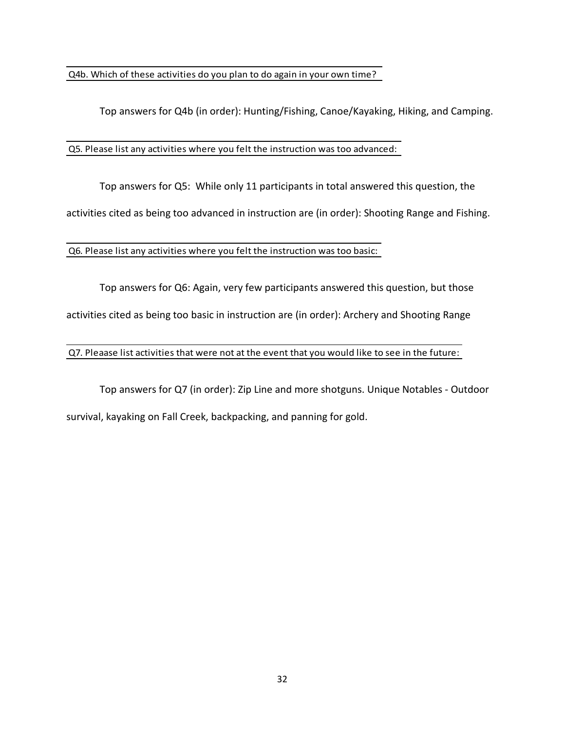Q4b. Which of these activities do you plan to do again in your own time?

Top answers for Q4b (in order): Hunting/Fishing, Canoe/Kayaking, Hiking, and Camping.

Q5. Please list any activities where you felt the instruction was too advanced:

Top answers for Q5: While only 11 participants in total answered this question, the

activities cited as being too advanced in instruction are (in order): Shooting Range and Fishing.

### Q6. Please list any activities where you felt the instruction was too basic:

Top answers for Q6: Again, very few participants answered this question, but those activities cited as being too basic in instruction are (in order): Archery and Shooting Range

### Q7. Pleaase list activities that were not at the event that you would like to see in the future:

Top answers for Q7 (in order): Zip Line and more shotguns. Unique Notables - Outdoor survival, kayaking on Fall Creek, backpacking, and panning for gold.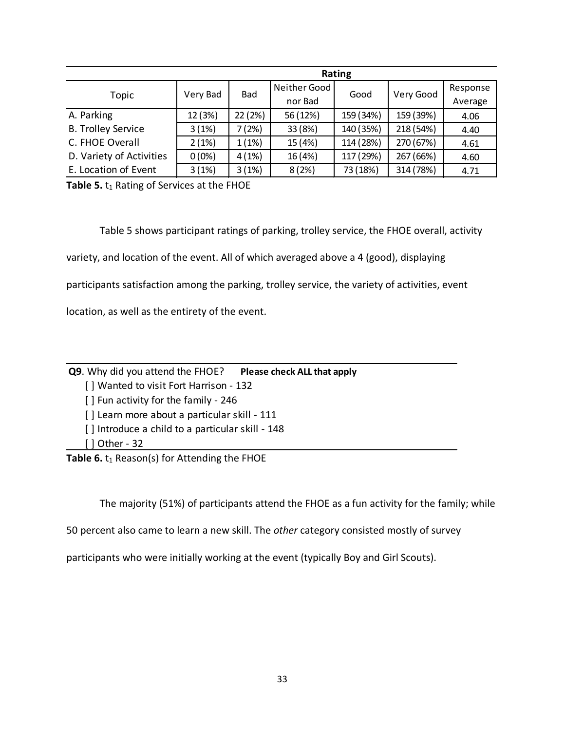|                           | Rating   |            |              |           |           |          |  |  |  |
|---------------------------|----------|------------|--------------|-----------|-----------|----------|--|--|--|
|                           |          | <b>Bad</b> | Neither Good | Good      |           | Response |  |  |  |
| Topic                     | Very Bad |            | nor Bad      |           | Very Good | Average  |  |  |  |
| A. Parking                | 12 (3%)  | 22(2%)     | 56 (12%)     | 159 (34%) | 159 (39%) | 4.06     |  |  |  |
| <b>B. Trolley Service</b> | 3(1%)    | 7(2%)      | 33 (8%)      | 140 (35%) | 218 (54%) | 4.40     |  |  |  |
| C. FHOE Overall           | 2(1%)    | 1(1%)      | 15 (4%)      | 114 (28%) | 270 (67%) | 4.61     |  |  |  |
| D. Variety of Activities  | $0(0\%)$ | 4(1%)      | 16 (4%)      | 117 (29%) | 267 (66%) | 4.60     |  |  |  |
| E. Location of Event      | 3(1%)    | 3(1%)      | 8(2%)        | 73 (18%)  | 314 (78%) | 4.71     |  |  |  |

Table 5. t<sub>1</sub> Rating of Services at the FHOE

Table 5 shows participant ratings of parking, trolley service, the FHOE overall, activity variety, and location of the event. All of which averaged above a 4 (good), displaying participants satisfaction among the parking, trolley service, the variety of activities, event

location, as well as the entirety of the event.

**Q9**. Why did you attend the FHOE? **Please check ALL that apply**

[ ] Wanted to visit Fort Harrison - 132

[ ] Fun activity for the family - 246

[] Learn more about a particular skill - 111

[] Introduce a child to a particular skill - 148

[ ] Other - 32

Table 6. t<sub>1</sub> Reason(s) for Attending the FHOE

The majority (51%) of participants attend the FHOE as a fun activity for the family; while

50 percent also came to learn a new skill. The *other* category consisted mostly of survey

participants who were initially working at the event (typically Boy and Girl Scouts).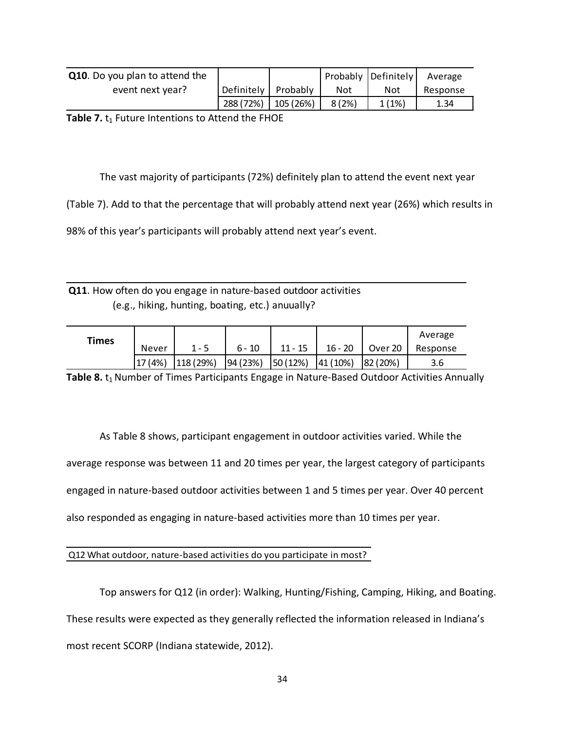| <b>Q10.</b> Do you plan to attend the |                       |           |       | Probably Definitely | Average  |
|---------------------------------------|-----------------------|-----------|-------|---------------------|----------|
| event next year?                      | Definitely   Probably |           | Not   | Not                 | Response |
|                                       | 288 (72%)             | 105 (26%) | 8(2%) | 1(1%)               | 1.34     |

**Table 7.** t<sub>1</sub> Future Intentions to Attend the FHOE

The vast majority of participants (72%) definitely plan to attend the event next year

(Table 7). Add to that the percentage that will probably attend next year (26%) which results in

98% of this year's participants will probably attend next year's event.

**Q11**. How often do you engage in nature-based outdoor activities (e.g., hiking, hunting, boating, etc.) anuually?

| <b>Times</b> |        |          |          |           |           |          | Average  |
|--------------|--------|----------|----------|-----------|-----------|----------|----------|
|              | Never  | $1 - 5$  | $6 - 10$ | $11 - 15$ | $16 - 20$ | Over 20  | Response |
|              | 17(4%) | 118(29%) | 94(23%)  | 50(12%)   | 41 (10%)  | 82 (20%) | 3.6      |

**Table 8.** t<sub>1</sub> Number of Times Participants Engage in Nature-Based Outdoor Activities Annually

As Table 8 shows, participant engagement in outdoor activities varied. While the average response was between 11 and 20 times per year, the largest category of participants engaged in nature-based outdoor activities between 1 and 5 times per year. Over 40 percent also responded as engaging in nature-based activities more than 10 times per year.

## Q12 What outdoor, nature-based activities do you participate in most?

Top answers for Q12 (in order): Walking, Hunting/Fishing, Camping, Hiking, and Boating. These results were expected as they generally reflected the information released in Indiana's most recent SCORP (Indiana statewide, 2012).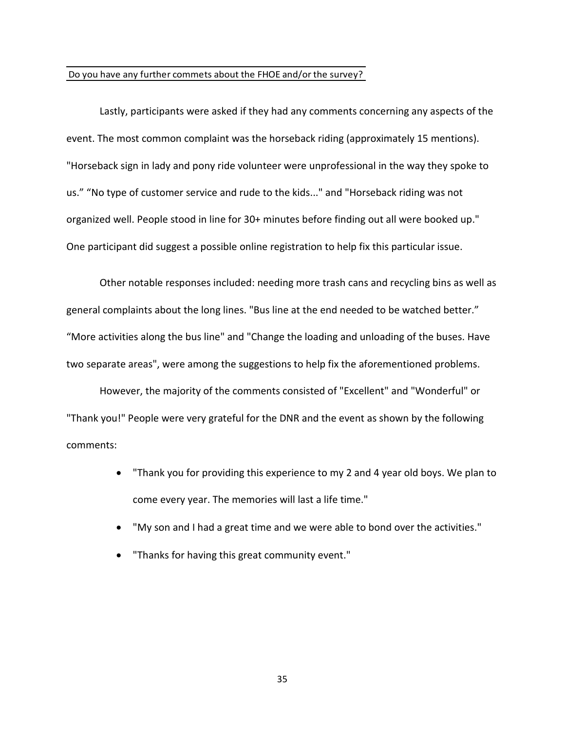### Do you have any further commets about the FHOE and/or the survey?

Lastly, participants were asked if they had any comments concerning any aspects of the event. The most common complaint was the horseback riding (approximately 15 mentions). "Horseback sign in lady and pony ride volunteer were unprofessional in the way they spoke to us." "No type of customer service and rude to the kids..." and "Horseback riding was not organized well. People stood in line for 30+ minutes before finding out all were booked up." One participant did suggest a possible online registration to help fix this particular issue.

Other notable responses included: needing more trash cans and recycling bins as well as general complaints about the long lines. "Bus line at the end needed to be watched better." "More activities along the bus line" and "Change the loading and unloading of the buses. Have two separate areas", were among the suggestions to help fix the aforementioned problems.

However, the majority of the comments consisted of "Excellent" and "Wonderful" or "Thank you!" People were very grateful for the DNR and the event as shown by the following comments:

- "Thank you for providing this experience to my 2 and 4 year old boys. We plan to come every year. The memories will last a life time."
- "My son and I had a great time and we were able to bond over the activities."
- "Thanks for having this great community event."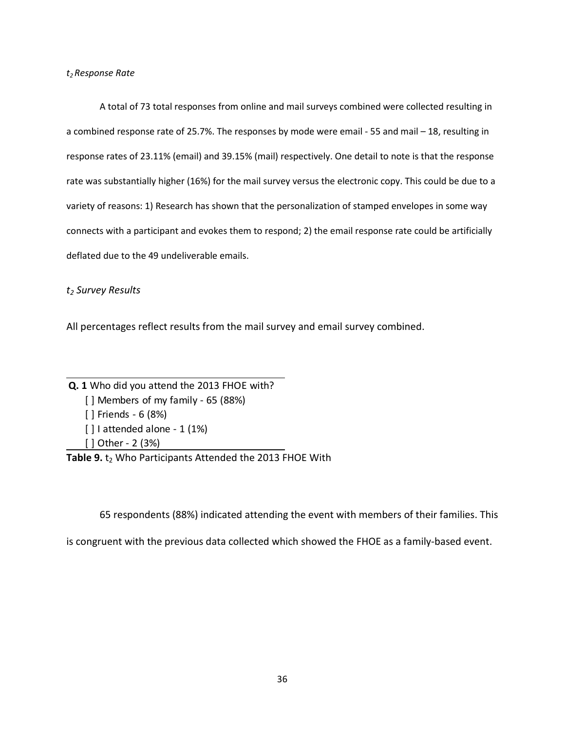## *t2 Response Rate*

A total of 73 total responses from online and mail surveys combined were collected resulting in a combined response rate of 25.7%. The responses by mode were email - 55 and mail – 18, resulting in response rates of 23.11% (email) and 39.15% (mail) respectively. One detail to note is that the response rate was substantially higher (16%) for the mail survey versus the electronic copy. This could be due to a variety of reasons: 1) Research has shown that the personalization of stamped envelopes in some way connects with a participant and evokes them to respond; 2) the email response rate could be artificially deflated due to the 49 undeliverable emails.

*t2 Survey Results*

All percentages reflect results from the mail survey and email survey combined.

| <b>Q. 1</b> Who did you attend the 2013 FHOE with? |
|----------------------------------------------------|
| $\lceil$ Members of my family - 65 (88%)           |
| $\lceil$   Friends - 6 (8%)                        |
| $\lceil$   attended alone - 1 (1%)                 |
| $[$   Other - 2 (3%)                               |
|                                                    |

**Table 9.** t<sub>2</sub> Who Participants Attended the 2013 FHOE With

65 respondents (88%) indicated attending the event with members of their families. This

is congruent with the previous data collected which showed the FHOE as a family-based event.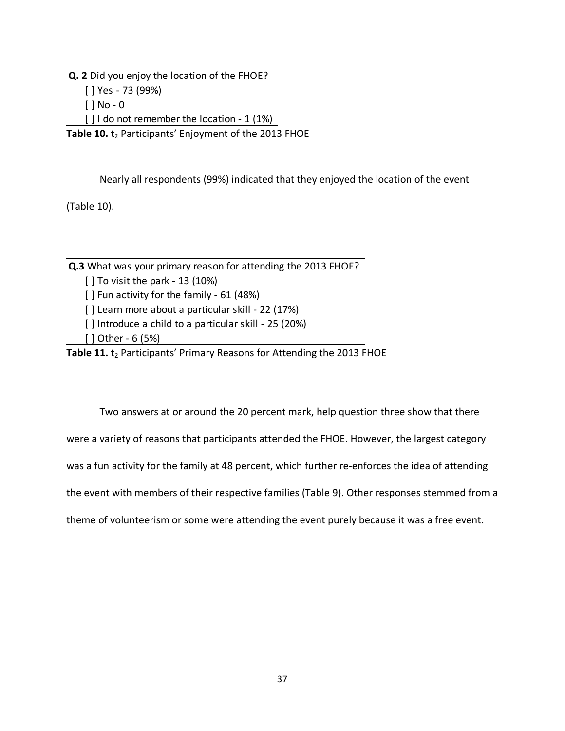**Q. 2** Did you enjoy the location of the FHOE?

[ ] Yes - 73 (99%)

[ ] No - 0

[] I do not remember the location - 1 (1%)

Table 10. t<sub>2</sub> Participants' Enjoyment of the 2013 FHOE

Nearly all respondents (99%) indicated that they enjoyed the location of the event

(Table 10).

**Q.3** What was your primary reason for attending the 2013 FHOE?

[ ] To visit the park - 13 (10%)

[] Fun activity for the family - 61 (48%)

[] Learn more about a particular skill - 22 (17%)

[] Introduce a child to a particular skill - 25 (20%)

[ ] Other - 6 (5%)

Table 11. t<sub>2</sub> Participants' Primary Reasons for Attending the 2013 FHOE

Two answers at or around the 20 percent mark, help question three show that there were a variety of reasons that participants attended the FHOE. However, the largest category was a fun activity for the family at 48 percent, which further re-enforces the idea of attending the event with members of their respective families (Table 9). Other responses stemmed from a theme of volunteerism or some were attending the event purely because it was a free event.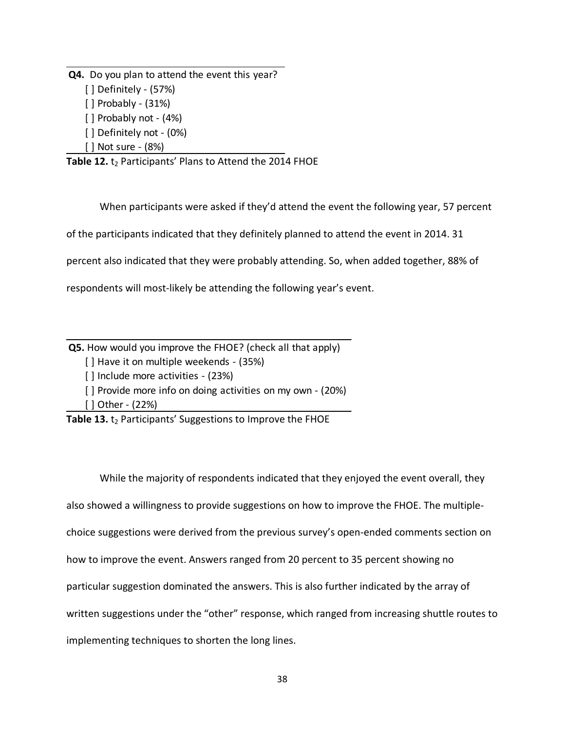**Q4.** Do you plan to attend the event this year? [ ] Definitely - (57%) [ ] Probably - (31%) [ ] Probably not - (4%) [ ] Definitely not - (0%) [ ] Not sure - (8%)

Table 12. t<sub>2</sub> Participants' Plans to Attend the 2014 FHOE

When participants were asked if they'd attend the event the following year, 57 percent

of the participants indicated that they definitely planned to attend the event in 2014. 31

percent also indicated that they were probably attending. So, when added together, 88% of

respondents will most-likely be attending the following year's event.

**Q5.** How would you improve the FHOE? (check all that apply)

[] Have it on multiple weekends - (35%)

[] Include more activities - (23%)

[ ] Provide more info on doing activities on my own - (20%)

[ ] Other - (22%)

Table 13. t<sub>2</sub> Participants' Suggestions to Improve the FHOE

While the majority of respondents indicated that they enjoyed the event overall, they also showed a willingness to provide suggestions on how to improve the FHOE. The multiplechoice suggestions were derived from the previous survey's open-ended comments section on how to improve the event. Answers ranged from 20 percent to 35 percent showing no particular suggestion dominated the answers. This is also further indicated by the array of written suggestions under the "other" response, which ranged from increasing shuttle routes to implementing techniques to shorten the long lines.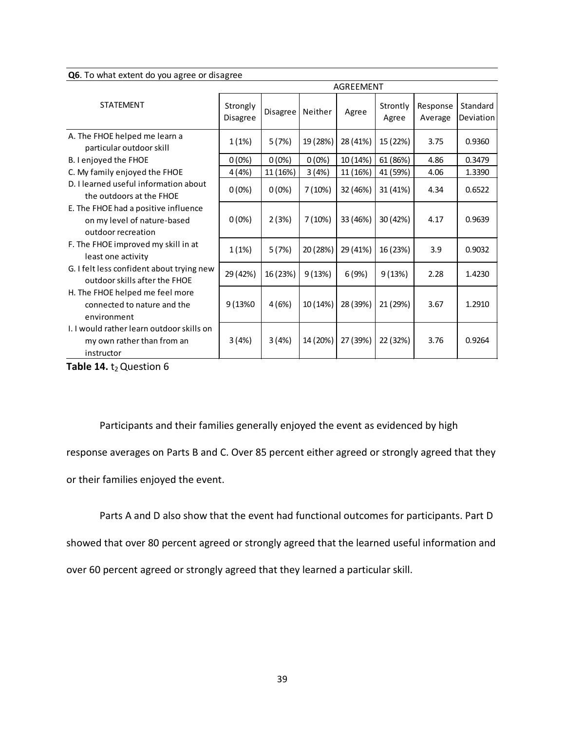| <b>QUE TO WHAT CATCHE AD YOU USICE OF UISUSICE</b>                                                                                                             |                      |          |          | AGREEMENT |                   |                     |                       |
|----------------------------------------------------------------------------------------------------------------------------------------------------------------|----------------------|----------|----------|-----------|-------------------|---------------------|-----------------------|
| <b>STATEMENT</b>                                                                                                                                               | Strongly<br>Disagree | Disagree | Neither  | Agree     | Strontly<br>Agree | Response<br>Average | Standard<br>Deviation |
| A. The FHOE helped me learn a<br>particular outdoor skill                                                                                                      | 1(1%)                | 5(7%)    | 19 (28%) | 28 (41%)  | 15 (22%)          | 3.75                | 0.9360                |
| B. I enjoyed the FHOE                                                                                                                                          | 0(0%)                | 0(0%)    | 0(0%)    | 10 (14%)  | 61 (86%)          | 4.86                | 0.3479                |
| C. My family enjoyed the FHOE                                                                                                                                  | 4 (4%)               | 11 (16%) | 3(4%)    | 11 (16%)  | 41 (59%)          | 4.06                | 1.3390                |
| D. I learned useful information about<br>the outdoors at the FHOE<br>E. The FHOE had a positive influence<br>on my level of nature-based<br>outdoor recreation | 0(0%)                | $0(0\%)$ | 7(10%)   | 32 (46%)  | 31 (41%)          | 4.34                | 0.6522                |
|                                                                                                                                                                | $0(0\%)$             | 2(3%)    | 7(10%)   | 33 (46%)  | 30 (42%)          | 4.17                | 0.9639                |
| F. The FHOE improved my skill in at<br>least one activity                                                                                                      | 1(1%)                | 5(7%)    | 20 (28%) | 29 (41%)  | 16 (23%)          | 3.9                 | 0.9032                |
| G. I felt less confident about trying new<br>outdoor skills after the FHOE                                                                                     | 29 (42%)             | 16 (23%) | 9(13%)   | 6(9%)     | 9(13%)            | 2.28                | 1.4230                |
| H. The FHOE helped me feel more<br>connected to nature and the<br>environment                                                                                  | 9 (13%0              | 4(6%)    | 10 (14%) | 28 (39%)  | 21 (29%)          | 3.67                | 1.2910                |
| I. I would rather learn outdoor skills on<br>my own rather than from an<br>instructor                                                                          | 3(4%)                | 3(4%)    | 14 (20%) | 27 (39%)  | 22 (32%)          | 3.76                | 0.9264                |

**Q6**. To what extent do you agree or disagree

**Table 14.** t<sub>2</sub> Question 6

Participants and their families generally enjoyed the event as evidenced by high

response averages on Parts B and C. Over 85 percent either agreed or strongly agreed that they

or their families enjoyed the event.

Parts A and D also show that the event had functional outcomes for participants. Part D

showed that over 80 percent agreed or strongly agreed that the learned useful information and

over 60 percent agreed or strongly agreed that they learned a particular skill.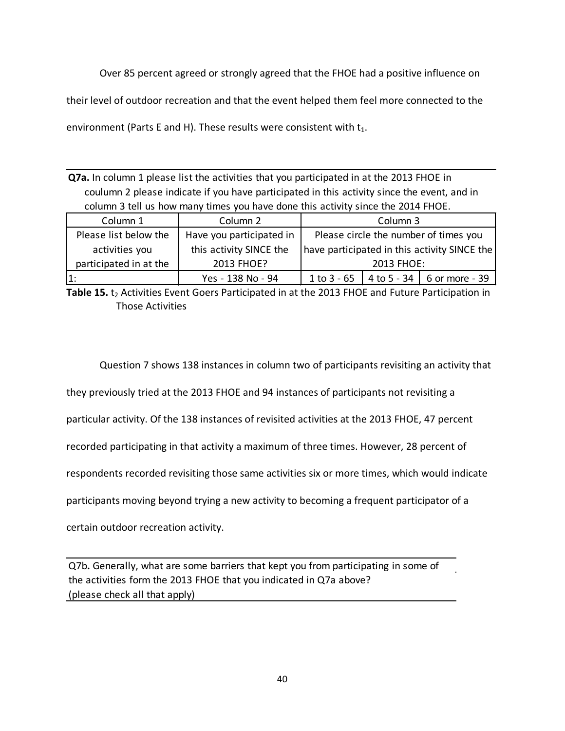Over 85 percent agreed or strongly agreed that the FHOE had a positive influence on

their level of outdoor recreation and that the event helped them feel more connected to the

environment (Parts E and H). These results were consistent with  $t_1$ .

**Q7a.** In column 1 please list the activities that you participated in at the 2013 FHOE in coulumn 2 please indicate if you have participated in this activity since the event, and in column 3 tell us how many times you have done this activity since the 2014 FHOE.

| Column 1               | Column 3                                                          |                                              |  |                              |  |
|------------------------|-------------------------------------------------------------------|----------------------------------------------|--|------------------------------|--|
| Please list below the  | Please circle the number of times you<br>Have you participated in |                                              |  |                              |  |
| activities you         | this activity SINCE the                                           | have participated in this activity SINCE the |  |                              |  |
| participated in at the | 2013 FHOE?                                                        | 2013 FHOE:                                   |  |                              |  |
|                        | Yes - 138 No - 94                                                 | 1 to 3 - 65                                  |  | 4 to 5 - 34   6 or more - 39 |  |

Table 15. t<sub>2</sub> Activities Event Goers Participated in at the 2013 FHOE and Future Participation in Those Activities

Question 7 shows 138 instances in column two of participants revisiting an activity that

they previously tried at the 2013 FHOE and 94 instances of participants not revisiting a

particular activity. Of the 138 instances of revisited activities at the 2013 FHOE, 47 percent

recorded participating in that activity a maximum of three times. However, 28 percent of

respondents recorded revisiting those same activities six or more times, which would indicate

participants moving beyond trying a new activity to becoming a frequent participator of a

certain outdoor recreation activity.

Q7b**.** Generally, what are some barriers that kept you from participating in some of the activities form the 2013 FHOE that you indicated in Q7a above? (please check all that apply)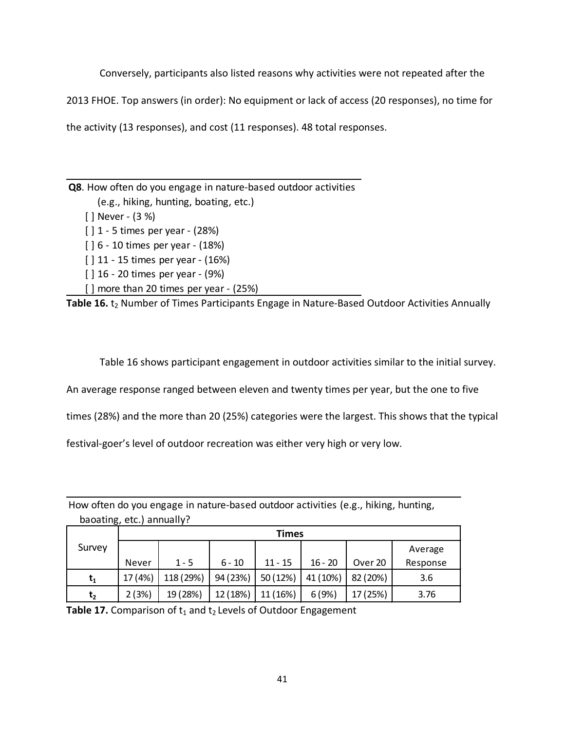Conversely, participants also listed reasons why activities were not repeated after the

2013 FHOE. Top answers (in order): No equipment or lack of access (20 responses), no time for

the activity (13 responses), and cost (11 responses). 48 total responses.

(e.g., hiking, hunting, boating, etc.) [] more than 20 times per year - (25%) **Q8**. How often do you engage in nature-based outdoor activities [ ] Never - (3 %) [ ] 1 - 5 times per year - (28%) [  $\vert$  6 - 10 times per year - (18%) [ ] 11 - 15 times per year - (16%) [ ] 16 - 20 times per year - (9%)

Table 16. t<sub>2</sub> Number of Times Participants Engage in Nature-Based Outdoor Activities Annually

Table 16 shows participant engagement in outdoor activities similar to the initial survey.

An average response ranged between eleven and twenty times per year, but the one to five

times (28%) and the more than 20 (25%) categories were the largest. This shows that the typical

festival-goer's level of outdoor recreation was either very high or very low.

How often do you engage in nature-based outdoor activities (e.g., hiking, hunting, baoating, etc.) annually?

|                |         | <b>Times</b> |          |           |           |          |          |  |  |  |  |
|----------------|---------|--------------|----------|-----------|-----------|----------|----------|--|--|--|--|
| Survey         |         |              |          |           |           |          | Average  |  |  |  |  |
|                | Never   | $1 - 5$      | $6 - 10$ | $11 - 15$ | $16 - 20$ | Over 20  | Response |  |  |  |  |
| $t_{1}$        | 17 (4%) | 118 (29%)    | 94 (23%) | 50 (12%)  | 41 (10%)  | 82 (20%) | 3.6      |  |  |  |  |
| t <sub>2</sub> | 2(3%)   | 19 (28%)     | 12 (18%) | 11 (16%)  | 6(9%)     | 17 (25%) | 3.76     |  |  |  |  |

Table 17. Comparison of t<sub>1</sub> and t<sub>2</sub> Levels of Outdoor Engagement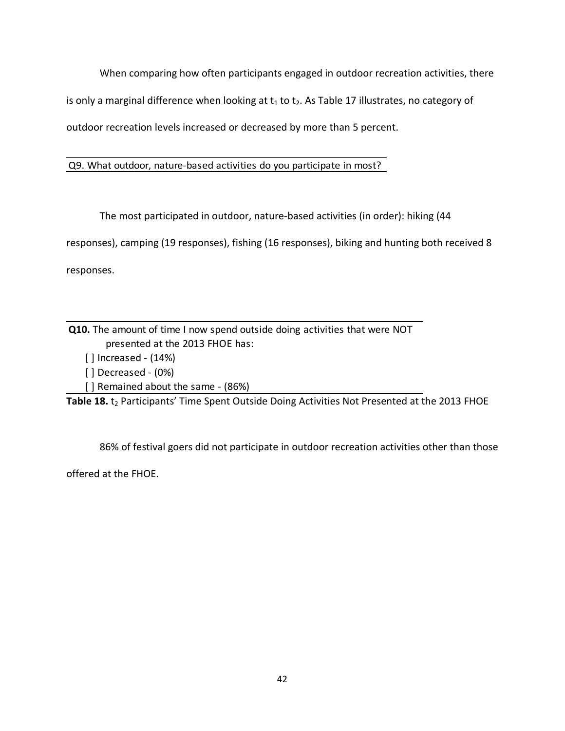When comparing how often participants engaged in outdoor recreation activities, there is only a marginal difference when looking at  $t_1$  to  $t_2$ . As Table 17 illustrates, no category of outdoor recreation levels increased or decreased by more than 5 percent.

Q9. What outdoor, nature-based activities do you participate in most?

The most participated in outdoor, nature-based activities (in order): hiking (44

responses), camping (19 responses), fishing (16 responses), biking and hunting both received 8

responses.

**Q10.** The amount of time I now spend outside doing activities that were NOT presented at the 2013 FHOE has:

- [] Increased (14%)
- [ ] Decreased (0%)
- [ ] Remained about the same (86%)

Table 18. t<sub>2</sub> Participants' Time Spent Outside Doing Activities Not Presented at the 2013 FHOE

86% of festival goers did not participate in outdoor recreation activities other than those

offered at the FHOE.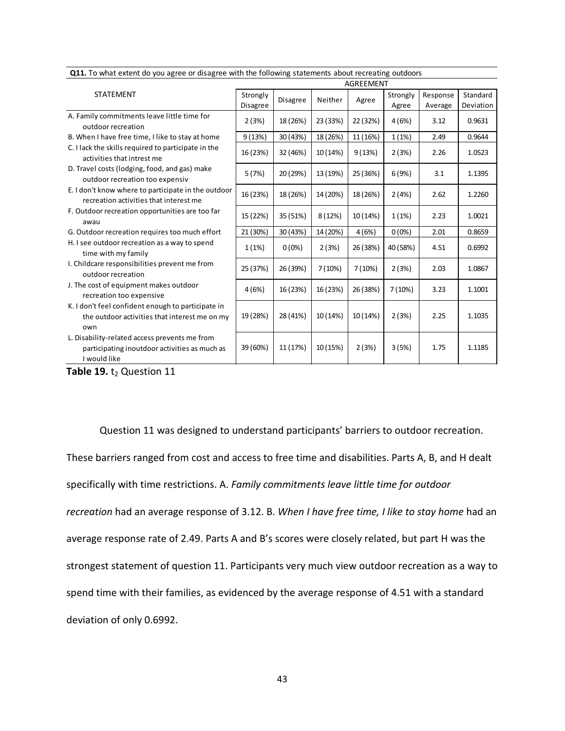| <b>Q11.</b> TO what extent do you agree or disagree with the following statements about recreating outdoors |                                                                                  |                                                                                                          |                                                                                                  |                                                                                                   |                                                                                              |                                                             |  |  |  |
|-------------------------------------------------------------------------------------------------------------|----------------------------------------------------------------------------------|----------------------------------------------------------------------------------------------------------|--------------------------------------------------------------------------------------------------|---------------------------------------------------------------------------------------------------|----------------------------------------------------------------------------------------------|-------------------------------------------------------------|--|--|--|
|                                                                                                             |                                                                                  |                                                                                                          |                                                                                                  |                                                                                                   |                                                                                              |                                                             |  |  |  |
| Strongly                                                                                                    |                                                                                  |                                                                                                          |                                                                                                  | Strongly                                                                                          | Response                                                                                     | Standard                                                    |  |  |  |
| Disagree                                                                                                    |                                                                                  |                                                                                                          |                                                                                                  | Agree                                                                                             | Average                                                                                      | Deviation                                                   |  |  |  |
|                                                                                                             |                                                                                  |                                                                                                          |                                                                                                  |                                                                                                   |                                                                                              |                                                             |  |  |  |
|                                                                                                             |                                                                                  |                                                                                                          |                                                                                                  |                                                                                                   |                                                                                              | 0.9631                                                      |  |  |  |
| 9(13%)                                                                                                      | 30 (43%)                                                                         | 18 (26%)                                                                                                 | 11 (16%)                                                                                         | 1(1%)                                                                                             | 2.49                                                                                         | 0.9644                                                      |  |  |  |
|                                                                                                             |                                                                                  |                                                                                                          |                                                                                                  |                                                                                                   |                                                                                              | 1.0523                                                      |  |  |  |
|                                                                                                             |                                                                                  |                                                                                                          |                                                                                                  |                                                                                                   |                                                                                              |                                                             |  |  |  |
|                                                                                                             |                                                                                  |                                                                                                          |                                                                                                  |                                                                                                   |                                                                                              | 1.1395                                                      |  |  |  |
|                                                                                                             |                                                                                  |                                                                                                          |                                                                                                  |                                                                                                   |                                                                                              |                                                             |  |  |  |
|                                                                                                             |                                                                                  |                                                                                                          |                                                                                                  |                                                                                                   |                                                                                              | 1.2260                                                      |  |  |  |
|                                                                                                             |                                                                                  |                                                                                                          |                                                                                                  |                                                                                                   |                                                                                              |                                                             |  |  |  |
|                                                                                                             |                                                                                  |                                                                                                          |                                                                                                  |                                                                                                   |                                                                                              | 1.0021                                                      |  |  |  |
|                                                                                                             |                                                                                  |                                                                                                          |                                                                                                  |                                                                                                   |                                                                                              |                                                             |  |  |  |
| 21 (30%)                                                                                                    | 30 (43%)                                                                         | 14 (20%)                                                                                                 | 4(6%)                                                                                            | 0(0%)                                                                                             | 2.01                                                                                         | 0.8659                                                      |  |  |  |
|                                                                                                             |                                                                                  |                                                                                                          |                                                                                                  |                                                                                                   |                                                                                              |                                                             |  |  |  |
|                                                                                                             |                                                                                  |                                                                                                          |                                                                                                  |                                                                                                   |                                                                                              | 0.6992                                                      |  |  |  |
|                                                                                                             |                                                                                  |                                                                                                          |                                                                                                  |                                                                                                   |                                                                                              | 1.0867                                                      |  |  |  |
|                                                                                                             |                                                                                  |                                                                                                          |                                                                                                  |                                                                                                   |                                                                                              |                                                             |  |  |  |
|                                                                                                             |                                                                                  |                                                                                                          |                                                                                                  |                                                                                                   |                                                                                              |                                                             |  |  |  |
|                                                                                                             |                                                                                  |                                                                                                          |                                                                                                  |                                                                                                   |                                                                                              | 1.1001                                                      |  |  |  |
|                                                                                                             |                                                                                  |                                                                                                          |                                                                                                  |                                                                                                   |                                                                                              |                                                             |  |  |  |
| 19 (28%)                                                                                                    | 28 (41%)                                                                         | 10 (14%)                                                                                                 | 10 (14%)                                                                                         | 2(3%)                                                                                             | 2.25                                                                                         | 1.1035                                                      |  |  |  |
|                                                                                                             |                                                                                  |                                                                                                          |                                                                                                  |                                                                                                   |                                                                                              |                                                             |  |  |  |
|                                                                                                             |                                                                                  |                                                                                                          |                                                                                                  |                                                                                                   |                                                                                              |                                                             |  |  |  |
| 39 (60%)                                                                                                    | 11 (17%)                                                                         | 10 (15%)                                                                                                 | 2(3%)                                                                                            | 3(5%)                                                                                             | 1.75                                                                                         | 1.1185                                                      |  |  |  |
|                                                                                                             |                                                                                  |                                                                                                          |                                                                                                  |                                                                                                   |                                                                                              |                                                             |  |  |  |
|                                                                                                             | 2(3%)<br>16 (23%)<br>5(7%)<br>16 (23%)<br>15 (22%)<br>1(1%)<br>25 (37%)<br>4(6%) | Disagree<br>18 (26%)<br>32 (46%)<br>20 (29%)<br>18 (26%)<br>35 (51%)<br>$0(0\%)$<br>26 (39%)<br>16 (23%) | Neither<br>23 (33%)<br>10 (14%)<br>13 (19%)<br>14 (20%)<br>8(12%)<br>2(3%)<br>7(10%)<br>16 (23%) | Agree<br>22 (32%)<br>9(13%)<br>25 (36%)<br>18 (26%)<br>10 (14%)<br>26 (38%)<br>7(10%)<br>26 (38%) | <b>AGREEMENT</b><br>4(6%)<br>2(3%)<br>6(9%)<br>2(4%)<br>1(1%)<br>40 (58%)<br>2(3%)<br>7(10%) | 3.12<br>2.26<br>3.1<br>2.62<br>2.23<br>4.51<br>2.03<br>3.23 |  |  |  |

| Q11. To what extent do you agree or disagree with the following statements about recreating outdoors |  |
|------------------------------------------------------------------------------------------------------|--|
| . <b>. .</b>                                                                                         |  |

Table 19. t<sub>2</sub> Question 11

Question 11 was designed to understand participants' barriers to outdoor recreation. These barriers ranged from cost and access to free time and disabilities. Parts A, B, and H dealt specifically with time restrictions. A. *Family commitments leave little time for outdoor recreation* had an average response of 3.12. B. *When I have free time, I like to stay home* had an average response rate of 2.49. Parts A and B's scores were closely related, but part H was the strongest statement of question 11. Participants very much view outdoor recreation as a way to spend time with their families, as evidenced by the average response of 4.51 with a standard deviation of only 0.6992.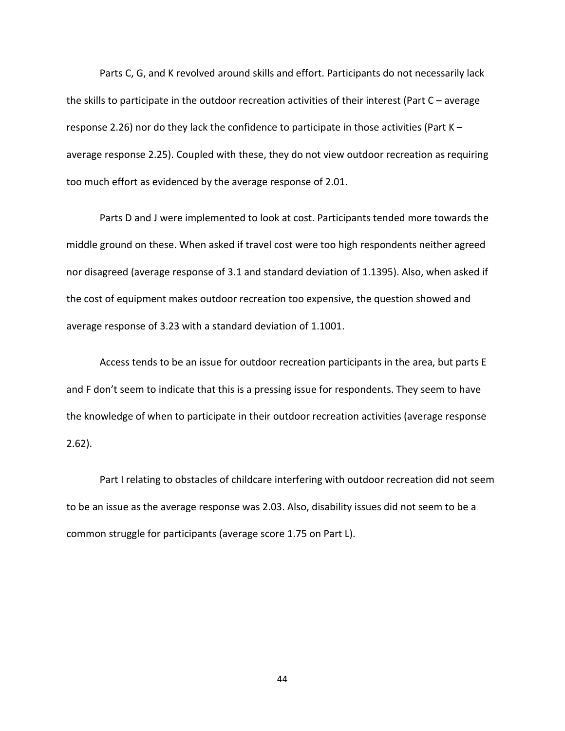Parts C, G, and K revolved around skills and effort. Participants do not necessarily lack the skills to participate in the outdoor recreation activities of their interest (Part C – average response 2.26) nor do they lack the confidence to participate in those activities (Part K – average response 2.25). Coupled with these, they do not view outdoor recreation as requiring too much effort as evidenced by the average response of 2.01.

Parts D and J were implemented to look at cost. Participants tended more towards the middle ground on these. When asked if travel cost were too high respondents neither agreed nor disagreed (average response of 3.1 and standard deviation of 1.1395). Also, when asked if the cost of equipment makes outdoor recreation too expensive, the question showed and average response of 3.23 with a standard deviation of 1.1001.

Access tends to be an issue for outdoor recreation participants in the area, but parts E and F don't seem to indicate that this is a pressing issue for respondents. They seem to have the knowledge of when to participate in their outdoor recreation activities (average response 2.62).

Part I relating to obstacles of childcare interfering with outdoor recreation did not seem to be an issue as the average response was 2.03. Also, disability issues did not seem to be a common struggle for participants (average score 1.75 on Part L).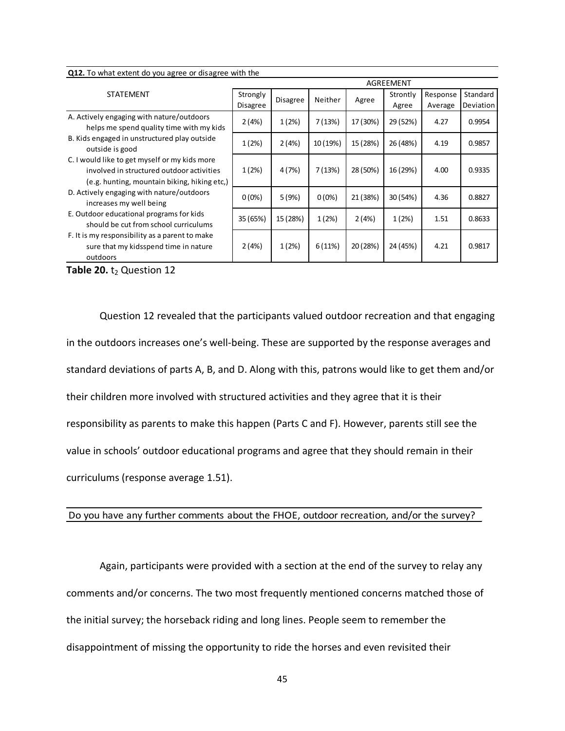|                                                                                                                                            |                 |                 |          |          | AGREEMENT |          |           |
|--------------------------------------------------------------------------------------------------------------------------------------------|-----------------|-----------------|----------|----------|-----------|----------|-----------|
| <b>STATEMENT</b>                                                                                                                           | Strongly        |                 | Neither  |          | Strontly  | Response | Standard  |
|                                                                                                                                            | <b>Disagree</b> | <b>Disagree</b> |          | Agree    | Agree     | Average  | Deviation |
| A. Actively engaging with nature/outdoors<br>helps me spend quality time with my kids                                                      | 2(4%)           | 1(2%)           | 7(13%)   | 17 (30%) | 29 (52%)  | 4.27     | 0.9954    |
| B. Kids engaged in unstructured play outside<br>outside is good                                                                            | 1(2%)           | 2(4%)           | 10 (19%) | 15 (28%) | 26 (48%)  | 4.19     | 0.9857    |
| C. I would like to get myself or my kids more<br>involved in structured outdoor activities<br>(e.g. hunting, mountain biking, hiking etc.) | 1(2%)           | 4 (7%)          | 7(13%)   | 28 (50%) | 16 (29%)  | 4.00     | 0.9335    |
| D. Actively engaging with nature/outdoors<br>increases my well being                                                                       | $0(0\%)$        | 5(9%)           | $0(0\%)$ | 21 (38%) | 30 (54%)  | 4.36     | 0.8827    |
| E. Outdoor educational programs for kids<br>should be cut from school curriculums                                                          | 35 (65%)        | 15 (28%)        | 1(2%)    | 2(4%)    | 1(2%)     | 1.51     | 0.8633    |
| F. It is my responsibility as a parent to make<br>sure that my kidsspend time in nature<br>outdoors                                        | 2(4%)           | 1(2%)           | 6(11%)   | 20 (28%) | 24 (45%)  | 4.21     | 0.9817    |

**Q12.** To what extent do you agree or disagree with the

Table 20. t<sub>2</sub> Question 12

Question 12 revealed that the participants valued outdoor recreation and that engaging in the outdoors increases one's well-being. These are supported by the response averages and standard deviations of parts A, B, and D. Along with this, patrons would like to get them and/or their children more involved with structured activities and they agree that it is their responsibility as parents to make this happen (Parts C and F). However, parents still see the value in schools' outdoor educational programs and agree that they should remain in their curriculums (response average 1.51).

Do you have any further comments about the FHOE, outdoor recreation, and/or the survey?

Again, participants were provided with a section at the end of the survey to relay any comments and/or concerns. The two most frequently mentioned concerns matched those of the initial survey; the horseback riding and long lines. People seem to remember the disappointment of missing the opportunity to ride the horses and even revisited their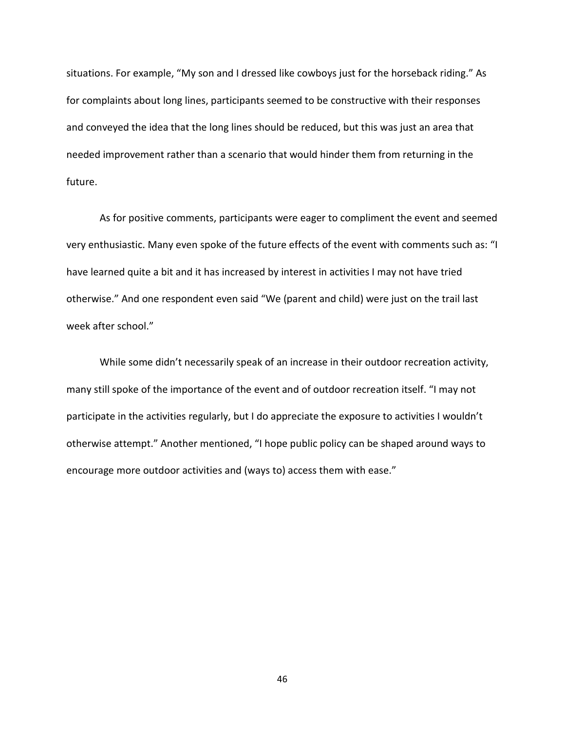situations. For example, "My son and I dressed like cowboys just for the horseback riding." As for complaints about long lines, participants seemed to be constructive with their responses and conveyed the idea that the long lines should be reduced, but this was just an area that needed improvement rather than a scenario that would hinder them from returning in the future.

As for positive comments, participants were eager to compliment the event and seemed very enthusiastic. Many even spoke of the future effects of the event with comments such as: "I have learned quite a bit and it has increased by interest in activities I may not have tried otherwise." And one respondent even said "We (parent and child) were just on the trail last week after school."

While some didn't necessarily speak of an increase in their outdoor recreation activity, many still spoke of the importance of the event and of outdoor recreation itself. "I may not participate in the activities regularly, but I do appreciate the exposure to activities I wouldn't otherwise attempt." Another mentioned, "I hope public policy can be shaped around ways to encourage more outdoor activities and (ways to) access them with ease."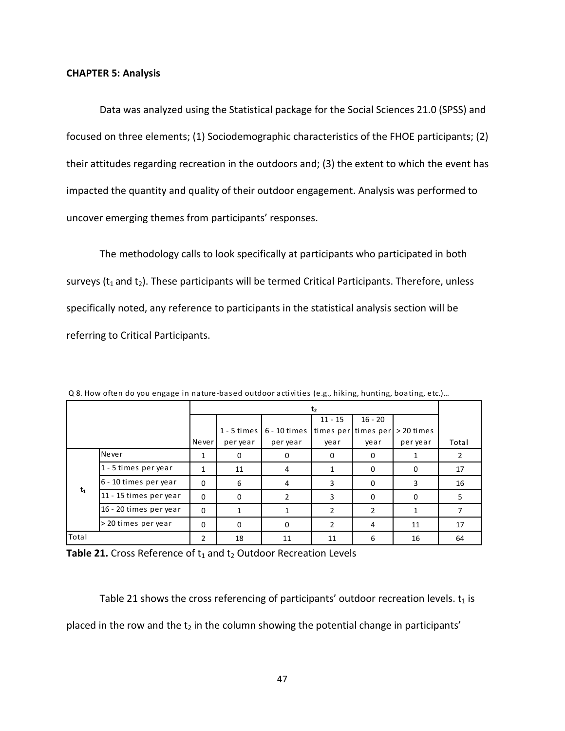## **CHAPTER 5: Analysis**

Data was analyzed using the Statistical package for the Social Sciences 21.0 (SPSS) and focused on three elements; (1) Sociodemographic characteristics of the FHOE participants; (2) their attitudes regarding recreation in the outdoors and; (3) the extent to which the event has impacted the quantity and quality of their outdoor engagement. Analysis was performed to uncover emerging themes from participants' responses.

The methodology calls to look specifically at participants who participated in both surveys ( $t_1$  and  $t_2$ ). These participants will be termed Critical Participants. Therefore, unless specifically noted, any reference to participants in the statistical analysis section will be referring to Critical Participants.

|         |                        |          |          |                                   | t <sub>2</sub> |                     |            |       |
|---------|------------------------|----------|----------|-----------------------------------|----------------|---------------------|------------|-------|
|         |                        |          |          |                                   | $11 - 15$      | $16 - 20$           |            |       |
|         |                        |          |          | 1 - 5 times $\sqrt{6}$ - 10 times |                | times per times per | > 20 times |       |
|         |                        | Never    | per year | per year                          | year           | year                | per year   | Total |
|         | Never                  | 1        | 0        | 0                                 | $\Omega$       | 0                   |            |       |
|         | 1 - 5 times per year   | 1        | 11       | 4                                 |                | $\Omega$            | 0          | 17    |
|         | 6 - 10 times per year  | $\Omega$ | 6        | 4                                 | 3              | 0                   | 3          | 16    |
| $t_{1}$ | 11 - 15 times per year | $\Omega$ | 0        |                                   | 3              | 0                   | 0          |       |
|         | 16 - 20 times per year | $\Omega$ |          |                                   | 2              |                     |            |       |
|         | > 20 times per year    | $\Omega$ | $\Omega$ | $\Omega$                          | $\overline{2}$ | 4                   | 11         | 17    |
| Total   |                        | 2        | 18       | 11                                | 11             | 6                   | 16         | 64    |

Q 8. How often do you engage in nature-based outdoor activities (e.g., hiking, hunting, boating, etc.)…

Table 21. Cross Reference of t<sub>1</sub> and t<sub>2</sub> Outdoor Recreation Levels

Table 21 shows the cross referencing of participants' outdoor recreation levels.  $t_1$  is placed in the row and the  $t_2$  in the column showing the potential change in participants'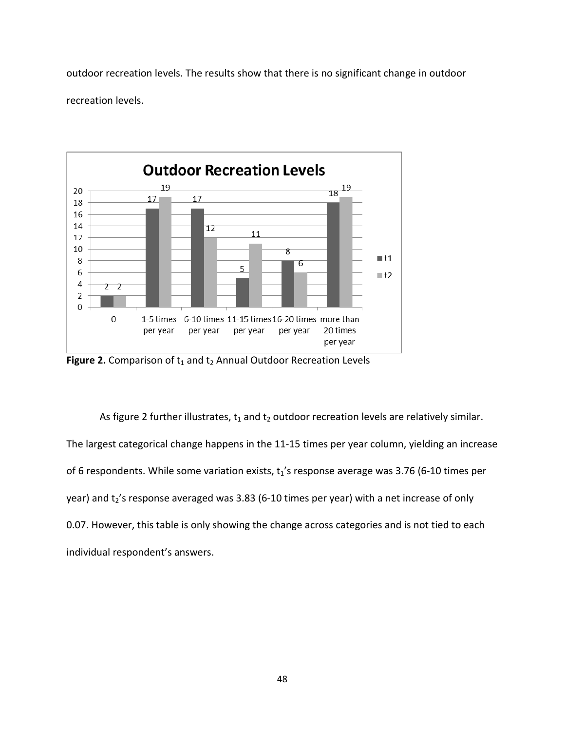outdoor recreation levels. The results show that there is no significant change in outdoor recreation levels.



Figure 2. Comparison of t<sub>1</sub> and t<sub>2</sub> Annual Outdoor Recreation Levels

As figure 2 further illustrates,  $t_1$  and  $t_2$  outdoor recreation levels are relatively similar. The largest categorical change happens in the 11-15 times per year column, yielding an increase of 6 respondents. While some variation exists,  $t_1$ 's response average was 3.76 (6-10 times per year) and t<sub>2</sub>'s response averaged was 3.83 (6-10 times per year) with a net increase of only 0.07. However, this table is only showing the change across categories and is not tied to each individual respondent's answers.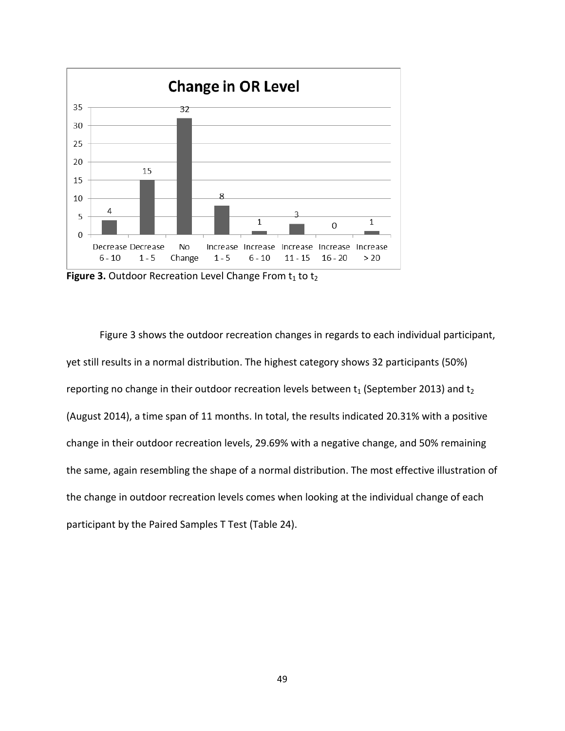

**Figure 3.** Outdoor Recreation Level Change From t<sub>1</sub> to t<sub>2</sub>

Figure 3 shows the outdoor recreation changes in regards to each individual participant, yet still results in a normal distribution. The highest category shows 32 participants (50%) reporting no change in their outdoor recreation levels between  $t_1$  (September 2013) and  $t_2$ (August 2014), a time span of 11 months. In total, the results indicated 20.31% with a positive change in their outdoor recreation levels, 29.69% with a negative change, and 50% remaining the same, again resembling the shape of a normal distribution. The most effective illustration of the change in outdoor recreation levels comes when looking at the individual change of each participant by the Paired Samples T Test (Table 24).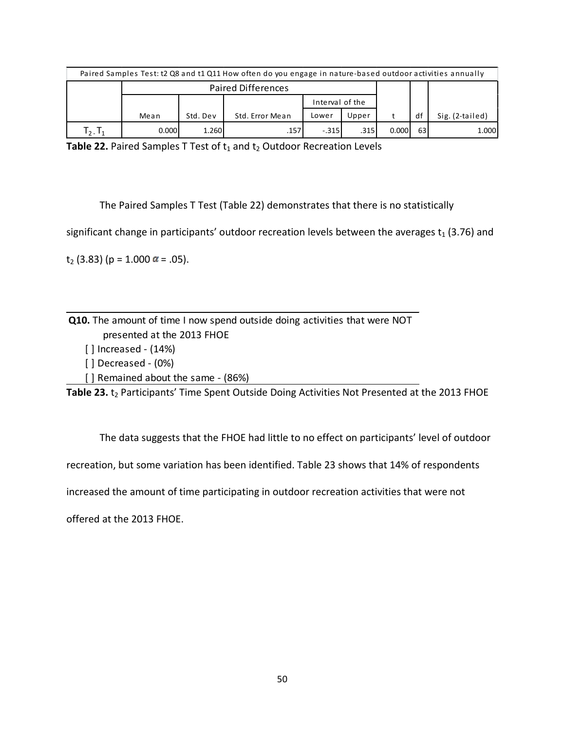| Paired Samples Test: t2 Q8 and t1 Q11 How often do you engage in nature-based outdoor activities annually |                           |          |                 |                 |                                             |       |    |                 |
|-----------------------------------------------------------------------------------------------------------|---------------------------|----------|-----------------|-----------------|---------------------------------------------|-------|----|-----------------|
|                                                                                                           | <b>Paired Differences</b> |          |                 |                 |                                             |       |    |                 |
|                                                                                                           |                           |          |                 | Interval of the |                                             |       |    |                 |
|                                                                                                           | Mean                      | Std. Dev | Std. Error Mean | Lower           | Upper                                       |       | d  | Sig. (2-tailed) |
| $T_2$ , $T_1$                                                                                             | 0.000                     | 1.260    | .157            | $-.315$         | $.315$ <sup><math>\overline{ }</math></sup> | 0.000 | 63 | 1.000           |

**Table 22.** Paired Samples T Test of t<sub>1</sub> and t<sub>2</sub> Outdoor Recreation Levels

The Paired Samples T Test (Table 22) demonstrates that there is no statistically

significant change in participants' outdoor recreation levels between the averages  $t_1$  (3.76) and

 $t_2$  (3.83) (p = 1.000  $\alpha$  = .05).

**Q10.** The amount of time I now spend outside doing activities that were NOT presented at the 2013 FHOE

- [] Increased (14%)
- [ ] Decreased (0%)
- [ ] Remained about the same (86%)

Table 23. t<sub>2</sub> Participants' Time Spent Outside Doing Activities Not Presented at the 2013 FHOE

The data suggests that the FHOE had little to no effect on participants' level of outdoor

recreation, but some variation has been identified. Table 23 shows that 14% of respondents

increased the amount of time participating in outdoor recreation activities that were not

offered at the 2013 FHOE.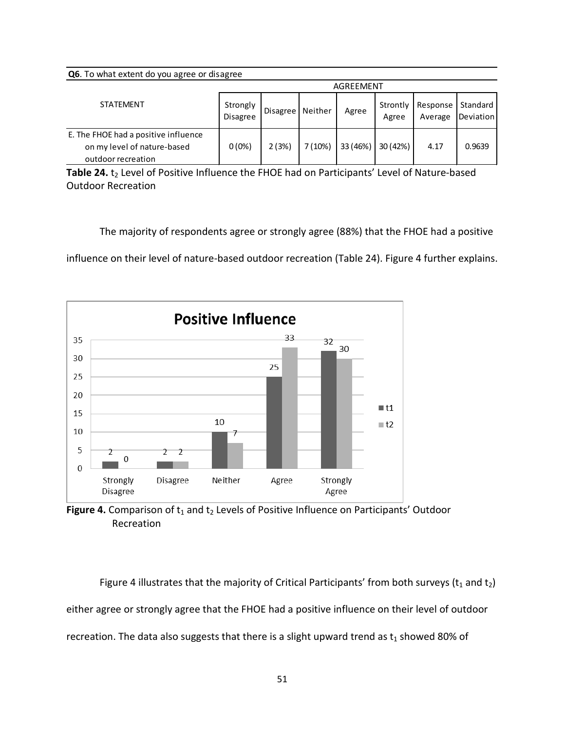| Q6. To what extent do you agree or disagree                                               |                             |                 |         |          |                   |                     |                       |  |  |
|-------------------------------------------------------------------------------------------|-----------------------------|-----------------|---------|----------|-------------------|---------------------|-----------------------|--|--|
|                                                                                           | AGREEMENT                   |                 |         |          |                   |                     |                       |  |  |
| <b>STATEMENT</b>                                                                          | Strongly<br><b>Disagree</b> | <b>Disagree</b> | Neither | Agree    | Strontly<br>Agree | Response<br>Average | Standard<br>Deviation |  |  |
| E. The FHOE had a positive influence<br>on my level of nature-based<br>outdoor recreation | $0(0\%)$                    | 2(3%)           | 7(10%)  | 33 (46%) | 30 (42%)          | 4.17                | 0.9639                |  |  |

Table 24. t<sub>2</sub> Level of Positive Influence the FHOE had on Participants' Level of Nature-based Outdoor Recreation

The majority of respondents agree or strongly agree (88%) that the FHOE had a positive

influence on their level of nature-based outdoor recreation (Table 24). Figure 4 further explains.



Figure 4. Comparison of t<sub>1</sub> and t<sub>2</sub> Levels of Positive Influence on Participants' Outdoor Recreation

Figure 4 illustrates that the majority of Critical Participants' from both surveys ( $t_1$  and  $t_2$ ) either agree or strongly agree that the FHOE had a positive influence on their level of outdoor recreation. The data also suggests that there is a slight upward trend as  $t_1$  showed 80% of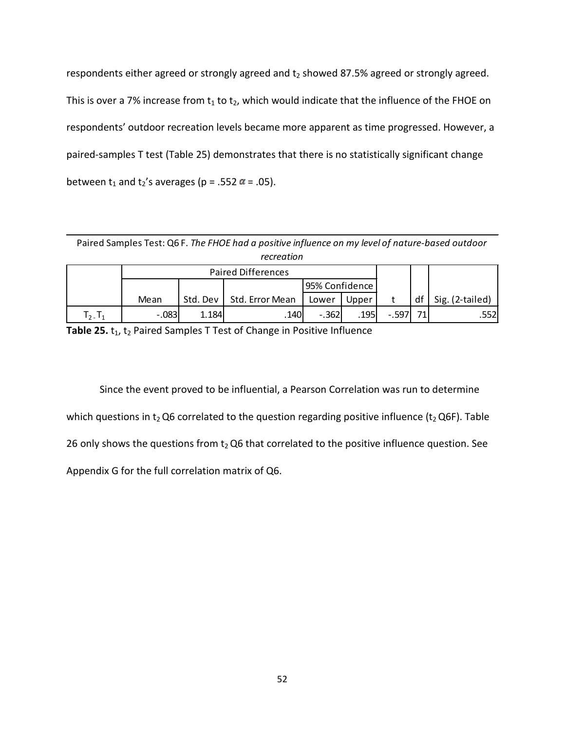respondents either agreed or strongly agreed and  $t_2$  showed 87.5% agreed or strongly agreed. This is over a 7% increase from  $t_1$  to  $t_2$ , which would indicate that the influence of the FHOE on respondents' outdoor recreation levels became more apparent as time progressed. However, a paired-samples T test (Table 25) demonstrates that there is no statistically significant change between  $t_1$  and  $t_2$ 's averages (p = .552  $\alpha$  = .05).

Paired Samples Test: Q6 F. *The FHOE had a positive influence on my level of nature-based outdoor recreation* 

|                                 |         |          | <b>Paired Differences</b> |                |       |         |                 |                 |
|---------------------------------|---------|----------|---------------------------|----------------|-------|---------|-----------------|-----------------|
|                                 |         |          |                           | 95% Confidence |       |         |                 |                 |
|                                 | Mean    | Std. Dev | Std. Error Mean           | Lower          | Upper |         | df              | Sig. (2-tailed) |
| $\mathsf{T}_2$ . $\mathsf{T}_4$ | $-.083$ | 1.184    | .140                      | $-.362$        | .195  | $-.597$ | 71 <sub>1</sub> | .552            |

Table 25. t<sub>1</sub>, t<sub>2</sub> Paired Samples T Test of Change in Positive Influence

Since the event proved to be influential, a Pearson Correlation was run to determine which questions in  $t_2$  Q6 correlated to the question regarding positive influence ( $t_2$  Q6F). Table 26 only shows the questions from  $t_2$  Q6 that correlated to the positive influence question. See Appendix G for the full correlation matrix of Q6.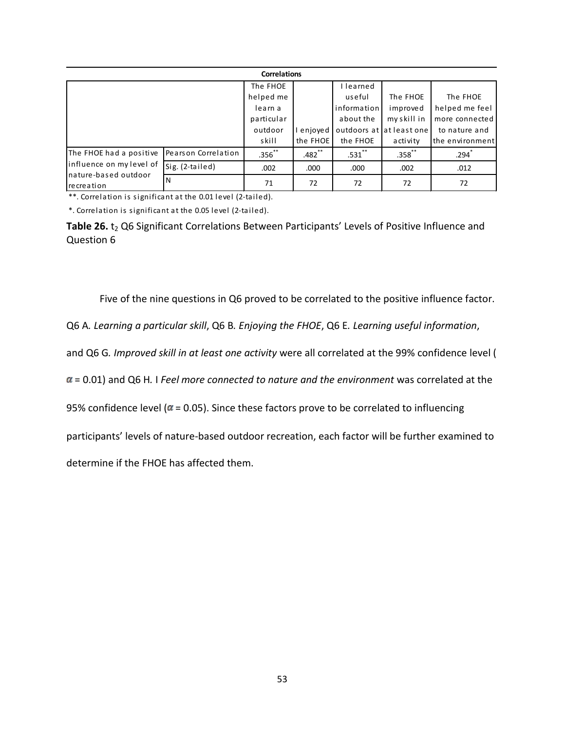| <b>Correlations</b>                 |                     |             |            |             |                          |                 |  |  |  |  |
|-------------------------------------|---------------------|-------------|------------|-------------|--------------------------|-----------------|--|--|--|--|
|                                     |                     | The FHOE    |            | learned     |                          |                 |  |  |  |  |
|                                     |                     | helped me   |            | useful      | The FHOE                 | The FHOE        |  |  |  |  |
|                                     |                     | learn a     |            | information | improved                 | helped me feel  |  |  |  |  |
|                                     |                     | particular  |            | about the   | my skill in              | more connected  |  |  |  |  |
|                                     |                     | outdoor     | I enjoyed  |             | outdoors at at least one | to nature and   |  |  |  |  |
|                                     |                     | skill       | the FHOE   | the FHOE    | activity                 | the environment |  |  |  |  |
| The FHOE had a positive             | Pearson Correlation | $.356^{**}$ | $.482$ $*$ | $.531***$   | $.358^{**}$              | .294            |  |  |  |  |
| influence on my level of            | Sig. (2-tailed)     | .002        | .000       | .000        | .002                     | .012            |  |  |  |  |
| Inature-based outdoor<br>recreation | N                   | 71          | 72         | 72          | 72                       | 72              |  |  |  |  |

\*\*. Correlation is significant at the 0.01 level (2-tailed).

\*. Correlation is significant at the 0.05 level (2-tailed).

**Table 26.** t<sub>2</sub> Q6 Significant Correlations Between Participants' Levels of Positive Influence and Question 6

Five of the nine questions in Q6 proved to be correlated to the positive influence factor.

Q6 A*. Learning a particular skill*, Q6 B*. Enjoying the FHOE*, Q6 E*. Learning useful information*,

and Q6 G*. Improved skill in at least one activity* were all correlated at the 99% confidence level (

= 0.01) and Q6 H*.* I *Feel more connected to nature and the environment* was correlated at the

95% confidence level ( $\alpha$  = 0.05). Since these factors prove to be correlated to influencing

participants' levels of nature-based outdoor recreation, each factor will be further examined to

determine if the FHOE has affected them.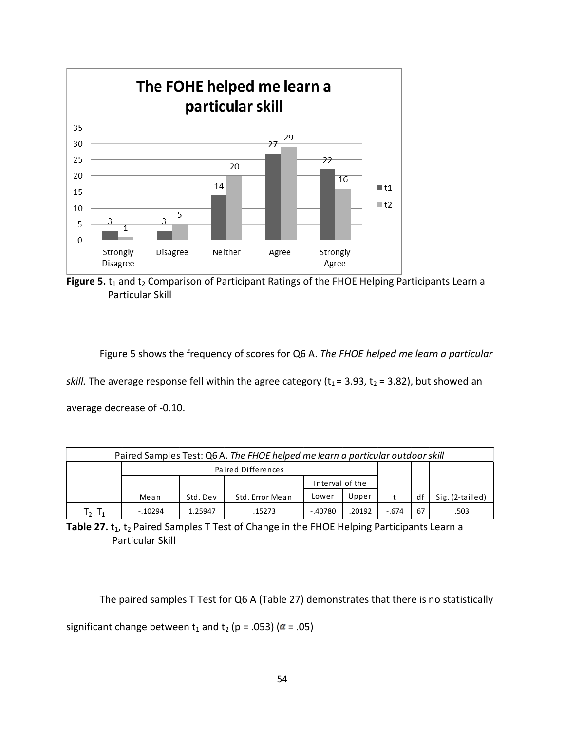

Figure 5. t<sub>1</sub> and t<sub>2</sub> Comparison of Participant Ratings of the FHOE Helping Participants Learn a Particular Skill

Figure 5 shows the frequency of scores for Q6 A. *The FHOE helped me learn a particular* 

*skill.* The average response fell within the agree category ( $t_1$  = 3.93,  $t_2$  = 3.82), but showed an

average decrease of -0.10.

| Paired Samples Test: Q6 A. The FHOE helped me learn a particular outdoor skill |                    |          |                 |                 |        |         |    |                 |  |  |  |
|--------------------------------------------------------------------------------|--------------------|----------|-----------------|-----------------|--------|---------|----|-----------------|--|--|--|
|                                                                                | Paired Differences |          |                 |                 |        |         |    |                 |  |  |  |
|                                                                                |                    |          |                 | Interval of the |        |         |    |                 |  |  |  |
|                                                                                | Mean               | Std. Dev | Std. Error Mean | Lower           | Upper  |         | df | Sig. (2-tailed) |  |  |  |
| $\mathsf{T}_2$ . $\mathsf{T}_1$                                                | $-.10294$          | 1.25947  | .15273          | -.40780         | .20192 | $-.674$ | 67 | .503            |  |  |  |

Table 27. t<sub>1</sub>, t<sub>2</sub> Paired Samples T Test of Change in the FHOE Helping Participants Learn a Particular Skill

The paired samples T Test for Q6 A (Table 27) demonstrates that there is no statistically

significant change between  $t_1$  and  $t_2$  (p = .053) ( $\alpha$  = .05)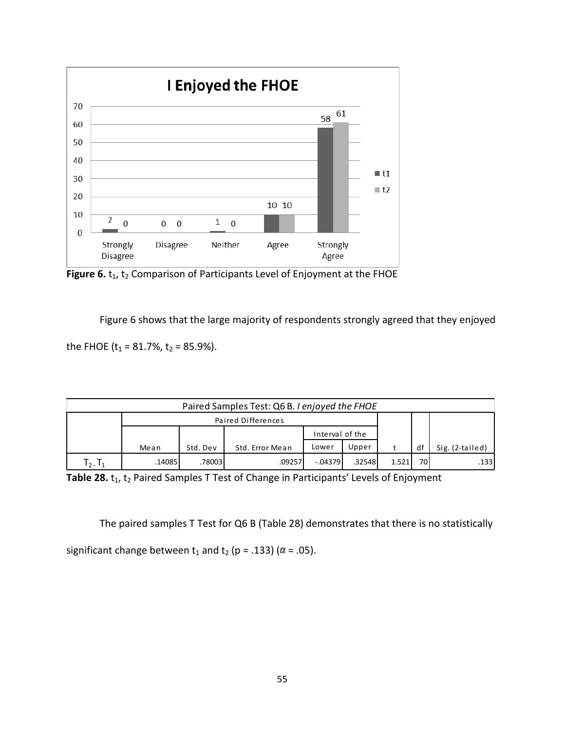

**Figure 6.** t<sub>1</sub>, t<sub>2</sub> Comparison of Participants Level of Enjoyment at the FHOE

Figure 6 shows that the large majority of respondents strongly agreed that they enjoyed the FHOE  $(t_1 = 81.7\% , t_2 = 85.9\% ).$ 

| Paired Samples Test: Q6 B. I enjoyed the FHOE |                    |          |                 |                 |         |       |    |                 |  |  |  |  |
|-----------------------------------------------|--------------------|----------|-----------------|-----------------|---------|-------|----|-----------------|--|--|--|--|
|                                               | Paired Differences |          |                 |                 |         |       |    |                 |  |  |  |  |
|                                               |                    |          |                 | Interval of the |         |       |    |                 |  |  |  |  |
|                                               | Mean               | Std. Dev | Std. Error Mean | Lower           | Upper   |       | df | Sig. (2-tailed) |  |  |  |  |
| $T_2$ , $T_1$                                 | .140851            | .780031  | .09257          | $-.04379$       | .325481 | 1.521 | 70 | .133            |  |  |  |  |

Table 28. t<sub>1</sub>, t<sub>2</sub> Paired Samples T Test of Change in Participants' Levels of Enjoyment

The paired samples T Test for Q6 B (Table 28) demonstrates that there is no statistically significant change between  $t_1$  and  $t_2$  (p = .133) ( $\alpha$  = .05).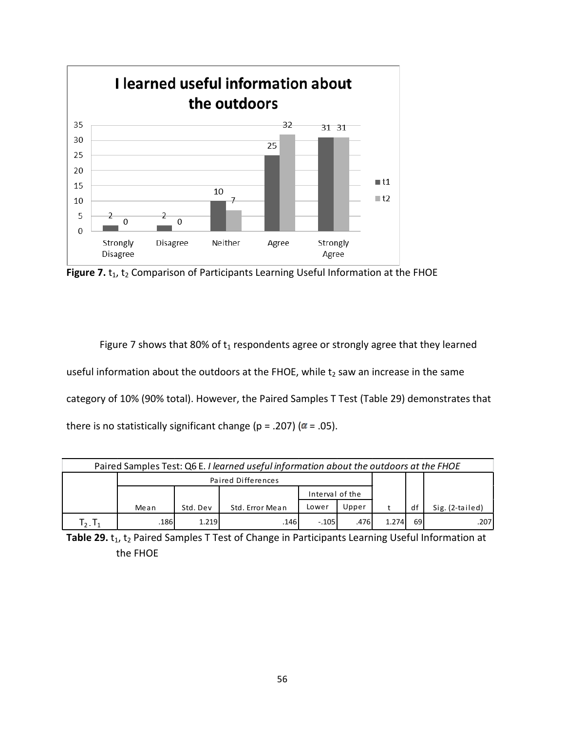

Figure 7. t<sub>1</sub>, t<sub>2</sub> Comparison of Participants Learning Useful Information at the FHOE

Figure 7 shows that 80% of  $t_1$  respondents agree or strongly agree that they learned useful information about the outdoors at the FHOE, while  $t_2$  saw an increase in the same category of 10% (90% total). However, the Paired Samples T Test (Table 29) demonstrates that there is no statistically significant change (p = .207) ( $\alpha$  = .05).

| Paired Samples Test: Q6 E. I learned useful information about the outdoors at the FHOE |                    |          |                 |                 |       |       |    |                 |  |  |  |
|----------------------------------------------------------------------------------------|--------------------|----------|-----------------|-----------------|-------|-------|----|-----------------|--|--|--|
|                                                                                        | Paired Differences |          |                 |                 |       |       |    |                 |  |  |  |
|                                                                                        |                    |          |                 | Interval of the |       |       |    |                 |  |  |  |
|                                                                                        | Mean               | Std. Dev | Std. Error Mean | Lower           | Upper |       | df | Sig. (2-tailed) |  |  |  |
| $T_2$ , $T_1$                                                                          | .186               | 1.219    | .146            | $-.105$         | .4761 | 1.274 | 69 | .207            |  |  |  |

Table 29. t<sub>1</sub>, t<sub>2</sub> Paired Samples T Test of Change in Participants Learning Useful Information at the FHOE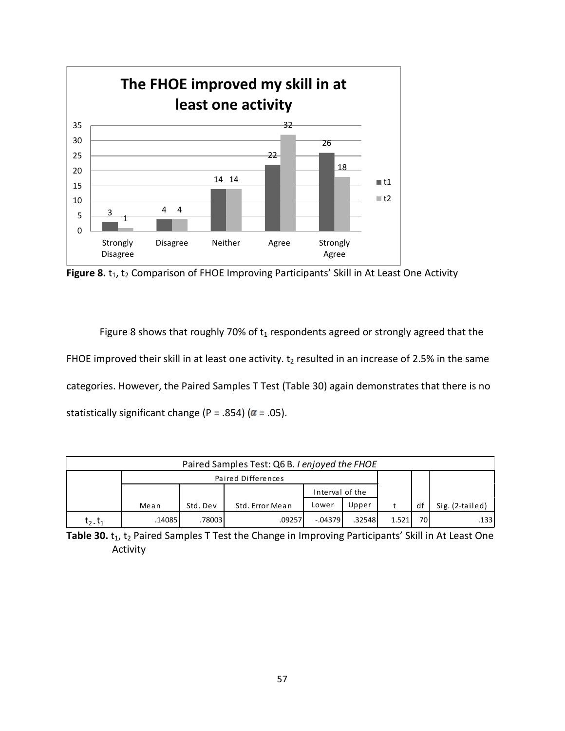

Figure 8. t<sub>1</sub>, t<sub>2</sub> Comparison of FHOE Improving Participants' Skill in At Least One Activity

Figure 8 shows that roughly 70% of  $t_1$  respondents agreed or strongly agreed that the FHOE improved their skill in at least one activity.  $t_2$  resulted in an increase of 2.5% in the same categories. However, the Paired Samples T Test (Table 30) again demonstrates that there is no statistically significant change (P = .854) ( $\alpha$  = .05).

| Paired Samples Test: Q6 B. I enjoyed the FHOE |                    |          |                 |                 |         |       |    |                 |  |  |  |  |
|-----------------------------------------------|--------------------|----------|-----------------|-----------------|---------|-------|----|-----------------|--|--|--|--|
|                                               | Paired Differences |          |                 |                 |         |       |    |                 |  |  |  |  |
|                                               |                    |          |                 | Interval of the |         |       |    |                 |  |  |  |  |
|                                               | Mean               | Std. Dev | Std. Error Mean | Lower           | Upper   |       | df | Sig. (2-tailed) |  |  |  |  |
| $t_2$ , $t_1$                                 | .140851            | .780031  | .092571         | -.04379         | .325481 | 1.521 | 70 | .133            |  |  |  |  |

Table 30. t<sub>1</sub>, t<sub>2</sub> Paired Samples T Test the Change in Improving Participants' Skill in At Least One Activity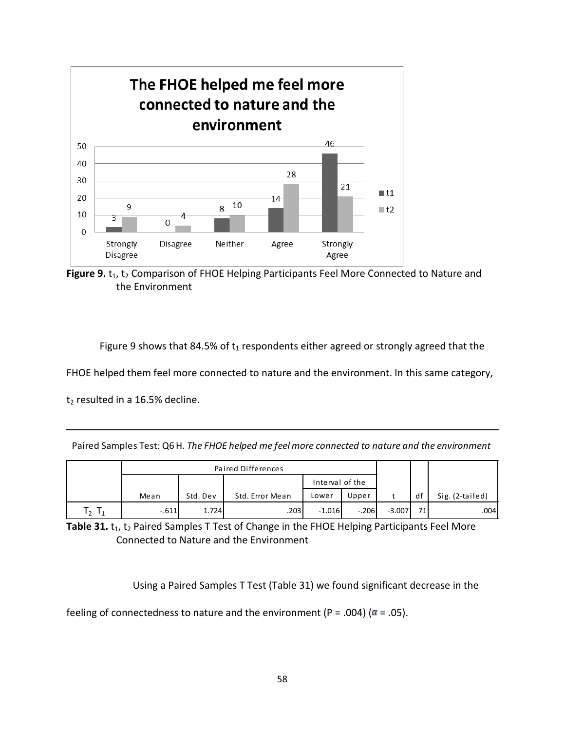

Figure 9. t<sub>1</sub>, t<sub>2</sub> Comparison of FHOE Helping Participants Feel More Connected to Nature and the Environment

Figure 9 shows that 84.5% of  $t_1$  respondents either agreed or strongly agreed that the

FHOE helped them feel more connected to nature and the environment. In this same category,

 $t_2$  resulted in a 16.5% decline.

Paired Samples Test: Q6 H. *The FHOE helped me feel more connected to nature and the environment*

|                    | Paired Differences |          |                 |                 |         |          |    |                 |
|--------------------|--------------------|----------|-----------------|-----------------|---------|----------|----|-----------------|
|                    |                    |          |                 | Interval of the |         |          |    |                 |
|                    | Mean               | Std. Dev | Std. Error Mean | Lower           | Upper   |          | df | Sig. (2-tailed) |
| $\mathsf{T}_2$ . T | $-.611$            | 1.724    | .203            | $-1.016$        | $-.206$ | $-3.007$ | 71 | .004            |

Table 31. t<sub>1</sub>, t<sub>2</sub> Paired Samples T Test of Change in the FHOE Helping Participants Feel More Connected to Nature and the Environment

Using a Paired Samples T Test (Table 31) we found significant decrease in the

feeling of connectedness to nature and the environment (P = .004) ( $\alpha$  = .05).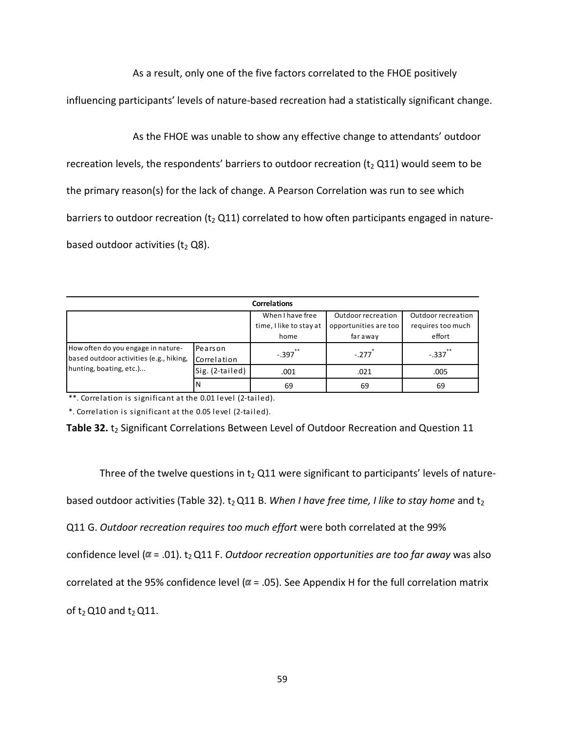As a result, only one of the five factors correlated to the FHOE positively

influencing participants' levels of nature-based recreation had a statistically significant change.

As the FHOE was unable to show any effective change to attendants' outdoor recreation levels, the respondents' barriers to outdoor recreation ( $t_2$  Q11) would seem to be the primary reason(s) for the lack of change. A Pearson Correlation was run to see which barriers to outdoor recreation ( $t_2$  Q11) correlated to how often participants engaged in naturebased outdoor activities ( $t<sub>2</sub>$  Q8).

|                                         |                  | <b>Correlations</b>     |                       |                   |
|-----------------------------------------|------------------|-------------------------|-----------------------|-------------------|
|                                         | When I have free | Outdoor recreation      | Outdoor recreation    |                   |
|                                         |                  | time, I like to stay at | opportunities are too | requires too much |
|                                         |                  | home                    | far away              | effort            |
| How often do you engage in nature-      | Pearson          | $-.397$ **              |                       | $-.337$ **        |
| based outdoor activities (e.g., hiking, | Correlation      |                         | $-.277$               |                   |
| hunting, boating, etc.)                 | Sig. (2-tailed)  | .001                    | .021                  | .005              |
|                                         | N                | 69                      | 69                    | 69                |

\*\*. Correlation is significant at the 0.01 level (2-tailed).

\*. Correlation is significant at the 0.05 level (2-tailed).

**Table 32.** t<sub>2</sub> Significant Correlations Between Level of Outdoor Recreation and Question 11

Three of the twelve questions in  $t_2$  Q11 were significant to participants' levels of naturebased outdoor activities (Table 32). t<sub>2</sub> Q11 B. *When I have free time, I like to stay home* and t<sub>2</sub> Q11 G. *Outdoor recreation requires too much effort* were both correlated at the 99% confidence level ( $\alpha$  = .01). t<sub>2</sub> Q11 F. *Outdoor recreation opportunities are too far away* was also correlated at the 95% confidence level ( $\alpha$  = .05). See Appendix H for the full correlation matrix of  $t_2$  Q10 and  $t_2$  Q11.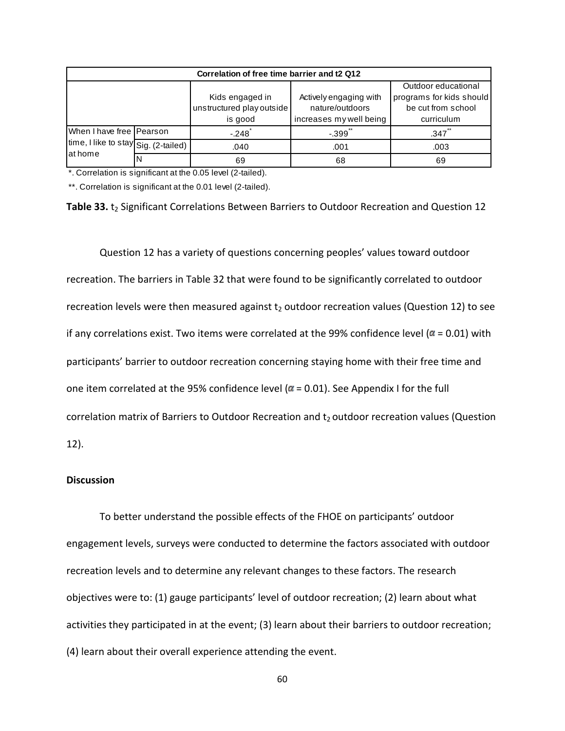|                                        | Correlation of free time barrier and t2 Q12 |                                                         |                                                                      |                                                                                     |  |  |  |  |  |  |  |  |
|----------------------------------------|---------------------------------------------|---------------------------------------------------------|----------------------------------------------------------------------|-------------------------------------------------------------------------------------|--|--|--|--|--|--|--|--|
|                                        |                                             | Kids engaged in<br>unstructured play outside<br>is good | Actively engaging with<br>nature/outdoors<br>increases my well being | Outdoor educational<br>programs for kids should<br>be cut from school<br>curriculum |  |  |  |  |  |  |  |  |
| When I have free   Pearson             |                                             | $-.248$                                                 | $-.399'$                                                             | $.347$ **                                                                           |  |  |  |  |  |  |  |  |
| time, I like to stay Sig. (2-tailed) ' |                                             | .040                                                    | .001                                                                 | .003                                                                                |  |  |  |  |  |  |  |  |
| lat home                               | N                                           | 69                                                      | 68                                                                   | 69                                                                                  |  |  |  |  |  |  |  |  |

\*. Correlation is significant at the 0.05 level (2-tailed).

\*\*. Correlation is significant at the 0.01 level (2-tailed).

**Table 33.** t<sub>2</sub> Significant Correlations Between Barriers to Outdoor Recreation and Question 12

Question 12 has a variety of questions concerning peoples' values toward outdoor recreation. The barriers in Table 32 that were found to be significantly correlated to outdoor recreation levels were then measured against  $t_2$  outdoor recreation values (Question 12) to see if any correlations exist. Two items were correlated at the 99% confidence level ( $\alpha$  = 0.01) with participants' barrier to outdoor recreation concerning staying home with their free time and one item correlated at the 95% confidence level ( $\alpha$  = 0.01). See Appendix I for the full correlation matrix of Barriers to Outdoor Recreation and  $t_2$  outdoor recreation values (Question 12).

#### **Discussion**

To better understand the possible effects of the FHOE on participants' outdoor engagement levels, surveys were conducted to determine the factors associated with outdoor recreation levels and to determine any relevant changes to these factors. The research objectives were to: (1) gauge participants' level of outdoor recreation; (2) learn about what activities they participated in at the event; (3) learn about their barriers to outdoor recreation; (4) learn about their overall experience attending the event.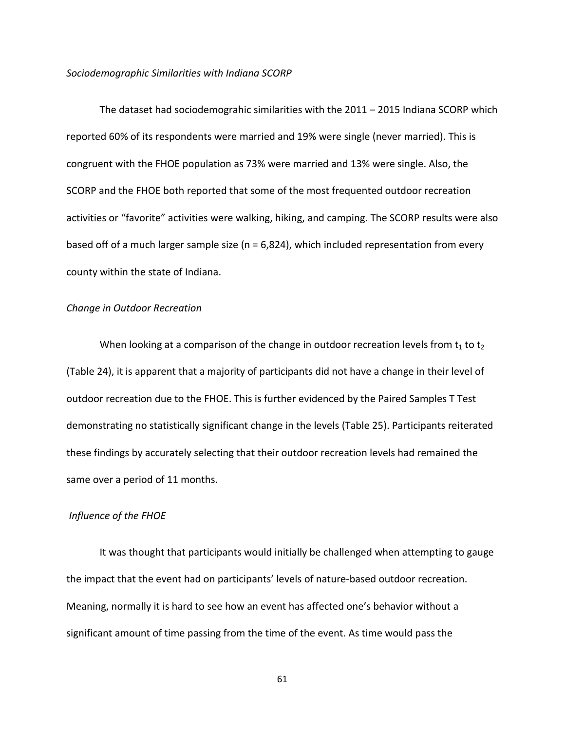#### *Sociodemographic Similarities with Indiana SCORP*

The dataset had sociodemograhic similarities with the 2011 – 2015 Indiana SCORP which reported 60% of its respondents were married and 19% were single (never married). This is congruent with the FHOE population as 73% were married and 13% were single. Also, the SCORP and the FHOE both reported that some of the most frequented outdoor recreation activities or "favorite" activities were walking, hiking, and camping. The SCORP results were also based off of a much larger sample size ( $n = 6,824$ ), which included representation from every county within the state of Indiana.

#### *Change in Outdoor Recreation*

When looking at a comparison of the change in outdoor recreation levels from  $t_1$  to  $t_2$ (Table 24), it is apparent that a majority of participants did not have a change in their level of outdoor recreation due to the FHOE. This is further evidenced by the Paired Samples T Test demonstrating no statistically significant change in the levels (Table 25). Participants reiterated these findings by accurately selecting that their outdoor recreation levels had remained the same over a period of 11 months.

## *Influence of the FHOE*

It was thought that participants would initially be challenged when attempting to gauge the impact that the event had on participants' levels of nature-based outdoor recreation. Meaning, normally it is hard to see how an event has affected one's behavior without a significant amount of time passing from the time of the event. As time would pass the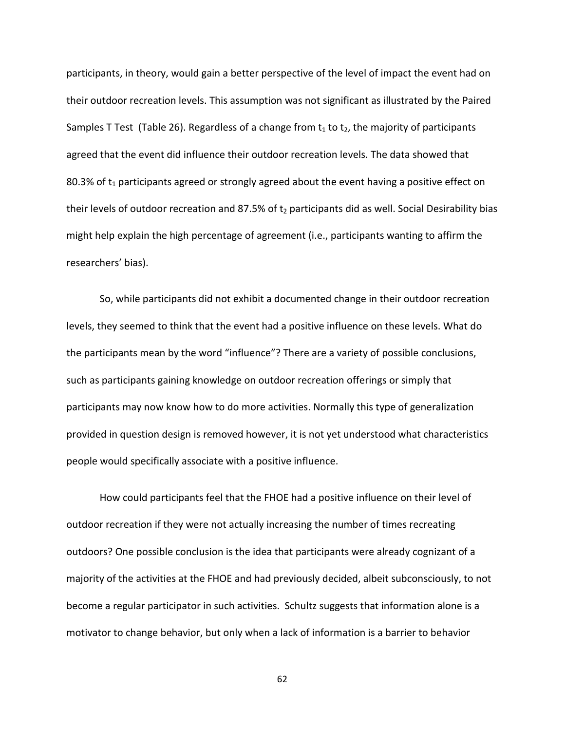participants, in theory, would gain a better perspective of the level of impact the event had on their outdoor recreation levels. This assumption was not significant as illustrated by the Paired Samples T Test (Table 26). Regardless of a change from  $t_1$  to  $t_2$ , the majority of participants agreed that the event did influence their outdoor recreation levels. The data showed that 80.3% of  $t_1$  participants agreed or strongly agreed about the event having a positive effect on their levels of outdoor recreation and 87.5% of  $t_2$  participants did as well. Social Desirability bias might help explain the high percentage of agreement (i.e., participants wanting to affirm the researchers' bias).

So, while participants did not exhibit a documented change in their outdoor recreation levels, they seemed to think that the event had a positive influence on these levels. What do the participants mean by the word "influence"? There are a variety of possible conclusions, such as participants gaining knowledge on outdoor recreation offerings or simply that participants may now know how to do more activities. Normally this type of generalization provided in question design is removed however, it is not yet understood what characteristics people would specifically associate with a positive influence.

How could participants feel that the FHOE had a positive influence on their level of outdoor recreation if they were not actually increasing the number of times recreating outdoors? One possible conclusion is the idea that participants were already cognizant of a majority of the activities at the FHOE and had previously decided, albeit subconsciously, to not become a regular participator in such activities. Schultz suggests that information alone is a motivator to change behavior, but only when a lack of information is a barrier to behavior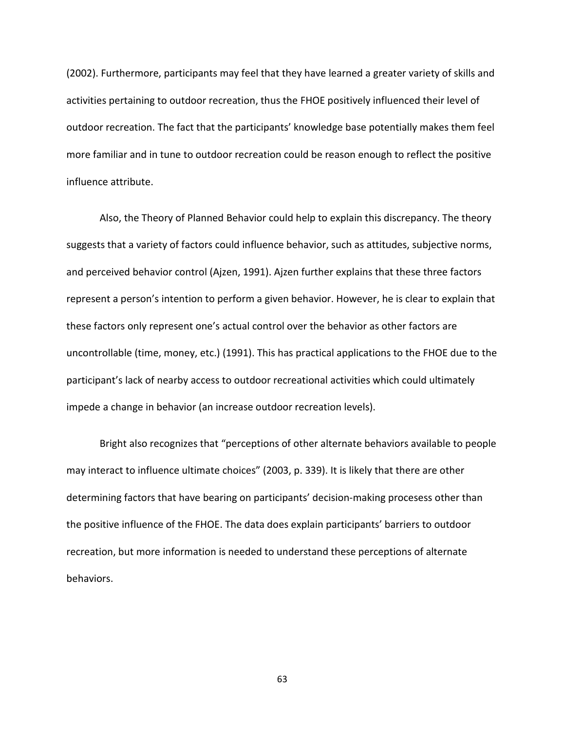(2002). Furthermore, participants may feel that they have learned a greater variety of skills and activities pertaining to outdoor recreation, thus the FHOE positively influenced their level of outdoor recreation. The fact that the participants' knowledge base potentially makes them feel more familiar and in tune to outdoor recreation could be reason enough to reflect the positive influence attribute.

Also, the Theory of Planned Behavior could help to explain this discrepancy. The theory suggests that a variety of factors could influence behavior, such as attitudes, subjective norms, and perceived behavior control (Ajzen, 1991). Ajzen further explains that these three factors represent a person's intention to perform a given behavior. However, he is clear to explain that these factors only represent one's actual control over the behavior as other factors are uncontrollable (time, money, etc.) (1991). This has practical applications to the FHOE due to the participant's lack of nearby access to outdoor recreational activities which could ultimately impede a change in behavior (an increase outdoor recreation levels).

Bright also recognizes that "perceptions of other alternate behaviors available to people may interact to influence ultimate choices" (2003, p. 339). It is likely that there are other determining factors that have bearing on participants' decision-making procesess other than the positive influence of the FHOE. The data does explain participants' barriers to outdoor recreation, but more information is needed to understand these perceptions of alternate behaviors.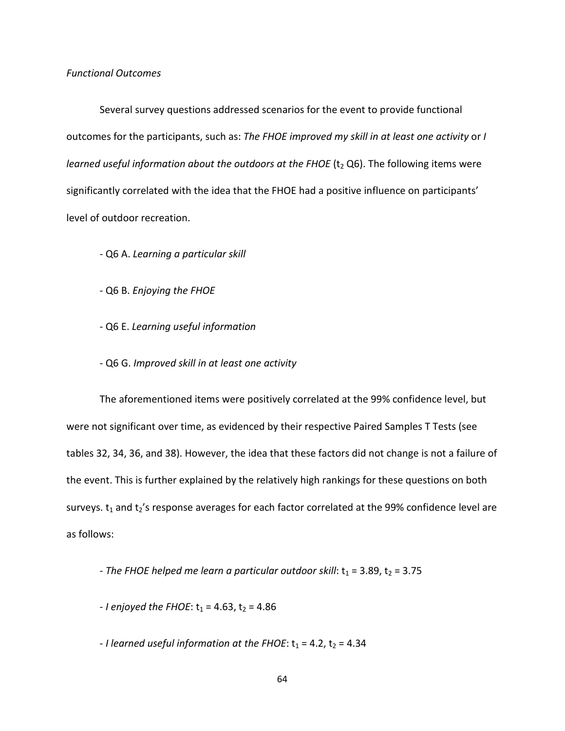# *Functional Outcomes*

Several survey questions addressed scenarios for the event to provide functional outcomes for the participants, such as: *The FHOE improved my skill in at least one activity* or *I learned useful information about the outdoors at the FHOE* (t<sub>2</sub> Q6). The following items were significantly correlated with the idea that the FHOE had a positive influence on participants' level of outdoor recreation.

- Q6 A. *Learning a particular skill*

- Q6 B. *Enjoying the FHOE*

- Q6 E. *Learning useful information*

- Q6 G. *Improved skill in at least one activity*

The aforementioned items were positively correlated at the 99% confidence level, but were not significant over time, as evidenced by their respective Paired Samples T Tests (see tables 32, 34, 36, and 38). However, the idea that these factors did not change is not a failure of the event. This is further explained by the relatively high rankings for these questions on both surveys.  $t_1$  and  $t_2$ 's response averages for each factor correlated at the 99% confidence level are as follows:

- The FHOE helped me learn a particular outdoor skill:  $t_1$  = 3.89,  $t_2$  = 3.75

 $-$  *I enjoyed the FHOE*:  $t_1$  = 4.63,  $t_2$  = 4.86

- *I learned useful information at the FHOE*:  $t_1 = 4.2$ ,  $t_2 = 4.34$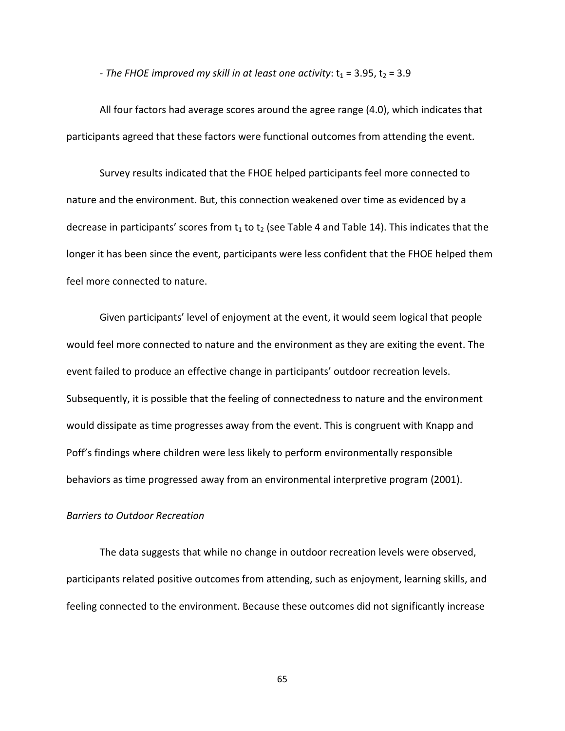- *The FHOE improved my skill in at least one activity*:  $t_1$  = 3.95,  $t_2$  = 3.9

All four factors had average scores around the agree range (4.0), which indicates that participants agreed that these factors were functional outcomes from attending the event.

Survey results indicated that the FHOE helped participants feel more connected to nature and the environment. But, this connection weakened over time as evidenced by a decrease in participants' scores from  $t_1$  to  $t_2$  (see Table 4 and Table 14). This indicates that the longer it has been since the event, participants were less confident that the FHOE helped them feel more connected to nature.

Given participants' level of enjoyment at the event, it would seem logical that people would feel more connected to nature and the environment as they are exiting the event. The event failed to produce an effective change in participants' outdoor recreation levels. Subsequently, it is possible that the feeling of connectedness to nature and the environment would dissipate as time progresses away from the event. This is congruent with Knapp and Poff's findings where children were less likely to perform environmentally responsible behaviors as time progressed away from an environmental interpretive program (2001).

# *Barriers to Outdoor Recreation*

The data suggests that while no change in outdoor recreation levels were observed, participants related positive outcomes from attending, such as enjoyment, learning skills, and feeling connected to the environment. Because these outcomes did not significantly increase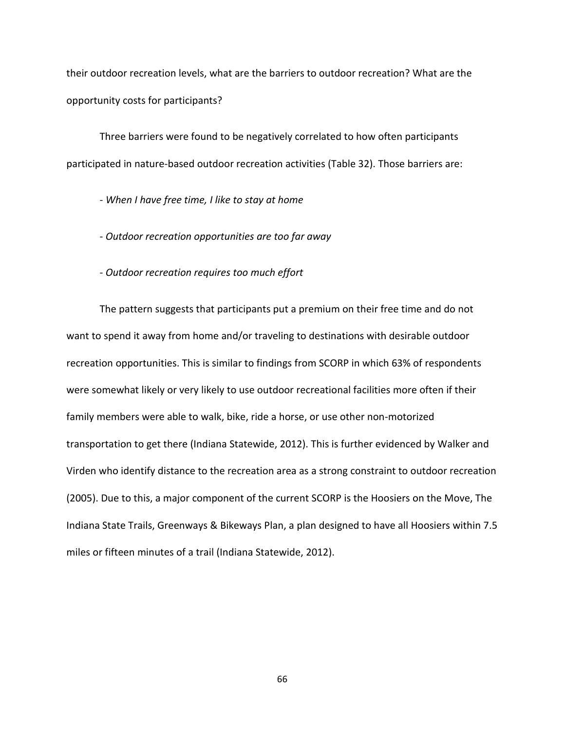their outdoor recreation levels, what are the barriers to outdoor recreation? What are the opportunity costs for participants?

Three barriers were found to be negatively correlated to how often participants participated in nature-based outdoor recreation activities (Table 32). Those barriers are:

- *When I have free time, I like to stay at home*

- *Outdoor recreation opportunities are too far away*

- *Outdoor recreation requires too much effort*

The pattern suggests that participants put a premium on their free time and do not want to spend it away from home and/or traveling to destinations with desirable outdoor recreation opportunities. This is similar to findings from SCORP in which 63% of respondents were somewhat likely or very likely to use outdoor recreational facilities more often if their family members were able to walk, bike, ride a horse, or use other non-motorized transportation to get there (Indiana Statewide, 2012). This is further evidenced by Walker and Virden who identify distance to the recreation area as a strong constraint to outdoor recreation (2005). Due to this, a major component of the current SCORP is the Hoosiers on the Move, The Indiana State Trails, Greenways & Bikeways Plan, a plan designed to have all Hoosiers within 7.5 miles or fifteen minutes of a trail (Indiana Statewide, 2012).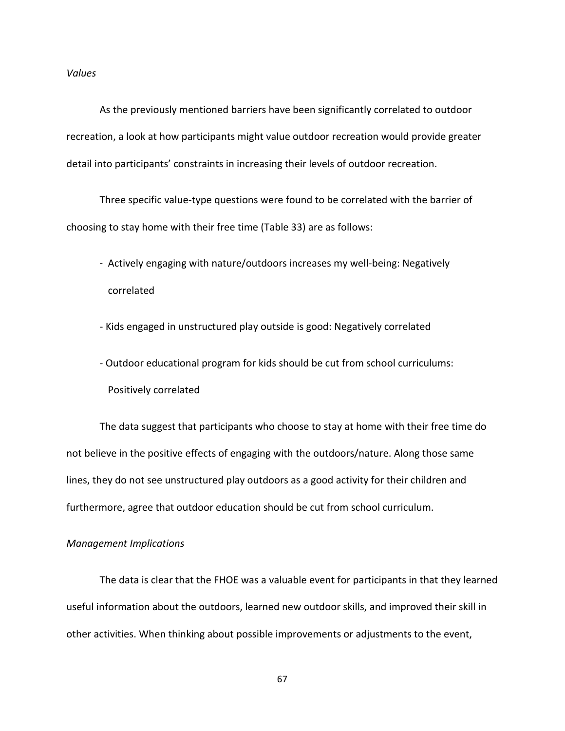*Values*

As the previously mentioned barriers have been significantly correlated to outdoor recreation, a look at how participants might value outdoor recreation would provide greater detail into participants' constraints in increasing their levels of outdoor recreation.

Three specific value-type questions were found to be correlated with the barrier of choosing to stay home with their free time (Table 33) are as follows:

- Actively engaging with nature/outdoors increases my well-being: Negatively correlated
- Kids engaged in unstructured play outside is good: Negatively correlated
- Outdoor educational program for kids should be cut from school curriculums: Positively correlated

The data suggest that participants who choose to stay at home with their free time do not believe in the positive effects of engaging with the outdoors/nature. Along those same lines, they do not see unstructured play outdoors as a good activity for their children and furthermore, agree that outdoor education should be cut from school curriculum.

## *Management Implications*

The data is clear that the FHOE was a valuable event for participants in that they learned useful information about the outdoors, learned new outdoor skills, and improved their skill in other activities. When thinking about possible improvements or adjustments to the event,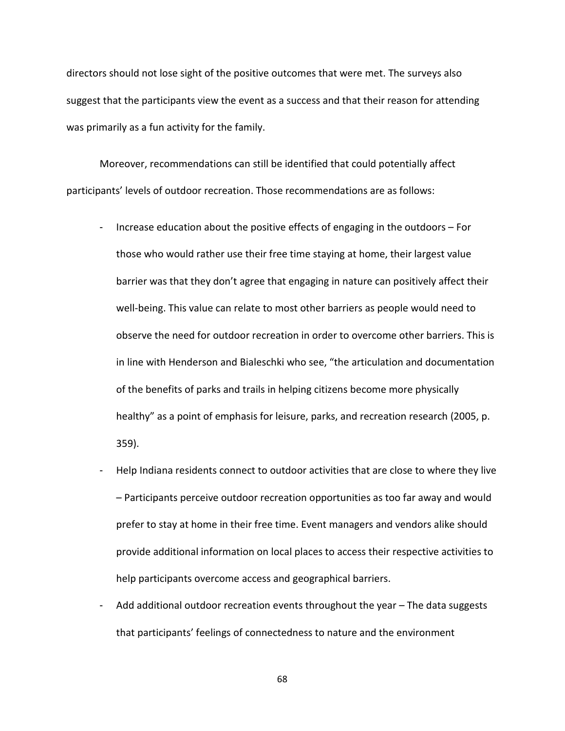directors should not lose sight of the positive outcomes that were met. The surveys also suggest that the participants view the event as a success and that their reason for attending was primarily as a fun activity for the family.

Moreover, recommendations can still be identified that could potentially affect participants' levels of outdoor recreation. Those recommendations are as follows:

- Increase education about the positive effects of engaging in the outdoors For those who would rather use their free time staying at home, their largest value barrier was that they don't agree that engaging in nature can positively affect their well-being. This value can relate to most other barriers as people would need to observe the need for outdoor recreation in order to overcome other barriers. This is in line with Henderson and Bialeschki who see, "the articulation and documentation of the benefits of parks and trails in helping citizens become more physically healthy" as a point of emphasis for leisure, parks, and recreation research (2005, p. 359).
- Help Indiana residents connect to outdoor activities that are close to where they live – Participants perceive outdoor recreation opportunities as too far away and would prefer to stay at home in their free time. Event managers and vendors alike should provide additional information on local places to access their respective activities to help participants overcome access and geographical barriers.
- Add additional outdoor recreation events throughout the year The data suggests that participants' feelings of connectedness to nature and the environment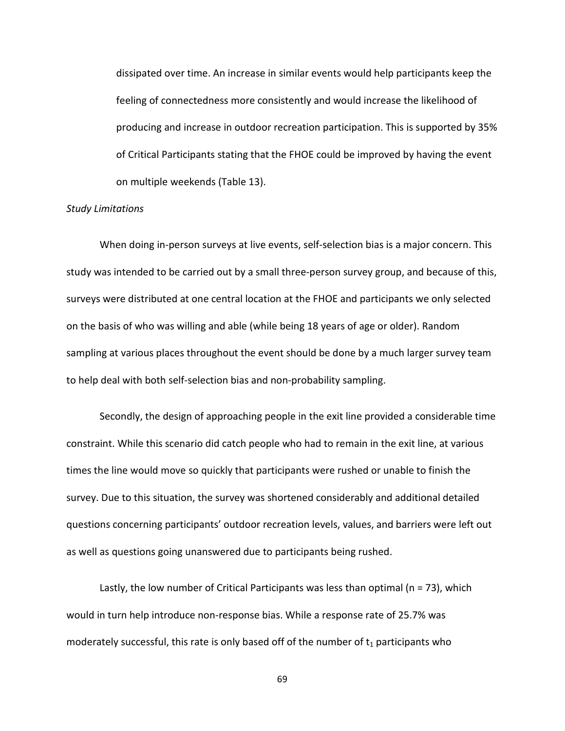dissipated over time. An increase in similar events would help participants keep the feeling of connectedness more consistently and would increase the likelihood of producing and increase in outdoor recreation participation. This is supported by 35% of Critical Participants stating that the FHOE could be improved by having the event on multiple weekends (Table 13).

#### *Study Limitations*

When doing in-person surveys at live events, self-selection bias is a major concern. This study was intended to be carried out by a small three-person survey group, and because of this, surveys were distributed at one central location at the FHOE and participants we only selected on the basis of who was willing and able (while being 18 years of age or older). Random sampling at various places throughout the event should be done by a much larger survey team to help deal with both self-selection bias and non-probability sampling.

Secondly, the design of approaching people in the exit line provided a considerable time constraint. While this scenario did catch people who had to remain in the exit line, at various times the line would move so quickly that participants were rushed or unable to finish the survey. Due to this situation, the survey was shortened considerably and additional detailed questions concerning participants' outdoor recreation levels, values, and barriers were left out as well as questions going unanswered due to participants being rushed.

Lastly, the low number of Critical Participants was less than optimal ( $n = 73$ ), which would in turn help introduce non-response bias. While a response rate of 25.7% was moderately successful, this rate is only based off of the number of  $t_1$  participants who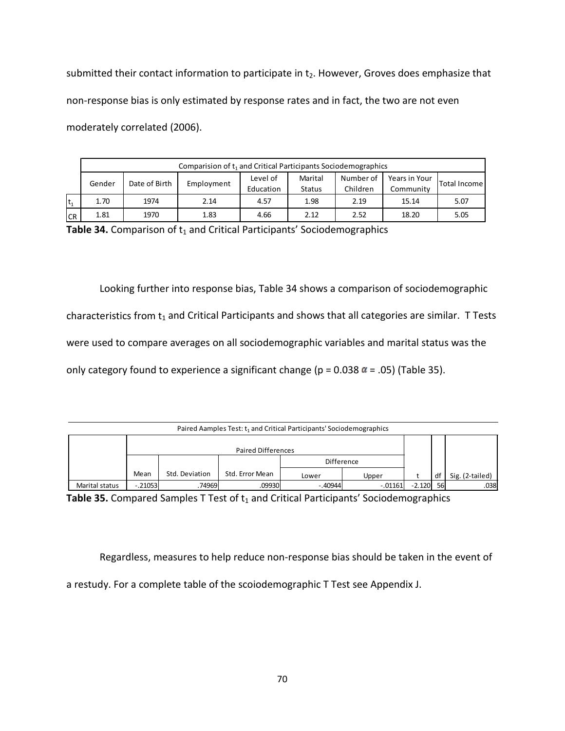submitted their contact information to participate in  $t<sub>2</sub>$ . However, Groves does emphasize that non-response bias is only estimated by response rates and in fact, the two are not even moderately correlated (2006).

|              | Comparision of t <sub>1</sub> and Critical Participants Sociodemographics |      |            |           |                      |          |               |              |  |  |  |  |  |
|--------------|---------------------------------------------------------------------------|------|------------|-----------|----------------------|----------|---------------|--------------|--|--|--|--|--|
|              | Date of Birth<br>Gender                                                   |      | Employment | Level of  | Number of<br>Marital |          | Years in Your | Total Income |  |  |  |  |  |
|              |                                                                           |      |            | Education | <b>Status</b>        | Children | Community     |              |  |  |  |  |  |
| $ {\rm t}_1$ | 1.70                                                                      | 1974 | 2.14       | 4.57      | 1.98                 | 2.19     | 15.14         | 5.07         |  |  |  |  |  |
| ICR          | 1.81                                                                      | 1970 | 1.83       | 4.66      | 2.12                 | 2.52     | 18.20         | 5.05         |  |  |  |  |  |

Table 34. Comparison of t<sub>1</sub> and Critical Participants' Sociodemographics

Looking further into response bias, Table 34 shows a comparison of sociodemographic characteristics from  $t_1$  and Critical Participants and shows that all categories are similar. T Tests were used to compare averages on all sociodemographic variables and marital status was the only category found to experience a significant change ( $p = 0.038 \alpha = .05$ ) (Table 35).

|                | Paired Aamples Test: t <sub>1</sub> and Critical Participants' Sociodemographics |                |                 |           |                   |          |     |                 |  |  |  |  |  |  |
|----------------|----------------------------------------------------------------------------------|----------------|-----------------|-----------|-------------------|----------|-----|-----------------|--|--|--|--|--|--|
|                | Paired Differences                                                               |                |                 |           |                   |          |     |                 |  |  |  |  |  |  |
|                |                                                                                  |                |                 |           | <b>Difference</b> |          |     |                 |  |  |  |  |  |  |
|                | Mean                                                                             | Std. Deviation | Std. Error Mean | Lower     | Upper             |          | df  | Sig. (2-tailed) |  |  |  |  |  |  |
| Marital status | $-.21053$                                                                        | .74969         | .09930          | $-.40944$ | $-.01161$         | $-2.120$ | -56 | .038            |  |  |  |  |  |  |

**Table 35.** Compared Samples T Test of t<sub>1</sub> and Critical Participants' Sociodemographics

Regardless, measures to help reduce non-response bias should be taken in the event of a restudy. For a complete table of the scoiodemographic T Test see Appendix J.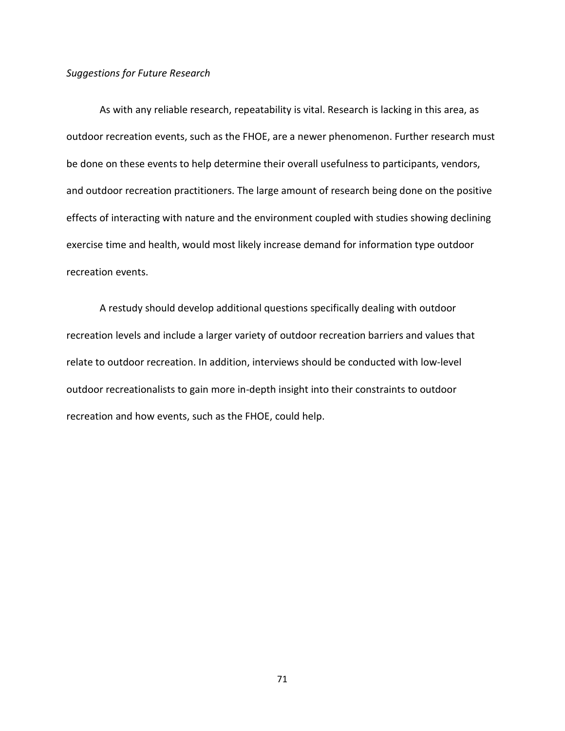# *Suggestions for Future Research*

As with any reliable research, repeatability is vital. Research is lacking in this area, as outdoor recreation events, such as the FHOE, are a newer phenomenon. Further research must be done on these events to help determine their overall usefulness to participants, vendors, and outdoor recreation practitioners. The large amount of research being done on the positive effects of interacting with nature and the environment coupled with studies showing declining exercise time and health, would most likely increase demand for information type outdoor recreation events.

A restudy should develop additional questions specifically dealing with outdoor recreation levels and include a larger variety of outdoor recreation barriers and values that relate to outdoor recreation. In addition, interviews should be conducted with low-level outdoor recreationalists to gain more in-depth insight into their constraints to outdoor recreation and how events, such as the FHOE, could help.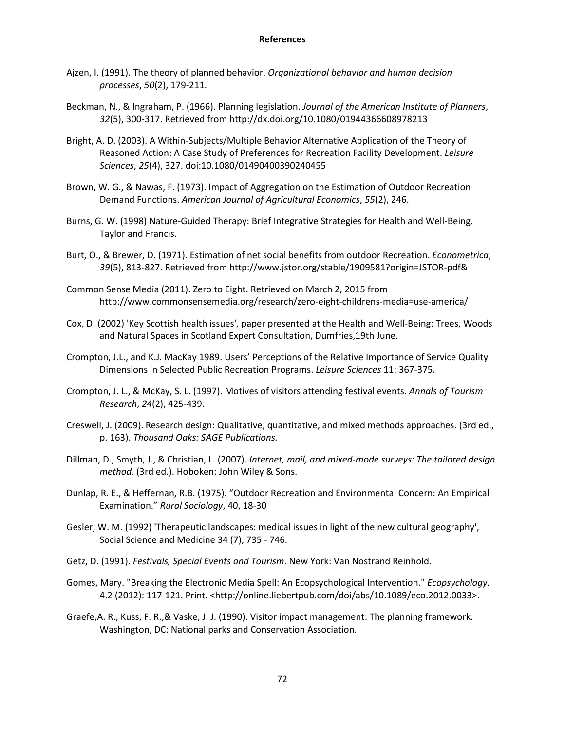- Ajzen, I. (1991). The theory of planned behavior. *Organizational behavior and human decision processes*, *50*(2), 179-211.
- Beckman, N., & Ingraham, P. (1966). Planning legislation. *Journal of the American Institute of Planners*, *32*(5), 300-317. Retrieved from http://dx.doi.org/10.1080/01944366608978213
- Bright, A. D. (2003). A Within-Subjects/Multiple Behavior Alternative Application of the Theory of Reasoned Action: A Case Study of Preferences for Recreation Facility Development. *Leisure Sciences*, *25*(4), 327. doi:10.1080/01490400390240455
- Brown, W. G., & Nawas, F. (1973). Impact of Aggregation on the Estimation of Outdoor Recreation Demand Functions. *American Journal of Agricultural Economics*, *55*(2), 246.
- Burns, G. W. (1998) Nature-Guided Therapy: Brief Integrative Strategies for Health and Well-Being. Taylor and Francis.
- Burt, O., & Brewer, D. (1971). Estimation of net social benefits from outdoor Recreation. *Econometrica*, *39*(5), 813-827. Retrieved from http://www.jstor.org/stable/1909581?origin=JSTOR-pdf&
- Common Sense Media (2011). Zero to Eight. Retrieved on March 2, 2015 from http://www.commonsensemedia.org/research/zero-eight-childrens-media=use-america/
- Cox, D. (2002) 'Key Scottish health issues', paper presented at the Health and Well-Being: Trees, Woods and Natural Spaces in Scotland Expert Consultation, Dumfries,19th June.
- Crompton, J.L., and K.J. MacKay 1989. Users' Perceptions of the Relative Importance of Service Quality Dimensions in Selected Public Recreation Programs. *Leisure Sciences* 11: 367-375.
- Crompton, J. L., & McKay, S. L. (1997). Motives of visitors attending festival events. *Annals of Tourism Research*, *24*(2), 425-439.
- Creswell, J. (2009). Research design: Qualitative, quantitative, and mixed methods approaches. (3rd ed., p. 163). *Thousand Oaks: SAGE Publications.*
- Dillman, D., Smyth, J., & Christian, L. (2007). *Internet, mail, and mixed-mode surveys: The tailored design method.* (3rd ed.). Hoboken: John Wiley & Sons.
- Dunlap, R. E., & Heffernan, R.B. (1975). "Outdoor Recreation and Environmental Concern: An Empirical Examination." *Rural Sociology*, 40, 18-30
- Gesler, W. M. (1992) 'Therapeutic landscapes: medical issues in light of the new cultural geography', Social Science and Medicine 34 (7), 735 - 746.
- Getz, D. (1991). *Festivals, Special Events and Tourism*. New York: Van Nostrand Reinhold.
- Gomes, Mary. "Breaking the Electronic Media Spell: An Ecopsychological Intervention." *Ecopsychology*. 4.2 (2012): 117-121. Print. <http://online.liebertpub.com/doi/abs/10.1089/eco.2012.0033>.
- Graefe,A. R., Kuss, F. R.,& Vaske, J. J. (1990). Visitor impact management: The planning framework. Washington, DC: National parks and Conservation Association.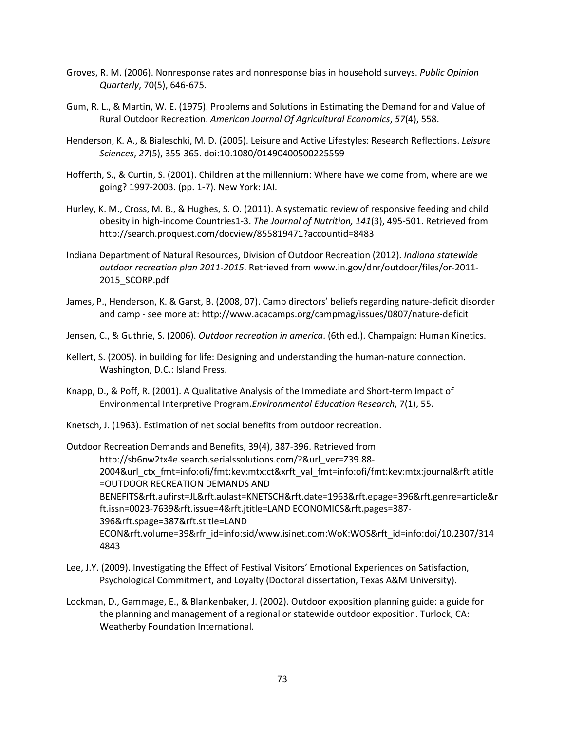- Groves, R. M. (2006). Nonresponse rates and nonresponse bias in household surveys. *Public Opinion Quarterly*, 70(5), 646-675.
- Gum, R. L., & Martin, W. E. (1975). Problems and Solutions in Estimating the Demand for and Value of Rural Outdoor Recreation. *American Journal Of Agricultural Economics*, *57*(4), 558.
- Henderson, K. A., & Bialeschki, M. D. (2005). Leisure and Active Lifestyles: Research Reflections. *Leisure Sciences*, *27*(5), 355-365. doi:10.1080/01490400500225559
- Hofferth, S., & Curtin, S. (2001). Children at the millennium: Where have we come from, where are we going? 1997-2003. (pp. 1-7). New York: JAI.
- Hurley, K. M., Cross, M. B., & Hughes, S. O. (2011). A systematic review of responsive feeding and child obesity in high-income Countries1-3. *The Journal of Nutrition, 141*(3), 495-501. Retrieved from http://search.proquest.com/docview/855819471?accountid=8483
- Indiana Department of Natural Resources, Division of Outdoor Recreation (2012). *Indiana statewide outdoor recreation plan 2011-2015*. Retrieved from www.in.gov/dnr/outdoor/files/or-2011- 2015\_SCORP.pdf
- James, P., Henderson, K. & Garst, B. (2008, 07). Camp directors' beliefs regarding nature-deficit disorder and camp - see more at: http://www.acacamps.org/campmag/issues/0807/nature-deficit
- Jensen, C., & Guthrie, S. (2006). *Outdoor recreation in america*. (6th ed.). Champaign: Human Kinetics.
- Kellert, S. (2005). in building for life: Designing and understanding the human-nature connection. Washington, D.C.: Island Press.
- Knapp, D., & Poff, R. (2001). A Qualitative Analysis of the Immediate and Short-term Impact of Environmental Interpretive Program.*Environmental Education Research*, 7(1), 55.
- Knetsch, J. (1963). Estimation of net social benefits from outdoor recreation.

Outdoor Recreation Demands and Benefits, 39(4), 387-396. Retrieved from http://sb6nw2tx4e.search.serialssolutions.com/?&url\_ver=Z39.88- 2004&url\_ctx\_fmt=info:ofi/fmt:kev:mtx:ct&xrft\_val\_fmt=info:ofi/fmt:kev:mtx:journal&rft.atitle =OUTDOOR RECREATION DEMANDS AND BENEFITS&rft.aufirst=JL&rft.aulast=KNETSCH&rft.date=1963&rft.epage=396&rft.genre=article&r ft.issn=0023-7639&rft.issue=4&rft.jtitle=LAND ECONOMICS&rft.pages=387- 396&rft.spage=387&rft.stitle=LAND ECON&rft.volume=39&rfr\_id=info:sid/www.isinet.com:WoK:WOS&rft\_id=info:doi/10.2307/314 4843

- Lee, J.Y. (2009). Investigating the Effect of Festival Visitors' Emotional Experiences on Satisfaction, Psychological Commitment, and Loyalty (Doctoral dissertation, Texas A&M University).
- Lockman, D., Gammage, E., & Blankenbaker, J. (2002). Outdoor exposition planning guide: a guide for the planning and management of a regional or statewide outdoor exposition. Turlock, CA: Weatherby Foundation International.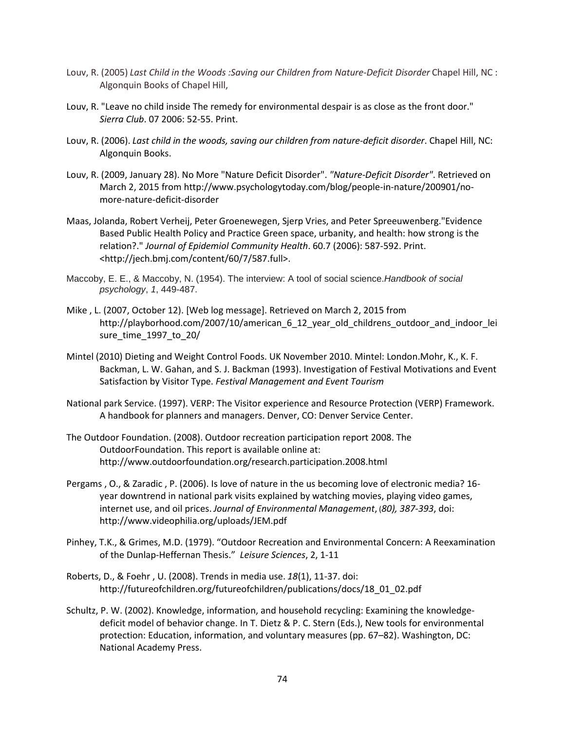- Louv, R. (2005) *Last Child in the Woods :Saving our Children from Nature-Deficit Disorder* Chapel Hill, NC : Algonquin Books of Chapel Hill,
- Louv, R. "Leave no child inside The remedy for environmental despair is as close as the front door." *Sierra Club*. 07 2006: 52-55. Print.
- Louv, R. (2006). *Last child in the woods, saving our children from nature-deficit disorder*. Chapel Hill, NC: Algonquin Books.
- Louv, R. (2009, January 28). No More "Nature Deficit Disorder". *"Nature-Deficit Disorder"*. Retrieved on March 2, 2015 from http://www.psychologytoday.com/blog/people-in-nature/200901/nomore-nature-deficit-disorder
- Maas, Jolanda, Robert Verheij, Peter Groenewegen, Sjerp Vries, and Peter Spreeuwenberg."Evidence Based Public Health Policy and Practice Green space, urbanity, and health: how strong is the relation?." *Journal of Epidemiol Community Health*. 60.7 (2006): 587-592. Print. <http://jech.bmj.com/content/60/7/587.full>.
- Maccoby, E. E., & Maccoby, N. (1954). The interview: A tool of social science.*Handbook of social psychology*, *1*, 449-487.
- Mike , L. (2007, October 12). [Web log message]. Retrieved on March 2, 2015 from http://playborhood.com/2007/10/american\_6\_12\_year\_old\_childrens\_outdoor\_and\_indoor\_lei sure\_time\_1997\_to\_20/
- Mintel (2010) Dieting and Weight Control Foods. UK November 2010. Mintel: London.Mohr, K., K. F. Backman, L. W. Gahan, and S. J. Backman (1993). Investigation of Festival Motivations and Event Satisfaction by Visitor Type. *Festival Management and Event Tourism*
- National park Service. (1997). VERP: The Visitor experience and Resource Protection (VERP) Framework. A handbook for planners and managers. Denver, CO: Denver Service Center.
- The Outdoor Foundation. (2008). Outdoor recreation participation report 2008. The OutdoorFoundation. This report is available online at: http://www.outdoorfoundation.org/research.participation.2008.html
- Pergams , O., & Zaradic , P. (2006). Is love of nature in the us becoming love of electronic media? 16 year downtrend in national park visits explained by watching movies, playing video games, internet use, and oil prices. *Journal of Environmental Management*, (*80), 387-393*, doi: http://www.videophilia.org/uploads/JEM.pdf
- Pinhey, T.K., & Grimes, M.D. (1979). "Outdoor Recreation and Environmental Concern: A Reexamination of the Dunlap-Heffernan Thesis." *Leisure Sciences*, 2, 1-11
- Roberts, D., & Foehr , U. (2008). Trends in media use. *18*(1), 11-37. doi: http://futureofchildren.org/futureofchildren/publications/docs/18\_01\_02.pdf
- Schultz, P. W. (2002). Knowledge, information, and household recycling: Examining the knowledgedeficit model of behavior change. In T. Dietz & P. C. Stern (Eds.), New tools for environmental protection: Education, information, and voluntary measures (pp. 67–82). Washington, DC: National Academy Press.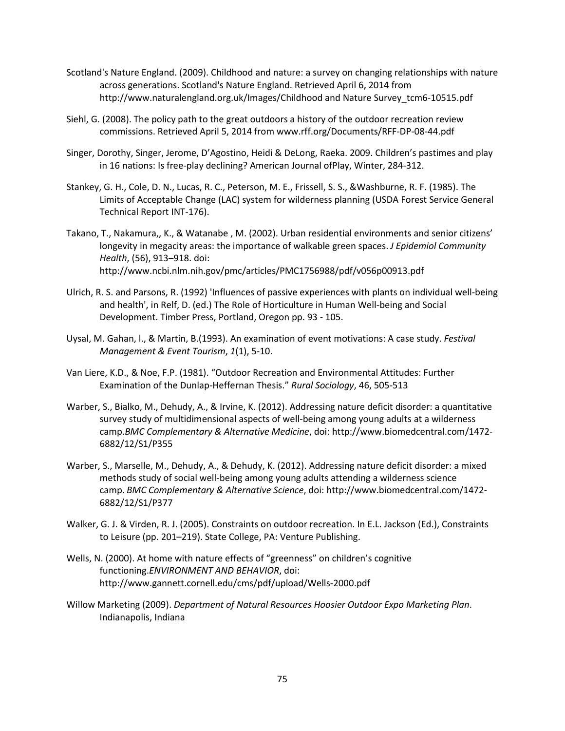- Scotland's Nature England. (2009). Childhood and nature: a survey on changing relationships with nature across generations. Scotland's Nature England. Retrieved April 6, 2014 from http://www.naturalengland.org.uk/Images/Childhood and Nature Survey\_tcm6-10515.pdf
- Siehl, G. (2008). The policy path to the great outdoors a history of the outdoor recreation review commissions. Retrieved April 5, 2014 from www.rff.org/Documents/RFF-DP-08-44.pdf
- Singer, Dorothy, Singer, Jerome, D'Agostino, Heidi & DeLong, Raeka. 2009. Children's pastimes and play in 16 nations: Is free-play declining? American Journal ofPlay, Winter, 284-312.
- Stankey, G. H., Cole, D. N., Lucas, R. C., Peterson, M. E., Frissell, S. S., &Washburne, R. F. (1985). The Limits of Acceptable Change (LAC) system for wilderness planning (USDA Forest Service General Technical Report INT-176).
- Takano, T., Nakamura,, K., & Watanabe , M. (2002). Urban residential environments and senior citizens' longevity in megacity areas: the importance of walkable green spaces. *J Epidemiol Community Health*, (56), 913–918. doi: http://www.ncbi.nlm.nih.gov/pmc/articles/PMC1756988/pdf/v056p00913.pdf
- Ulrich, R. S. and Parsons, R. (1992) 'Influences of passive experiences with plants on individual well-being and health', in Relf, D. (ed.) The Role of Horticulture in Human Well-being and Social Development. Timber Press, Portland, Oregon pp. 93 - 105.
- Uysal, M. Gahan, l., & Martin, B.(1993). An examination of event motivations: A case study. *Festival Management & Event Tourism*, *1*(1), 5-10.
- Van Liere, K.D., & Noe, F.P. (1981). "Outdoor Recreation and Environmental Attitudes: Further Examination of the Dunlap-Heffernan Thesis." *Rural Sociology*, 46, 505-513
- Warber, S., Bialko, M., Dehudy, A., & Irvine, K. (2012). Addressing nature deficit disorder: a quantitative survey study of multidimensional aspects of well-being among young adults at a wilderness camp.*BMC Complementary & Alternative Medicine*, doi: http://www.biomedcentral.com/1472- 6882/12/S1/P355
- Warber, S., Marselle, M., Dehudy, A., & Dehudy, K. (2012). Addressing nature deficit disorder: a mixed methods study of social well-being among young adults attending a wilderness science camp. *BMC Complementary & Alternative Science*, doi: http://www.biomedcentral.com/1472- 6882/12/S1/P377
- Walker, G. J. & Virden, R. J. (2005). Constraints on outdoor recreation. In E.L. Jackson (Ed.), Constraints to Leisure (pp. 201–219). State College, PA: Venture Publishing.
- Wells, N. (2000). At home with nature effects of "greenness" on children's cognitive functioning.*ENVIRONMENT AND BEHAVIOR*, doi: http://www.gannett.cornell.edu/cms/pdf/upload/Wells-2000.pdf
- Willow Marketing (2009). *Department of Natural Resources Hoosier Outdoor Expo Marketing Plan*. Indianapolis, Indiana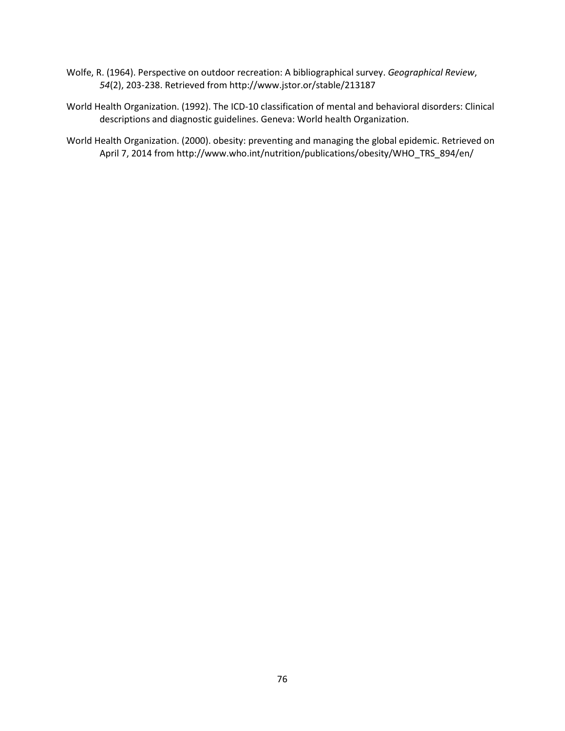- Wolfe, R. (1964). Perspective on outdoor recreation: A bibliographical survey. *Geographical Review*, *54*(2), 203-238. Retrieved from http://www.jstor.or/stable/213187
- World Health Organization. (1992). The ICD-10 classification of mental and behavioral disorders: Clinical descriptions and diagnostic guidelines. Geneva: World health Organization.

World Health Organization. (2000). obesity: preventing and managing the global epidemic. Retrieved on April 7, 2014 from http://www.who.int/nutrition/publications/obesity/WHO\_TRS\_894/en/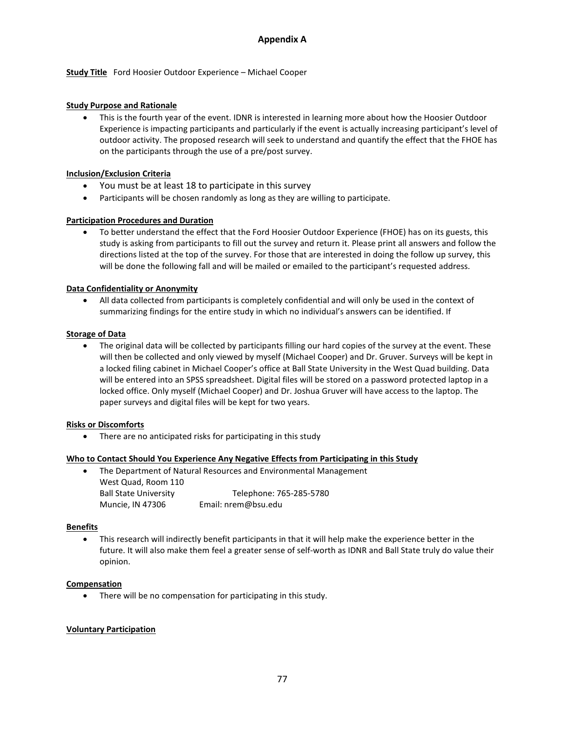## **Study Title** Ford Hoosier Outdoor Experience – Michael Cooper

## **Study Purpose and Rationale**

• This is the fourth year of the event. IDNR is interested in learning more about how the Hoosier Outdoor Experience is impacting participants and particularly if the event is actually increasing participant's level of outdoor activity. The proposed research will seek to understand and quantify the effect that the FHOE has on the participants through the use of a pre/post survey.

## **Inclusion/Exclusion Criteria**

- You must be at least 18 to participate in this survey
- Participants will be chosen randomly as long as they are willing to participate.

## **Participation Procedures and Duration**

• To better understand the effect that the Ford Hoosier Outdoor Experience (FHOE) has on its guests, this study is asking from participants to fill out the survey and return it. Please print all answers and follow the directions listed at the top of the survey. For those that are interested in doing the follow up survey, this will be done the following fall and will be mailed or emailed to the participant's requested address.

## **Data Confidentiality or Anonymity**

• All data collected from participants is completely confidential and will only be used in the context of summarizing findings for the entire study in which no individual's answers can be identified. If

## **Storage of Data**

• The original data will be collected by participants filling our hard copies of the survey at the event. These will then be collected and only viewed by myself (Michael Cooper) and Dr. Gruver. Surveys will be kept in a locked filing cabinet in Michael Cooper's office at Ball State University in the West Quad building. Data will be entered into an SPSS spreadsheet. Digital files will be stored on a password protected laptop in a locked office. Only myself (Michael Cooper) and Dr. Joshua Gruver will have access to the laptop. The paper surveys and digital files will be kept for two years.

## **Risks or Discomforts**

• There are no anticipated risks for participating in this study

## **Who to Contact Should You Experience Any Negative Effects from Participating in this Study**

• The Department of Natural Resources and Environmental Management West Quad, Room 110 Ball State University Telephone: 765-285-5780 Muncie, IN 47306 Email: nrem@bsu.edu

## **Benefits**

• This research will indirectly benefit participants in that it will help make the experience better in the future. It will also make them feel a greater sense of self-worth as IDNR and Ball State truly do value their opinion.

## **Compensation**

• There will be no compensation for participating in this study.

## **Voluntary Participation**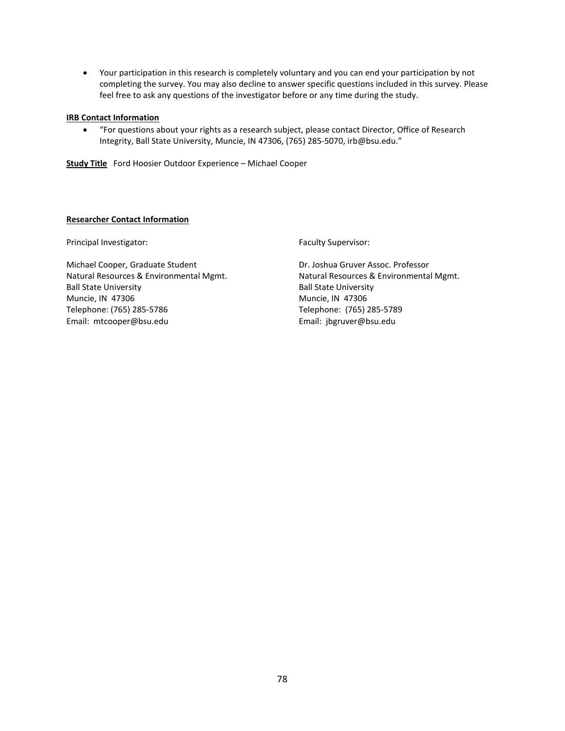• Your participation in this research is completely voluntary and you can end your participation by not completing the survey. You may also decline to answer specific questions included in this survey. Please feel free to ask any questions of the investigator before or any time during the study.

#### **IRB Contact Information**

• "For questions about your rights as a research subject, please contact Director, Office of Research Integrity, Ball State University, Muncie, IN 47306, (765) 285-5070, irb@bsu.edu."

**Study Title** Ford Hoosier Outdoor Experience – Michael Cooper

#### **Researcher Contact Information**

Principal Investigator: Faculty Supervisor:

Michael Cooper, Graduate Student Dr. Joshua Gruver Assoc. Professor Natural Resources & Environmental Mgmt. Natural Resources & Environmental Mgmt. Ball State University **Ball State University** Ball State University Muncie, IN 47306 Muncie, IN 47306 Telephone: (765) 285-5786 Telephone: (765) 285-5789 Email: mtcooper@bsu.edu Email: jbgruver@bsu.edu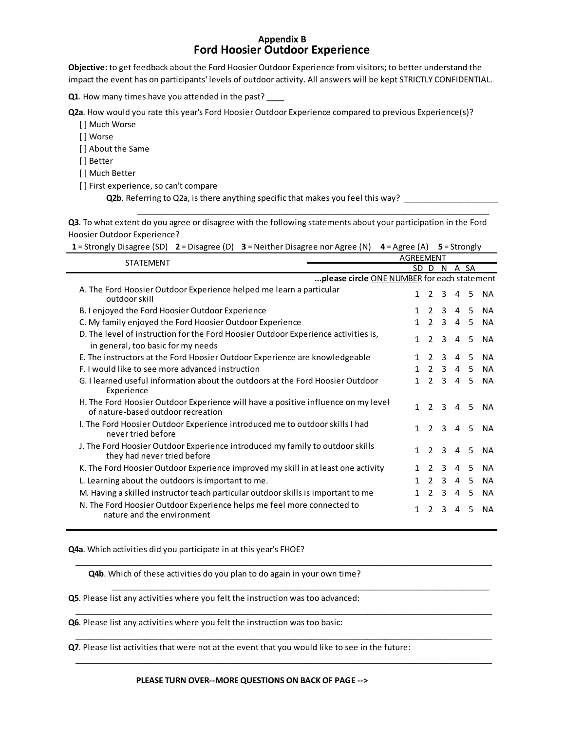## **Appendix B Ford Hoosier Outdoor Experience**

**Objective:** to get feedback about the Ford Hoosier Outdoor Experience from visitors; to better understand the impact the event has on participants' levels of outdoor activity. All answers will be kept STRICTLY CONFIDENTIAL.

**Q1**. How many times have you attended in the past?

**Q2a**. How would you rate this year's Ford Hoosier Outdoor Experience compared to previous Experience(s)?

- [ ] Much Worse
- [ ] Worse
- [] About the Same
- [ ] Better
- [ ] Much Better
- [ ] First experience, so can't compare

**Q2b**. Referring to Q2a, is there anything specific that makes you feel this way?

**Q3**. To what extent do you agree or disagree with the following statements about your participation in the Ford Hoosier Outdoor Experience?

\_\_\_\_\_\_\_\_\_\_\_\_\_\_\_\_\_\_\_\_\_\_\_\_\_\_\_\_\_\_\_\_\_\_\_\_\_\_\_\_\_\_\_\_\_\_\_\_\_\_\_\_\_\_\_\_\_\_\_\_\_\_\_\_\_\_\_\_\_\_\_\_\_\_\_\_\_\_\_\_\_\_

| <b>1</b> = Strongly Disagree (SD) <b>2</b> = Disagree (D) <b>3</b> = Neither Disagree nor Agree (N)                      | $4 = \text{Agree}$ (A) $5 = \text{Strongly}$ |                |                  |   |                |           |
|--------------------------------------------------------------------------------------------------------------------------|----------------------------------------------|----------------|------------------|---|----------------|-----------|
| <b>STATEMENT</b>                                                                                                         | AGREEMENT                                    |                |                  |   |                |           |
|                                                                                                                          |                                              |                | SD D N A SA      |   |                |           |
| please circle ONE NUMBER for each statement                                                                              |                                              |                |                  |   |                |           |
| A. The Ford Hoosier Outdoor Experience helped me learn a particular<br>outdoor skill                                     | $\mathbf{1}$                                 | $\mathbf{2}$   | 3                | 4 | 5              | <b>NA</b> |
| B. I enjoyed the Ford Hoosier Outdoor Experience                                                                         | $\mathbf{1}$                                 | $\overline{2}$ | 3                | 4 | 5              | <b>NA</b> |
| C. My family enjoyed the Ford Hoosier Outdoor Experience                                                                 | $\mathbf{1}$                                 | $\overline{2}$ | 3                | 4 | 5              | <b>NA</b> |
| D. The level of instruction for the Ford Hoosier Outdoor Experience activities is,<br>in general, too basic for my needs | 1                                            | $\mathcal{L}$  | 3                | 4 | 5              | <b>NA</b> |
| E. The instructors at the Ford Hoosier Outdoor Experience are knowledgeable                                              | 1.                                           | $\overline{2}$ | 3                | 4 | 5              | <b>NA</b> |
| F. I would like to see more advanced instruction                                                                         | $\mathbf{1}$                                 | $\overline{2}$ | 3                | 4 | -5             | <b>NA</b> |
| G. I learned useful information about the outdoors at the Ford Hoosier Outdoor<br>Experience                             | $\mathbf{1}$                                 | $\overline{2}$ | 3                | 4 | 5 <sup>1</sup> | <b>NA</b> |
| H. The Ford Hoosier Outdoor Experience will have a positive influence on my level<br>of nature-based outdoor recreation  | $\mathbf{1}$                                 |                | $2 \overline{3}$ |   | 4 5            | <b>NA</b> |
| I. The Ford Hoosier Outdoor Experience introduced me to outdoor skills I had<br>never tried before                       | $\mathbf{1}$                                 | $\overline{2}$ | $\overline{3}$   |   | 4 5            | <b>NA</b> |
| J. The Ford Hoosier Outdoor Experience introduced my family to outdoor skills<br>they had never tried before             | 1                                            | $\mathcal{L}$  | $\mathbf{3}$     | 4 | 5              | <b>NA</b> |
| K. The Ford Hoosier Outdoor Experience improved my skill in at least one activity                                        |                                              | $\overline{2}$ | 3                | 4 | 5              | <b>NA</b> |
| L. Learning about the outdoors is important to me.                                                                       | 1                                            | $\overline{2}$ | 3                | 4 | 5              | <b>NA</b> |
| M. Having a skilled instructor teach particular outdoor skills is important to me                                        |                                              | $\overline{2}$ | 3                | 4 | -5             | <b>NA</b> |
| N. The Ford Hoosier Outdoor Experience helps me feel more connected to<br>nature and the environment                     | 1                                            | $\mathcal{P}$  | 3                | 4 | 5              | <b>NA</b> |

 $\frac{1}{2}$  ,  $\frac{1}{2}$  ,  $\frac{1}{2}$  ,  $\frac{1}{2}$  ,  $\frac{1}{2}$  ,  $\frac{1}{2}$  ,  $\frac{1}{2}$  ,  $\frac{1}{2}$  ,  $\frac{1}{2}$  ,  $\frac{1}{2}$  ,  $\frac{1}{2}$  ,  $\frac{1}{2}$  ,  $\frac{1}{2}$  ,  $\frac{1}{2}$  ,  $\frac{1}{2}$  ,  $\frac{1}{2}$  ,  $\frac{1}{2}$  ,  $\frac{1}{2}$  ,  $\frac{1$ 

 $\frac{1}{2}$  ,  $\frac{1}{2}$  ,  $\frac{1}{2}$  ,  $\frac{1}{2}$  ,  $\frac{1}{2}$  ,  $\frac{1}{2}$  ,  $\frac{1}{2}$  ,  $\frac{1}{2}$  ,  $\frac{1}{2}$  ,  $\frac{1}{2}$  ,  $\frac{1}{2}$  ,  $\frac{1}{2}$  ,  $\frac{1}{2}$  ,  $\frac{1}{2}$  ,  $\frac{1}{2}$  ,  $\frac{1}{2}$  ,  $\frac{1}{2}$  ,  $\frac{1}{2}$  ,  $\frac{1$ 

 $\frac{1}{2}$  ,  $\frac{1}{2}$  ,  $\frac{1}{2}$  ,  $\frac{1}{2}$  ,  $\frac{1}{2}$  ,  $\frac{1}{2}$  ,  $\frac{1}{2}$  ,  $\frac{1}{2}$  ,  $\frac{1}{2}$  ,  $\frac{1}{2}$  ,  $\frac{1}{2}$  ,  $\frac{1}{2}$  ,  $\frac{1}{2}$  ,  $\frac{1}{2}$  ,  $\frac{1}{2}$  ,  $\frac{1}{2}$  ,  $\frac{1}{2}$  ,  $\frac{1}{2}$  ,  $\frac{1$ 

 $\frac{1}{2}$  ,  $\frac{1}{2}$  ,  $\frac{1}{2}$  ,  $\frac{1}{2}$  ,  $\frac{1}{2}$  ,  $\frac{1}{2}$  ,  $\frac{1}{2}$  ,  $\frac{1}{2}$  ,  $\frac{1}{2}$  ,  $\frac{1}{2}$  ,  $\frac{1}{2}$  ,  $\frac{1}{2}$  ,  $\frac{1}{2}$  ,  $\frac{1}{2}$  ,  $\frac{1}{2}$  ,  $\frac{1}{2}$  ,  $\frac{1}{2}$  ,  $\frac{1}{2}$  ,  $\frac{1$ 

\_\_\_\_\_\_\_\_\_\_\_\_\_\_\_\_\_\_\_\_\_\_\_\_\_\_\_\_\_\_\_\_\_\_\_\_\_\_\_\_\_\_\_\_\_\_\_\_\_\_\_\_\_\_\_\_\_\_\_\_\_\_\_\_\_\_\_\_\_\_\_\_\_\_\_\_\_\_\_\_\_\_\_\_\_\_\_\_

**Q4a**. Which activities did you participate in at this year's FHOE?

**Q4b**. Which of these activities do you plan to do again in your own time?

**Q5**. Please list any activities where you felt the instruction was too advanced:

**Q6**. Please list any activities where you felt the instruction was too basic:

**Q7**. Please list activities that were not at the event that you would like to see in the future: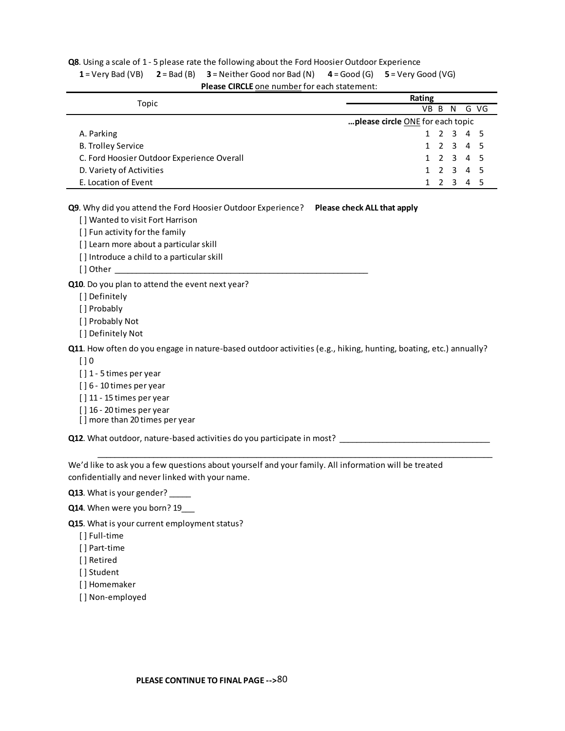**Q8**. Using a scale of 1 - 5 please rate the following about the Ford Hoosier Outdoor Experience

**1** = Very Bad (VB)  $2 = Bad (B)$  **3** = Neither Good nor Bad (N)  $4 = Good (G)$  **5** = Very Good (VG)

 **Please CIRCLE** one number for each statement:

|                                            | Rating                           |  |  |  |  |  |  |  |  |
|--------------------------------------------|----------------------------------|--|--|--|--|--|--|--|--|
| Topic                                      | G VG<br>VB<br>N<br>B             |  |  |  |  |  |  |  |  |
|                                            | please circle ONE for each topic |  |  |  |  |  |  |  |  |
| A. Parking                                 | 1 2 3 4 5                        |  |  |  |  |  |  |  |  |
| <b>B. Trolley Service</b>                  | 1 2 3 4 5                        |  |  |  |  |  |  |  |  |
| C. Ford Hoosier Outdoor Experience Overall | 1 2 3 4 5                        |  |  |  |  |  |  |  |  |
| D. Variety of Activities                   | 1 2 3 4 5                        |  |  |  |  |  |  |  |  |
| E. Location of Event                       | $\mathcal{E}$<br>45              |  |  |  |  |  |  |  |  |

**Q9**. Why did you attend the Ford Hoosier Outdoor Experience? **Please check ALL that apply**

[ ] Wanted to visit Fort Harrison

[ ] Fun activity for the family

[ ] Learn more about a particular skill

[] Introduce a child to a particular skill

 $[ ]$  Other  $_-$ 

**Q10**. Do you plan to attend the event next year?

[] Definitely

[ ] Probably

[ ] Probably Not

[ ] Definitely Not

**Q11**. How often do you engage in nature-based outdoor activities (e.g., hiking, hunting, boating, etc.) annually?  $[ ] 0$ 

 $\mathcal{L}_\mathcal{L} = \mathcal{L}_\mathcal{L} = \mathcal{L}_\mathcal{L} = \mathcal{L}_\mathcal{L} = \mathcal{L}_\mathcal{L} = \mathcal{L}_\mathcal{L} = \mathcal{L}_\mathcal{L} = \mathcal{L}_\mathcal{L} = \mathcal{L}_\mathcal{L} = \mathcal{L}_\mathcal{L} = \mathcal{L}_\mathcal{L} = \mathcal{L}_\mathcal{L} = \mathcal{L}_\mathcal{L} = \mathcal{L}_\mathcal{L} = \mathcal{L}_\mathcal{L} = \mathcal{L}_\mathcal{L} = \mathcal{L}_\mathcal{L}$ 

[ ] 1 - 5 times per year

[ ] 6 - 10 times per year

[] 11 - 15 times per year

[ ] 16 - 20 times per year

[ ] more than 20 times per year

**Q12**. What outdoor, nature-based activities do you participate in most?

We'd like to ask you a few questions about yourself and your family. All information will be treated confidentially and never linked with your name.

**Q13**. What is your gender?

**Q14**. When were you born? 19

**Q15**. What is your current employment status?

[ ] Full-time

[ ] Part-time

[ ] Retired

[ ] Student

[] Homemaker

[ ] Non-employed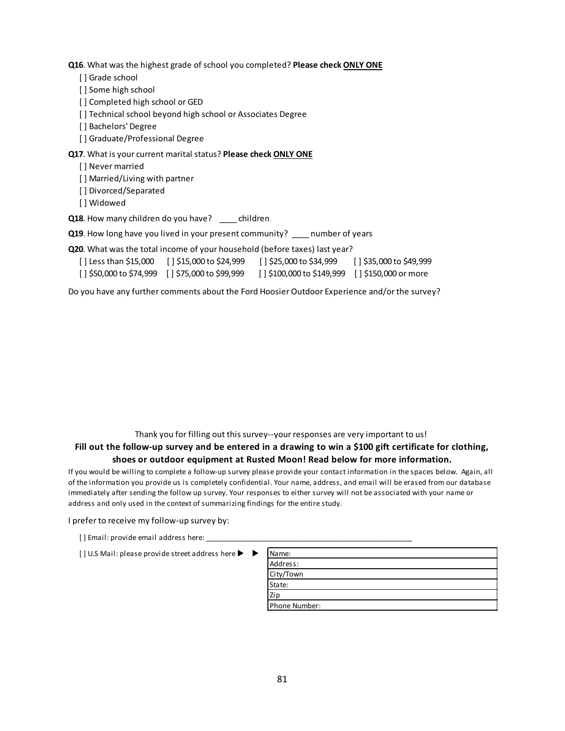**Q16**. What was the highest grade of school you completed? **Please check ONLY ONE**

| [ ] Grade school                                                               |  |
|--------------------------------------------------------------------------------|--|
| [ ] Some high school                                                           |  |
| [] Completed high school or GED                                                |  |
| [] Technical school beyond high school or Associates Degree                    |  |
| [] Bachelors' Degree                                                           |  |
| [] Graduate/Professional Degree                                                |  |
| Q17. What is your current marital status? Please check ONLY ONE                |  |
| [] Never married                                                               |  |
| [] Married/Living with partner                                                 |  |
| [] Divorced/Separated                                                          |  |
| [ ] Widowed                                                                    |  |
| <b>Q18.</b> How many children do you have? children                            |  |
| <b>Q19.</b> How long have you lived in your present community? humber of years |  |
|                                                                                |  |

**Q20**. What was the total income of your household (before taxes) last year?

| ' 1 Less than \$15,000 | [] \$15,000 to \$24,999                         | [ ] \$25,000 to \$34,999 | [] \$35,000 to \$49,999 |
|------------------------|-------------------------------------------------|--------------------------|-------------------------|
|                        | $[$ 550,000 to \$74,999 [] \$75,000 to \$99,999 |                          |                         |

Do you have any further comments about the Ford Hoosier Outdoor Experience and/or the survey?

**Fill out the follow-up survey and be entered in a drawing to win a \$100 gift certificate for clothing, shoes or outdoor equipment at Rusted Moon! Read below for more information.** Thank you for filling out this survey--your responses are very important to us!

If you would be willing to complete a follow-up survey please provide your contact information in the spaces below. Again, all of the information you provide us is completely confidential. Your name, address, and email will be erased from our database immediately after sending the follow up survey. Your responses to either survey will not be associated with your name or address and only used in the context of summarizing findings for the entire study.

I prefer to receive my follow-up survey by:

| [] Email: provide email address here: |  |
|---------------------------------------|--|
|                                       |  |

[] U.S Mail: please provide street address here  $\blacktriangleright$ 

| Name:         |  |
|---------------|--|
| Address:      |  |
| City/Town     |  |
| State:        |  |
| Zip           |  |
| Phone Number: |  |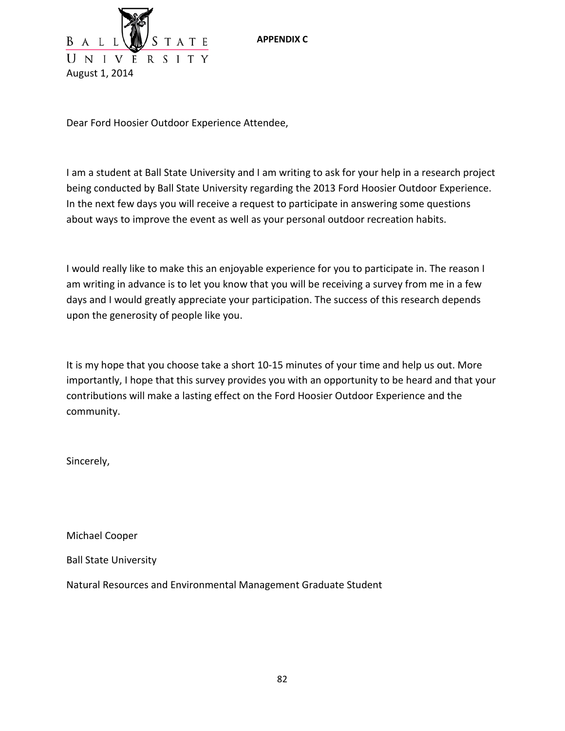**APPENDIX C**



Dear Ford Hoosier Outdoor Experience Attendee,

I am a student at Ball State University and I am writing to ask for your help in a research project being conducted by Ball State University regarding the 2013 Ford Hoosier Outdoor Experience. In the next few days you will receive a request to participate in answering some questions about ways to improve the event as well as your personal outdoor recreation habits.

I would really like to make this an enjoyable experience for you to participate in. The reason I am writing in advance is to let you know that you will be receiving a survey from me in a few days and I would greatly appreciate your participation. The success of this research depends upon the generosity of people like you.

It is my hope that you choose take a short 10-15 minutes of your time and help us out. More importantly, I hope that this survey provides you with an opportunity to be heard and that your contributions will make a lasting effect on the Ford Hoosier Outdoor Experience and the community.

Sincerely,

Michael Cooper

Ball State University

Natural Resources and Environmental Management Graduate Student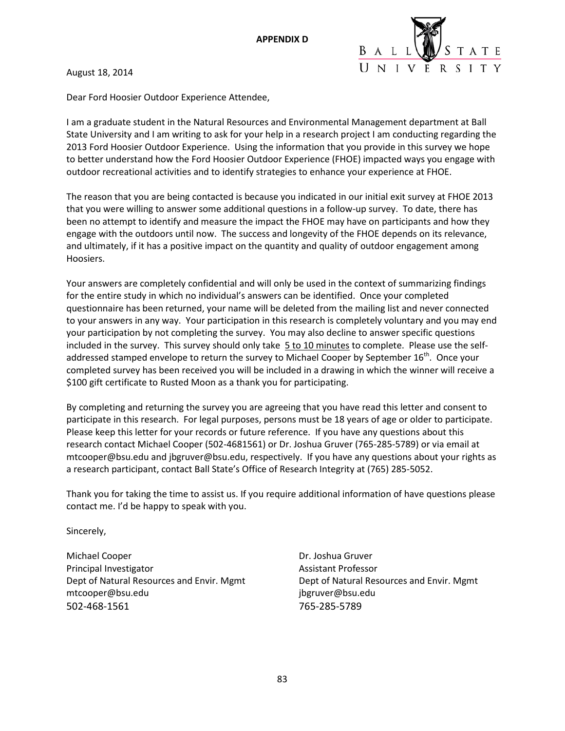

August 18, 2014

Dear Ford Hoosier Outdoor Experience Attendee,

I am a graduate student in the Natural Resources and Environmental Management department at Ball State University and I am writing to ask for your help in a research project I am conducting regarding the 2013 Ford Hoosier Outdoor Experience. Using the information that you provide in this survey we hope to better understand how the Ford Hoosier Outdoor Experience (FHOE) impacted ways you engage with outdoor recreational activities and to identify strategies to enhance your experience at FHOE.

The reason that you are being contacted is because you indicated in our initial exit survey at FHOE 2013 that you were willing to answer some additional questions in a follow-up survey. To date, there has been no attempt to identify and measure the impact the FHOE may have on participants and how they engage with the outdoors until now. The success and longevity of the FHOE depends on its relevance, and ultimately, if it has a positive impact on the quantity and quality of outdoor engagement among Hoosiers.

Your answers are completely confidential and will only be used in the context of summarizing findings for the entire study in which no individual's answers can be identified. Once your completed questionnaire has been returned, your name will be deleted from the mailing list and never connected to your answers in any way. Your participation in this research is completely voluntary and you may end your participation by not completing the survey. You may also decline to answer specific questions included in the survey. This survey should only take 5 to 10 minutes to complete. Please use the selfaddressed stamped envelope to return the survey to Michael Cooper by September  $16<sup>th</sup>$ . Once your completed survey has been received you will be included in a drawing in which the winner will receive a \$100 gift certificate to Rusted Moon as a thank you for participating.

By completing and returning the survey you are agreeing that you have read this letter and consent to participate in this research. For legal purposes, persons must be 18 years of age or older to participate. Please keep this letter for your records or future reference. If you have any questions about this research contact Michael Cooper (502-4681561) or Dr. Joshua Gruver (765-285-5789) or via email at mtcooper@bsu.edu and jbgruver@bsu.edu, respectively. If you have any questions about your rights as a research participant, contact Ball State's Office of Research Integrity at (765) 285-5052.

Thank you for taking the time to assist us. If you require additional information of have questions please contact me. I'd be happy to speak with you.

Sincerely,

Michael Cooper **Dr. Joshua Gruver** Dr. Joshua Gruver Principal Investigator **Assistant Professor** Assistant Professor mtcooper@bsu.edu jbgruver@bsu.edu 502-468-1561 765-285-5789

Dept of Natural Resources and Envir. Mgmt Dept of Natural Resources and Envir. Mgmt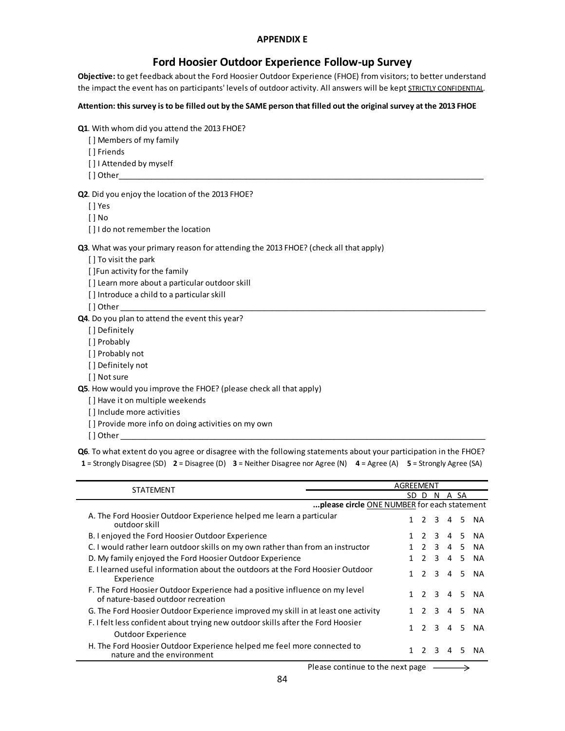## **APPENDIX E**

## **Ford Hoosier Outdoor Experience Follow-up Survey**

**Objective:** to get feedback about the Ford Hoosier Outdoor Experience (FHOE) from visitors; to better understand the impact the event has on participants' levels of outdoor activity. All answers will be kept STRICTLY CONFIDENTIAL.

**Attention: this survey is to be filled out by the SAME person that filled out the original survey at the 2013 FHOE**

**Q1**. With whom did you attend the 2013 FHOE?

[ ] Members of my family

[ ] Friends

[] I Attended by myself

[ ] Other\_\_\_\_\_\_\_\_\_\_\_\_\_\_\_\_\_\_\_\_\_\_\_\_\_\_\_\_\_\_\_\_\_\_\_\_\_\_\_\_\_\_\_\_\_\_\_\_\_\_\_\_\_\_\_\_\_\_\_\_\_\_\_\_\_\_\_\_\_\_\_\_\_\_\_\_\_\_\_\_\_\_\_\_\_\_\_\_\_

**Q2**. Did you enjoy the location of the 2013 FHOE?

[ ] Yes

[ ] No

[] I do not remember the location

**Q3**. What was your primary reason for attending the 2013 FHOE? (check all that apply)

[] To visit the park

[ ]Fun activity for the family

[ ] Learn more about a particular outdoor skill

[] Introduce a child to a particular skill

[ ] Other \_\_\_\_\_\_\_\_\_\_\_\_\_\_\_\_\_\_\_\_\_\_\_\_\_\_\_\_\_\_\_\_\_\_\_\_\_\_\_\_\_\_\_\_\_\_\_\_\_\_\_\_\_\_\_\_\_\_\_\_\_\_\_\_\_\_\_\_\_\_\_\_\_\_\_\_\_\_\_\_\_\_\_\_\_\_\_\_\_

**Q4**. Do you plan to attend the event this year?

[ ] Definitely

[ ] Probably

[ ] Probably not

[] Definitely not

[ ] Not sure

**Q5**. How would you improve the FHOE? (please check all that apply)

[ ] Have it on multiple weekends

[ ] Include more activities

[] Provide more info on doing activities on my own

[ ] Other \_\_\_\_\_\_\_\_\_\_\_\_\_\_\_\_\_\_\_\_\_\_\_\_\_\_\_\_\_\_\_\_\_\_\_\_\_\_\_\_\_\_\_\_\_\_\_\_\_\_\_\_\_\_\_\_\_\_\_\_\_\_\_\_\_\_\_\_\_\_\_\_\_\_\_\_\_\_\_\_\_\_\_\_\_\_\_\_\_

**Q6**. To what extent do you agree or disagree with the following statements about your participation in the FHOE? **1** = Strongly Disagree (SD) **2** = Disagree (D) **3** = Neither Disagree nor Agree (N) **4** = Agree (A) **5** = Strongly Agree (SA)

| <b>STATEMENT</b>                                                                                                  | AGREEMENT                                   |               |                  |      |             |        |
|-------------------------------------------------------------------------------------------------------------------|---------------------------------------------|---------------|------------------|------|-------------|--------|
|                                                                                                                   |                                             | SD D          | N                | A SA |             |        |
|                                                                                                                   | please circle ONE NUMBER for each statement |               |                  |      |             |        |
| A. The Ford Hoosier Outdoor Experience helped me learn a particular<br>outdoor skill                              |                                             |               | $2 \quad 3$      |      |             | 4 5 NA |
| B. I enjoyed the Ford Hoosier Outdoor Experience                                                                  |                                             | $\mathcal{P}$ | 3                | 4    | -5.         | NA.    |
| C. I would rather learn outdoor skills on my own rather than from an instructor                                   |                                             | $\mathcal{L}$ | 3                | 4    | -5          | NA.    |
| D. My family enjoyed the Ford Hoosier Outdoor Experience                                                          |                                             |               | $2 \t3 \t4$      |      | -5          | NA.    |
| E. I learned useful information about the outdoors at the Ford Hoosier Outdoor<br>Experience                      |                                             | 1 2 3 4       |                  |      |             | 5 NA   |
| F. The Ford Hoosier Outdoor Experience had a positive influence on my level<br>of nature-based outdoor recreation | $\mathbf{1}$                                | 2 3 4         |                  |      | $5^{\circ}$ | NA.    |
| G. The Ford Hoosier Outdoor Experience improved my skill in at least one activity                                 |                                             |               |                  |      | 1 2 3 4 5   | NA.    |
| F. I felt less confident about trying new outdoor skills after the Ford Hoosier<br>Outdoor Experience             | $\mathbf{1}$                                |               | $2 \overline{3}$ | 4    | -5          | NA.    |
| H. The Ford Hoosier Outdoor Experience helped me feel more connected to<br>nature and the environment             | 1                                           | $\mathcal{P}$ | 3                | 4    | -5.         | NΑ     |
|                                                                                                                   | Please continue to the next page            |               |                  |      |             |        |

Please continue to the next page  $\longrightarrow$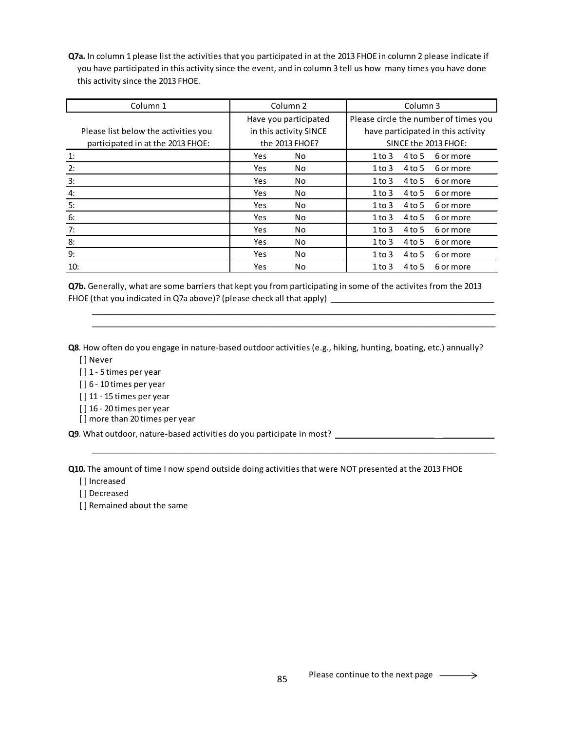**Q7a.** In column 1 please list the activities that you participated in at the 2013 FHOE in column 2 please indicate if you have participated in this activity since the event, and in column 3 tell us how many times you have done this activity since the 2013 FHOE.

| Column 1                             |                        | Column <sub>2</sub>   | Column 3                              |          |                      |  |
|--------------------------------------|------------------------|-----------------------|---------------------------------------|----------|----------------------|--|
|                                      |                        | Have you participated | Please circle the number of times you |          |                      |  |
| Please list below the activities you | in this activity SINCE |                       | have participated in this activity    |          |                      |  |
| participated in at the 2013 FHOE:    |                        | the 2013 FHOE?        |                                       |          | SINCE the 2013 FHOE: |  |
| 1:                                   | Yes                    | No                    | $1$ to $3$                            | 4 to 5   | 6 or more            |  |
| 2:                                   | Yes                    | No                    | $1$ to $3$                            | 4 to 5   | 6 or more            |  |
| 3:                                   | Yes                    | No                    | $1$ to $3$                            | 4 to 5   | 6 or more            |  |
| 4:                                   | Yes                    | No                    | 1 to 3                                | 4 to 5   | 6 or more            |  |
| 5:                                   | Yes                    | No                    | $1$ to $3$                            | 4 to 5   | 6 or more            |  |
| 6:                                   | Yes                    | No                    | $1$ to $3$                            | 4 to 5   | 6 or more            |  |
| 7:                                   | Yes                    | No                    | $1$ to $3$                            | 4 to 5   | 6 or more            |  |
| 8:                                   | Yes                    | No                    | 1 to 3                                | 4 to 5   | 6 or more            |  |
| 9:                                   | Yes                    | No                    | $1$ to $3$                            | 4 to 5   | 6 or more            |  |
| 10:                                  | Yes                    | No                    | $1$ to $3$                            | $4$ to 5 | 6 or more            |  |

**Q7b.** Generally, what are some barriers that kept you from participating in some of the activites from the 2013 FHOE (that you indicated in Q7a above)? (please check all that apply) \_\_\_\_\_\_\_\_\_\_\_\_\_\_\_\_\_\_\_\_\_\_\_\_\_\_\_\_\_\_\_\_\_\_\_\_\_\_

 $\mathcal{L}_\text{max}$  , and the set of the set of the set of the set of the set of the set of the set of the set of the set of the set of the set of the set of the set of the set of the set of the set of the set of the set of the  $\mathcal{L}_\text{max} = \mathcal{L}_\text{max} = \mathcal{L}_\text{max} = \mathcal{L}_\text{max} = \mathcal{L}_\text{max} = \mathcal{L}_\text{max} = \mathcal{L}_\text{max} = \mathcal{L}_\text{max} = \mathcal{L}_\text{max} = \mathcal{L}_\text{max} = \mathcal{L}_\text{max} = \mathcal{L}_\text{max} = \mathcal{L}_\text{max} = \mathcal{L}_\text{max} = \mathcal{L}_\text{max} = \mathcal{L}_\text{max} = \mathcal{L}_\text{max} = \mathcal{L}_\text{max} = \mathcal{$ 

**Q8**. How often do you engage in nature-based outdoor activities (e.g., hiking, hunting, boating, etc.) annually?

[ ] Never

[] 1 - 5 times per year

[] 6 - 10 times per year

[] 11 - 15 times per year

[] 16 - 20 times per year

[ ] more than 20 times per year

**Q9**. What outdoor, nature-based activities do you participate in most? \_\_\_\_\_\_\_\_\_\_\_\_\_\_\_\_\_\_\_\_\_\_\_ \_\_\_\_\_\_\_\_\_\_\_\_

**Q10.** The amount of time I now spend outside doing activities that were NOT presented at the 2013 FHOE

 $\mathcal{L}_\text{max}$  , and the set of the set of the set of the set of the set of the set of the set of the set of the set of the set of the set of the set of the set of the set of the set of the set of the set of the set of the

[ ] Increased

[ ] Decreased

[ ] Remained about the same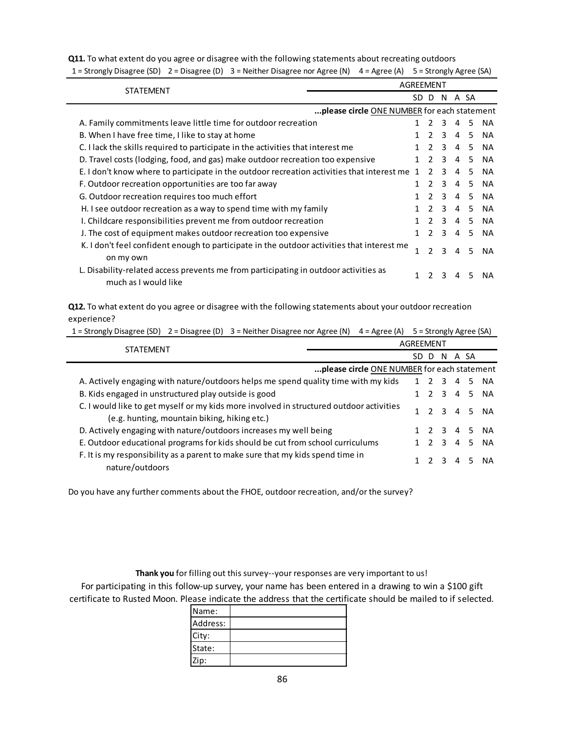**Q11.** To what extent do you agree or disagree with the following statements about recreating outdoors 1 = Strongly Disagree (SD) 2 = Disagree (D) 3 = Neither Disagree nor Agree (N) 4 = Agree (A) 5 = Strongly Agree (SA)

| <b>STATEMENT</b>                                                                                             | AGREEMENT                                   |                |                         |                |                 |           |
|--------------------------------------------------------------------------------------------------------------|---------------------------------------------|----------------|-------------------------|----------------|-----------------|-----------|
|                                                                                                              | SD D                                        |                | N.                      | A SA           |                 |           |
|                                                                                                              | please circle ONE NUMBER for each statement |                |                         |                |                 |           |
| A. Family commitments leave little time for outdoor recreation                                               |                                             | $\mathcal{L}$  | 3                       | 4 5            |                 | <b>NA</b> |
| B. When I have free time, I like to stay at home                                                             |                                             | $\mathcal{P}$  | $\mathbf{3}$            | $\overline{4}$ | $5\overline{)}$ | <b>NA</b> |
| C. I lack the skills required to participate in the activities that interest me                              |                                             | $\mathcal{L}$  | 3                       | 4              | -5              | <b>NA</b> |
| D. Travel costs (lodging, food, and gas) make outdoor recreation too expensive                               |                                             | $\mathcal{L}$  | 3                       | 4              | 5               | <b>NA</b> |
| E. I don't know where to participate in the outdoor recreation activities that interest me                   | 1                                           | $\mathcal{L}$  | 3                       | $\overline{a}$ | .5.             | NA.       |
| F. Outdoor recreation opportunities are too far away                                                         |                                             | $\overline{2}$ | $\overline{\mathbf{3}}$ | 4              | 5 <sup>5</sup>  | <b>NA</b> |
| G. Outdoor recreation requires too much effort                                                               |                                             | $\overline{2}$ | $\overline{\mathbf{3}}$ | $\overline{4}$ | 5 <sup>5</sup>  | <b>NA</b> |
| H. I see outdoor recreation as a way to spend time with my family                                            |                                             |                |                         |                | 5 <sup>5</sup>  | <b>NA</b> |
| I. Childcare responsibilities prevent me from outdoor recreation                                             |                                             | $\mathcal{P}$  | 3                       | 4              | 5               | <b>NA</b> |
| J. The cost of equipment makes outdoor recreation too expensive                                              |                                             | $\mathcal{L}$  | $\overline{3}$          | $\overline{a}$ | -5.             | NA.       |
| K. I don't feel confident enough to participate in the outdoor activities that interest me                   | 1                                           | $\mathcal{L}$  | $\mathbf{R}$            | 4              | 5               | NA.       |
| on my own                                                                                                    |                                             |                |                         |                |                 |           |
| L. Disability-related access prevents me from participating in outdoor activities as<br>much as I would like |                                             | $\mathcal{L}$  | ર                       | 4              | 5               | ΝA        |

**Q12.** To what extent do you agree or disagree with the following statements about your outdoor recreation experience?

1 = Strongly Disagree (SD) 2 = Disagree (D) 3 = Neither Disagree nor Agree (N) 4 = Agree (A) 5 = Strongly Agree (SA)

|                                                                                                                                         | AGREEMENT |               |                         |   |      |              |  |
|-----------------------------------------------------------------------------------------------------------------------------------------|-----------|---------------|-------------------------|---|------|--------------|--|
| <b>STATEMENT</b>                                                                                                                        | SD.       | D             | N                       |   | A SA |              |  |
| please circle ONE NUMBER for each statement                                                                                             |           |               |                         |   |      |              |  |
| A. Actively engaging with nature/outdoors helps me spend quality time with my kids                                                      |           |               |                         |   |      | 1 2 3 4 5 NA |  |
| B. Kids engaged in unstructured play outside is good                                                                                    |           |               |                         |   |      | 1 2 3 4 5 NA |  |
| C. I would like to get myself or my kids more involved in structured outdoor activities<br>(e.g. hunting, mountain biking, hiking etc.) |           |               |                         |   |      | 1 2 3 4 5 NA |  |
| D. Actively engaging with nature/outdoors increases my well being                                                                       |           |               |                         |   |      | 1 2 3 4 5 NA |  |
| E. Outdoor educational programs for kids should be cut from school curriculums                                                          |           | $1\quad 2$    | $\mathcal{R}$           |   |      | 4 5 NA       |  |
| F. It is my responsibility as a parent to make sure that my kids spend time in<br>nature/outdoors                                       |           | $\mathcal{P}$ | $\overline{\mathbf{3}}$ | 4 | 5.   | NΑ           |  |

Do you have any further comments about the FHOE, outdoor recreation, and/or the survey?

For participating in this follow-up survey, your name has been entered in a drawing to win a \$100 gift certificate to Rusted Moon. Please indicate the address that the certificate should be mailed to if selected. **Thank you** for filling out this survey--your responses are very important to us!

| Name:    |  |
|----------|--|
| Address: |  |
| City:    |  |
| State:   |  |
| Zip:     |  |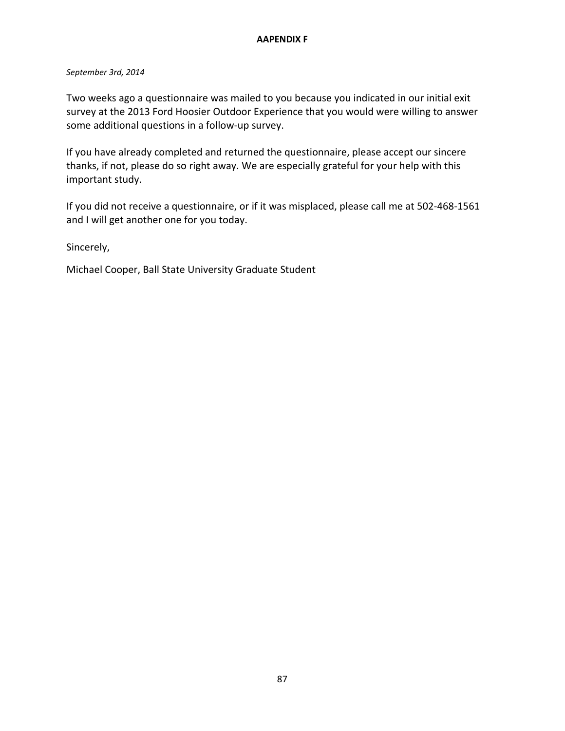## **AAPENDIX F**

## *September 3rd, 2014*

Two weeks ago a questionnaire was mailed to you because you indicated in our initial exit survey at the 2013 Ford Hoosier Outdoor Experience that you would were willing to answer some additional questions in a follow-up survey.

If you have already completed and returned the questionnaire, please accept our sincere thanks, if not, please do so right away. We are especially grateful for your help with this important study.

If you did not receive a questionnaire, or if it was misplaced, please call me at 502-468-1561 and I will get another one for you today.

Sincerely,

Michael Cooper, Ball State University Graduate Student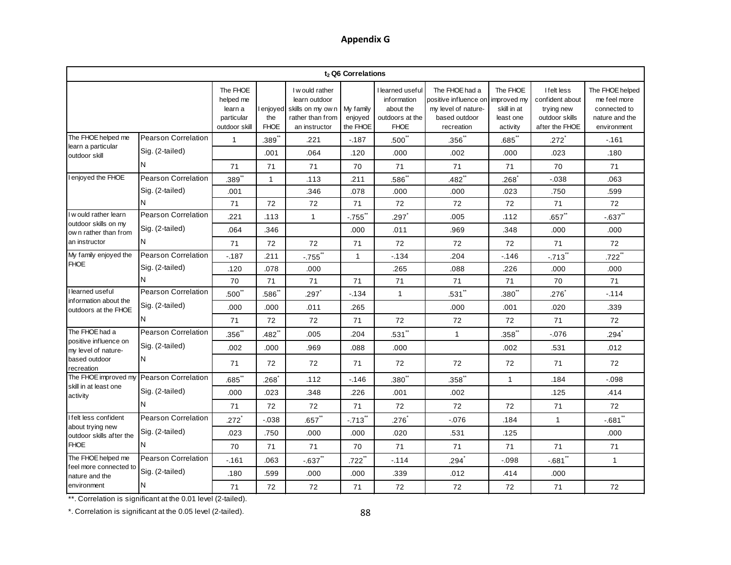# **Appendix G**

| $t_2$ Q6 Correlations                         |                            |                                                                 |                      |                                                                                                   |                                  |                                                                                |                                                                                               |                                                                 |                                                                                  |                                                                                  |  |  |
|-----------------------------------------------|----------------------------|-----------------------------------------------------------------|----------------------|---------------------------------------------------------------------------------------------------|----------------------------------|--------------------------------------------------------------------------------|-----------------------------------------------------------------------------------------------|-----------------------------------------------------------------|----------------------------------------------------------------------------------|----------------------------------------------------------------------------------|--|--|
|                                               |                            | The FHOE<br>helped me<br>learn a<br>particular<br>outdoor skill | the<br><b>FHOE</b>   | I w ould rather<br>learn outdoor<br>enjoyed skills on my own<br>rather than from<br>an instructor | My family<br>enjoyed<br>the FHOE | I learned useful<br>information<br>about the<br>outdoors at the<br><b>FHOE</b> | The FHOE had a<br>positive influence on<br>my level of nature-<br>based outdoor<br>recreation | The FHOE<br>improved my<br>skill in at<br>least one<br>activity | I felt less<br>confident about<br>trying new<br>outdoor skills<br>after the FHOE | The FHOE helped<br>me feel more<br>connected to<br>nature and the<br>environment |  |  |
| The FHOE helped me                            | <b>Pearson Correlation</b> | $\mathbf{1}$                                                    | $.389$ <sup>**</sup> | .221                                                                                              | $-187$                           | $.500^{**}$                                                                    | $.356$ <sup>**</sup>                                                                          | $.685$ <sup>**</sup>                                            | .272                                                                             | $-161$                                                                           |  |  |
| learn a particular<br>outdoor skill           | Sig. (2-tailed)            |                                                                 | .001                 | .064                                                                                              | .120                             | .000                                                                           | .002                                                                                          | .000                                                            | .023                                                                             | .180                                                                             |  |  |
|                                               | N                          | 71                                                              | 71                   | 71                                                                                                | 70                               | 71                                                                             | 71                                                                                            | 71                                                              | 70                                                                               | 71                                                                               |  |  |
| I enjoyed the FHOE                            | <b>Pearson Correlation</b> | .389                                                            | 1                    | .113                                                                                              | .211                             | .586                                                                           | $.482$ <sup>**</sup>                                                                          | .268                                                            | $-0.38$                                                                          | .063                                                                             |  |  |
|                                               | Sig. (2-tailed)            | .001                                                            |                      | .346                                                                                              | .078                             | .000                                                                           | .000                                                                                          | .023                                                            | .750                                                                             | .599                                                                             |  |  |
|                                               | Ν                          | 71                                                              | 72                   | 72                                                                                                | 71                               | 72                                                                             | 72                                                                                            | 72                                                              | 71                                                                               | 72                                                                               |  |  |
| I w ould rather learn<br>outdoor skills on my | <b>Pearson Correlation</b> | .221                                                            | .113                 | $\mathbf{1}$                                                                                      | $-.755$                          | .297                                                                           | .005                                                                                          | .112                                                            | $.657$ **                                                                        | $-637$                                                                           |  |  |
| own rather than from                          | Sig. (2-tailed)            | .064                                                            | .346                 |                                                                                                   | .000                             | .011                                                                           | .969                                                                                          | .348                                                            | .000                                                                             | .000                                                                             |  |  |
| an instructor                                 | N                          | 71                                                              | 72                   | 72                                                                                                | 71                               | 72                                                                             | 72                                                                                            | 72                                                              | 71                                                                               | 72                                                                               |  |  |
| My family enjoyed the<br><b>FHOE</b>          | <b>Pearson Correlation</b> | $-187$                                                          | .211                 | $-755$ *                                                                                          | $\mathbf{1}$                     | $-134$                                                                         | .204                                                                                          | $-146$                                                          | $-713$                                                                           | .722                                                                             |  |  |
|                                               | Sig. (2-tailed)            | .120                                                            | .078                 | .000                                                                                              |                                  | .265                                                                           | .088                                                                                          | .226                                                            | .000                                                                             | .000                                                                             |  |  |
|                                               | N                          | 70                                                              | 71                   | 71                                                                                                | 71                               | 71                                                                             | 71                                                                                            | 71                                                              | 70                                                                               | 71                                                                               |  |  |
| I learned useful<br>information about the     | <b>Pearson Correlation</b> | $.500^{4}$                                                      | .586                 | .297                                                                                              | $-134$                           | $\mathbf{1}$                                                                   | $.531$ <sup>**</sup>                                                                          | $.380^{44}$                                                     | .276                                                                             | $-114$                                                                           |  |  |
| outdoors at the FHOE                          | Sig. (2-tailed)            | .000                                                            | .000                 | .011                                                                                              | .265                             |                                                                                | .000                                                                                          | .001                                                            | .020                                                                             | .339                                                                             |  |  |
|                                               | Ν                          | 71                                                              | 72                   | 72                                                                                                | 71                               | 72                                                                             | 72                                                                                            | 72                                                              | 71                                                                               | 72                                                                               |  |  |
| The FHOE had a                                | <b>Pearson Correlation</b> | $.356^{''}$                                                     | $.482$ "             | .005                                                                                              | .204                             | $.531$ **                                                                      | $\mathbf{1}$                                                                                  | $.358$ **                                                       | $-076$                                                                           | .294                                                                             |  |  |
| positive influence on<br>my level of nature-  | Sig. (2-tailed)            | .002                                                            | .000                 | .969                                                                                              | .088                             | .000                                                                           |                                                                                               | .002                                                            | .531                                                                             | .012                                                                             |  |  |
| based outdoor<br>recreation                   | N                          | 71                                                              | 72                   | 72                                                                                                | 71                               | 72                                                                             | 72                                                                                            | 72                                                              | 71                                                                               | 72                                                                               |  |  |
| The FHOE improved my                          | <b>Pearson Correlation</b> | $.685$ **                                                       | .268                 | .112                                                                                              | $-146$                           | $.380$ "                                                                       | .358                                                                                          | $\mathbf{1}$                                                    | .184                                                                             | $-0.98$                                                                          |  |  |
| skill in at least one<br>activity             | Sig. (2-tailed)            | .000                                                            | .023                 | .348                                                                                              | .226                             | .001                                                                           | .002                                                                                          |                                                                 | .125                                                                             | .414                                                                             |  |  |
|                                               | N                          | 71                                                              | 72                   | 72                                                                                                | 71                               | 72                                                                             | 72                                                                                            | 72                                                              | 71                                                                               | 72                                                                               |  |  |
| I felt less confident                         | <b>Pearson Correlation</b> | 272                                                             | $-0.38$              | $.657$ "                                                                                          | $-713$                           | .276                                                                           | $-076$                                                                                        | .184                                                            | $\mathbf{1}$                                                                     | $-681$ <sup>**</sup>                                                             |  |  |
| about trying new<br>outdoor skills after the  | Sig. (2-tailed)            | .023                                                            | .750                 | .000                                                                                              | .000                             | .020                                                                           | .531                                                                                          | .125                                                            |                                                                                  | .000                                                                             |  |  |
| <b>FHOE</b>                                   | N                          | 70                                                              | 71                   | 71                                                                                                | 70                               | 71                                                                             | 71                                                                                            | 71                                                              | 71                                                                               | 71                                                                               |  |  |
| The FHOE helped me                            | <b>Pearson Correlation</b> | $-161$                                                          | .063                 | $-0.637$ **                                                                                       | $.722$ <sup>*</sup>              | $-114$                                                                         | .294                                                                                          | -.098                                                           | $-681$ <sup>**</sup>                                                             | $\mathbf{1}$                                                                     |  |  |
| feel more connected to<br>nature and the      | Sig. (2-tailed)            | .180                                                            | .599                 | .000                                                                                              | .000                             | .339                                                                           | .012                                                                                          | .414                                                            | .000                                                                             |                                                                                  |  |  |
| environment                                   | И                          | 71                                                              | 72                   | 72                                                                                                | 71                               | 72                                                                             | 72                                                                                            | 72                                                              | 71                                                                               | 72                                                                               |  |  |

\*\*. Correlation is significant at the 0.01 level (2-tailed).

\*. Correlation is significant at the 0.05 level (2-tailed).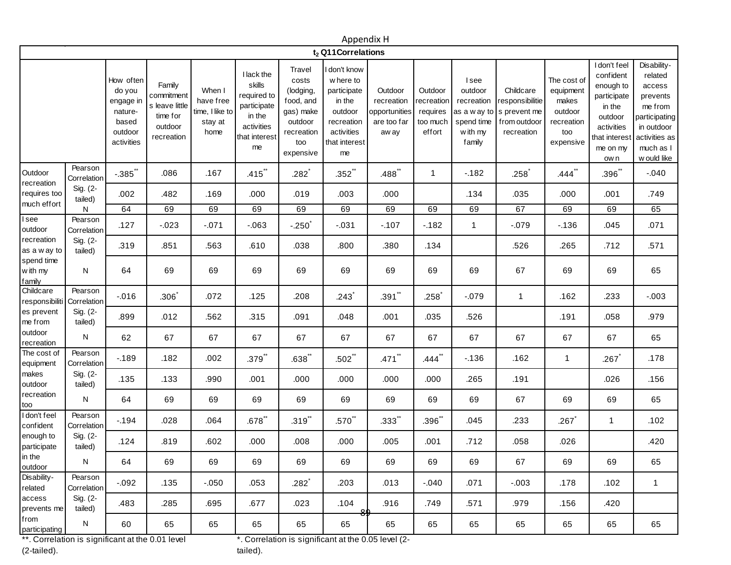| Appendix H                                           |                                               |                                                                               |                                                                             |                                                           |                                                                                                   |                                                                                                     |                                                                                                                |                                                                |                                                         |                                                                                  |                                                                            |                                                                                |                                                                                                                               |                                                                                                                                     |
|------------------------------------------------------|-----------------------------------------------|-------------------------------------------------------------------------------|-----------------------------------------------------------------------------|-----------------------------------------------------------|---------------------------------------------------------------------------------------------------|-----------------------------------------------------------------------------------------------------|----------------------------------------------------------------------------------------------------------------|----------------------------------------------------------------|---------------------------------------------------------|----------------------------------------------------------------------------------|----------------------------------------------------------------------------|--------------------------------------------------------------------------------|-------------------------------------------------------------------------------------------------------------------------------|-------------------------------------------------------------------------------------------------------------------------------------|
|                                                      |                                               |                                                                               |                                                                             |                                                           |                                                                                                   |                                                                                                     | $t2$ Q11 Correlations                                                                                          |                                                                |                                                         |                                                                                  |                                                                            |                                                                                |                                                                                                                               |                                                                                                                                     |
|                                                      |                                               | How often<br>do you<br>engage in<br>nature-<br>based<br>outdoor<br>activities | Family<br>commitment<br>s leave little<br>time for<br>outdoor<br>recreation | When I<br>have free<br>time, I like to<br>stay at<br>home | I lack the<br>skills<br>required to<br>participate<br>in the<br>activities<br>that interest<br>me | Travel<br>costs<br>(lodging,<br>food, and<br>gas) make<br>outdoor<br>recreation<br>too<br>expensive | don't know<br>w here to<br>participate<br>in the<br>outdoor<br>recreation<br>activities<br>that interest<br>me | Outdoor<br>recreation<br>opportunities<br>are too far<br>aw ay | Outdoor<br>recreation<br>requires<br>too much<br>effort | Isee<br>outdoor<br>recreation<br>as a way to<br>spend time<br>w ith my<br>family | Childcare<br>responsibilitie<br>s prevent me<br>from outdoor<br>recreation | The cost of<br>equipment<br>makes<br>outdoor<br>recreation<br>too<br>expensive | I don't feel<br>confident<br>enough to<br>participate<br>in the<br>outdoor<br>activities<br>that interest<br>me on my<br>ow n | Disability-<br>related<br>access<br>prevents<br>me from<br>participating<br>in outdoor<br>activities as<br>much as I<br>w ould like |
| Outdoor<br>recreation<br>requires too<br>much effort | Pearson<br>Correlation<br>Sig. (2-<br>tailed) | $-.385$                                                                       | .086                                                                        | .167                                                      | $.415$ <sup>**</sup>                                                                              | .282                                                                                                | $.352$ **                                                                                                      | $.488$ <sup>**</sup>                                           | $\mathbf{1}$                                            | $-182$                                                                           | .258                                                                       | $.444$ <sup>**</sup>                                                           | $.396$ **                                                                                                                     | $-0.040$                                                                                                                            |
|                                                      |                                               | .002                                                                          | .482                                                                        | .169                                                      | .000                                                                                              | .019                                                                                                | .003                                                                                                           | .000                                                           |                                                         | .134                                                                             | .035                                                                       | .000                                                                           | .001                                                                                                                          | .749                                                                                                                                |
|                                                      | N                                             | 64                                                                            | 69                                                                          | 69                                                        | 69                                                                                                | 69                                                                                                  | 69                                                                                                             | 69                                                             | 69                                                      | 69                                                                               | 67                                                                         | 69                                                                             | 69                                                                                                                            | 65                                                                                                                                  |
| Isee<br>outdoor                                      | Pearson<br>Correlation                        | .127                                                                          | $-023$                                                                      | $-071$                                                    | $-063$                                                                                            | $-.250$                                                                                             | $-0.31$                                                                                                        | $-.107$                                                        | $-182$                                                  | $\mathbf{1}$                                                                     | $-079$                                                                     | $-136$                                                                         | .045                                                                                                                          | .071                                                                                                                                |
| recreation<br>as a way to                            | Sig. (2-<br>tailed)                           | .319                                                                          | .851                                                                        | .563                                                      | .610                                                                                              | .038                                                                                                | .800                                                                                                           | .380                                                           | .134                                                    |                                                                                  | .526                                                                       | .265                                                                           | .712                                                                                                                          | .571                                                                                                                                |
| spend time<br>w ith my<br>family                     | N                                             | 64                                                                            | 69                                                                          | 69                                                        | 69                                                                                                | 69                                                                                                  | 69                                                                                                             | 69                                                             | 69                                                      | 69                                                                               | 67                                                                         | 69                                                                             | 69                                                                                                                            | 65                                                                                                                                  |
| Childcare<br>responsibiliti                          | Pearson<br>Correlation<br>Sig. (2-<br>tailed) | $-0.016$                                                                      | .306                                                                        | .072                                                      | .125                                                                                              | .208                                                                                                | .243                                                                                                           | $.391$ **                                                      | .258                                                    | $-079$                                                                           | $\mathbf{1}$                                                               | .162                                                                           | .233                                                                                                                          | $-0.03$                                                                                                                             |
| es prevent<br>me from                                |                                               | .899                                                                          | .012                                                                        | .562                                                      | .315                                                                                              | .091                                                                                                | .048                                                                                                           | .001                                                           | .035                                                    | .526                                                                             |                                                                            | .191                                                                           | .058                                                                                                                          | .979                                                                                                                                |
| outdoor<br>recreation                                | ${\sf N}$                                     | 62                                                                            | 67                                                                          | 67                                                        | 67                                                                                                | 67                                                                                                  | 67                                                                                                             | 67                                                             | 67                                                      | 67                                                                               | 67                                                                         | 67                                                                             | 67                                                                                                                            | 65                                                                                                                                  |
| The cost of<br>equipment                             | Pearson<br>Correlation                        | $-189$                                                                        | .182                                                                        | .002                                                      | .379**                                                                                            | $.638$ **                                                                                           | $.502$ **                                                                                                      | $.471$ **                                                      | $.444$ <sup>**</sup>                                    | $-136$                                                                           | .162                                                                       | $\mathbf 1$                                                                    | .267                                                                                                                          | .178                                                                                                                                |
| makes<br>outdoor                                     | Sig. (2-<br>tailed)                           | .135                                                                          | .133                                                                        | .990                                                      | .001                                                                                              | .000                                                                                                | .000                                                                                                           | .000                                                           | .000                                                    | .265                                                                             | .191                                                                       |                                                                                | .026                                                                                                                          | .156                                                                                                                                |
| recreation<br>too                                    | N                                             | 64                                                                            | 69                                                                          | 69                                                        | 69                                                                                                | 69                                                                                                  | 69                                                                                                             | 69                                                             | 69                                                      | 69                                                                               | 67                                                                         | 69                                                                             | 69                                                                                                                            | 65                                                                                                                                  |
| I don't feel<br>confident                            | Pearson<br>Correlation                        | $-.194$                                                                       | .028                                                                        | .064                                                      | .678                                                                                              | .319                                                                                                | $.570$ <sup>**</sup>                                                                                           | $.333$ <sup>**</sup>                                           | $.396^{**}$                                             | .045                                                                             | .233                                                                       | .267                                                                           | $\mathbf{1}$                                                                                                                  | .102                                                                                                                                |
| enough to<br>participate<br>in the<br>outdoor        | Sig. (2-<br>tailed)                           | .124                                                                          | .819                                                                        | .602                                                      | .000                                                                                              | .008                                                                                                | .000                                                                                                           | .005                                                           | .001                                                    | .712                                                                             | .058                                                                       | .026                                                                           |                                                                                                                               | .420                                                                                                                                |
|                                                      | N                                             | 64                                                                            | 69                                                                          | 69                                                        | 69                                                                                                | 69                                                                                                  | 69                                                                                                             | 69                                                             | 69                                                      | 69                                                                               | 67                                                                         | 69                                                                             | 69                                                                                                                            | 65                                                                                                                                  |
| Disability-<br>related                               | Pearson<br>Correlation                        | $-0.92$                                                                       | .135                                                                        | $-.050$                                                   | .053                                                                                              | $.282$ <sup>*</sup>                                                                                 | .203                                                                                                           | .013                                                           | $-.040$                                                 | .071                                                                             | $-.003$                                                                    | .178                                                                           | .102                                                                                                                          | $\mathbf{1}$                                                                                                                        |
| access<br>prevents me                                | Sig. (2-<br>tailed)                           | .483                                                                          | .285                                                                        | .695                                                      | .677                                                                                              | .023                                                                                                | .104<br>-80                                                                                                    | .916                                                           | .749                                                    | .571                                                                             | .979                                                                       | .156                                                                           | .420                                                                                                                          |                                                                                                                                     |
| from<br>participating                                | N                                             | 60                                                                            | 65                                                                          | 65                                                        | 65                                                                                                | 65                                                                                                  | 65                                                                                                             | 65                                                             | 65                                                      | 65                                                                               | 65                                                                         | 65                                                                             | 65                                                                                                                            | 65                                                                                                                                  |

\*\*. Correlation is significant at the 0.01 level (2-tailed).

\*. Correlation is significant at the 0.05 level (2-

tailed).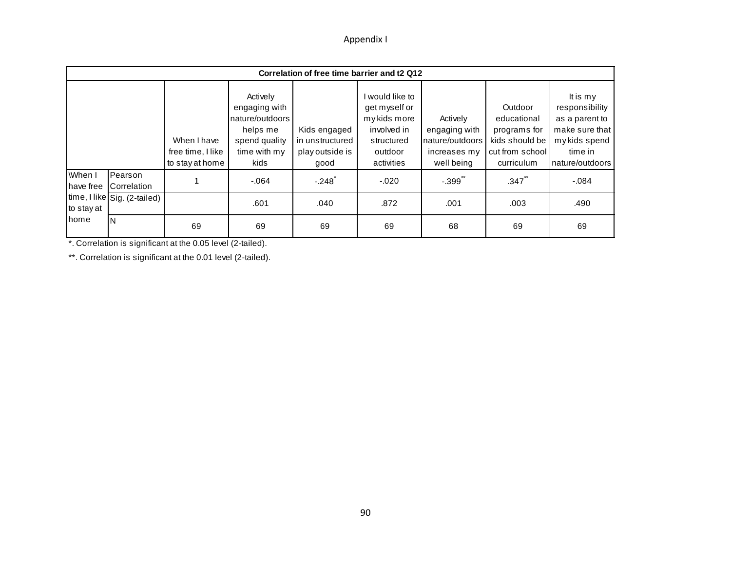# Appendix I

| Correlation of free time barrier and t2 Q12 |                               |                                                     |                                                                                                   |                                                            |                                                                                                        |                                                                            |                                                                                           |                                                                                                               |  |  |  |  |
|---------------------------------------------|-------------------------------|-----------------------------------------------------|---------------------------------------------------------------------------------------------------|------------------------------------------------------------|--------------------------------------------------------------------------------------------------------|----------------------------------------------------------------------------|-------------------------------------------------------------------------------------------|---------------------------------------------------------------------------------------------------------------|--|--|--|--|
|                                             |                               | When I have<br>free time, I like<br>to stay at home | Actively<br>engaging with<br>nature/outdoors<br>helps me<br>spend quality<br>time with my<br>kids | Kids engaged<br>in unstructured<br>play outside is<br>good | I would like to<br>get myself or<br>my kids more<br>involved in<br>structured<br>outdoor<br>activities | Actively<br>engaging with<br>nature/outdoors<br>increases my<br>well being | Outdoor<br>educational<br>programs for<br>kids should be<br>cut from school<br>curriculum | It is my<br>responsibility<br>as a parent to<br>make sure that<br>my kids spend<br>time in<br>nature/outdoors |  |  |  |  |
| When I<br>Ihave free<br>to stay at<br>lhome | Pearson<br><b>Correlation</b> |                                                     | $-064$                                                                                            | $-.248]$                                                   | $-.020$                                                                                                | $-.399$ <sup>*</sup>                                                       | $.347$ <sup>**</sup>                                                                      | $-0.084$                                                                                                      |  |  |  |  |
|                                             | time, I like Sig. (2-tailed)  |                                                     | .601                                                                                              | .040                                                       | .872                                                                                                   | .001                                                                       | .003                                                                                      | .490                                                                                                          |  |  |  |  |
|                                             | lΝ                            | 69                                                  | 69                                                                                                | 69                                                         | 69                                                                                                     | 68                                                                         | 69                                                                                        | 69                                                                                                            |  |  |  |  |

\*. Correlation is significant at the 0.05 level (2-tailed).

\*\*. Correlation is significant at the 0.01 level (2-tailed).